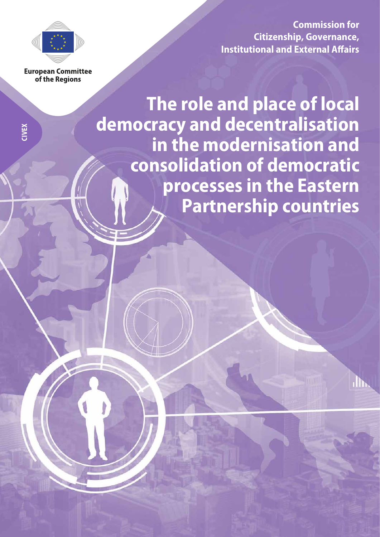

**European Committee** of the Regions

**CIVEX**

**Commission for Citizenship, Governance, Institutional and External Affairs**

**The role and place of local democracy and decentralisation in the modernisation and consolidation of democratic processes in the Eastern Partnership countries**

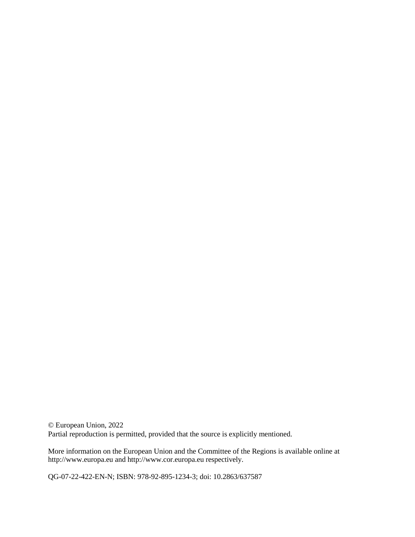© European Union, 2022 Partial reproduction is permitted, provided that the source is explicitly mentioned.

More information on the European Union and the Committee of the Regions is available online at http://www.europa.eu and http://www.cor.europa.eu respectively.

QG-07-22-422-EN-N; ISBN: 978-92-895-1234-3; doi: 10.2863/637587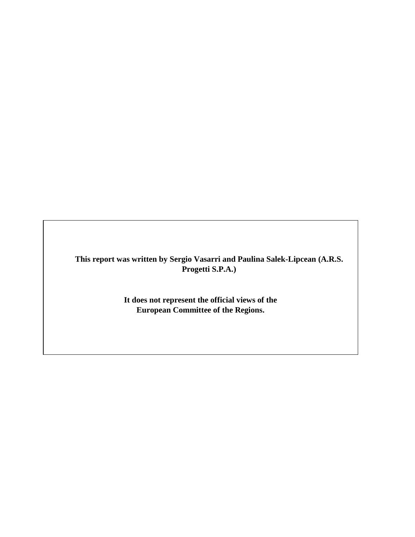**This report was written by Sergio Vasarri and Paulina Salek-Lipcean (A.R.S. Progetti S.P.A.)**

> **It does not represent the official views of the European Committee of the Regions.**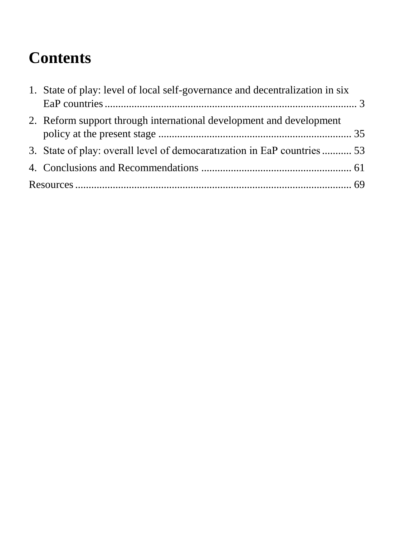# **Contents**

| 1. State of play: level of local self-governance and decentralization in six |  |
|------------------------------------------------------------------------------|--|
| 2. Reform support through international development and development          |  |
| 3. State of play: overall level of democaratization in EaP countries  53     |  |
|                                                                              |  |
|                                                                              |  |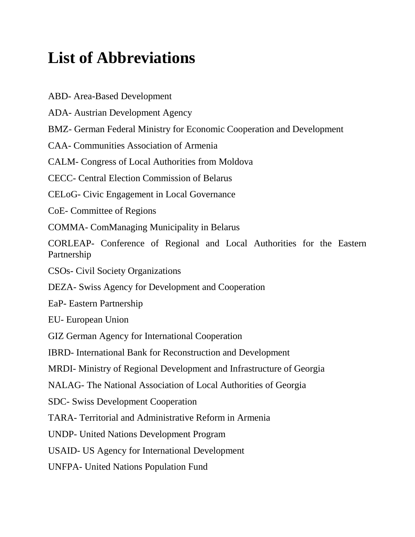## **List of Abbreviations**

ABD- Area-Based Development

ADA- Austrian Development Agency

BMZ- German Federal Ministry for Economic Cooperation and Development

CAA- Communities Association of Armenia

CALM- [Congress of Local Authorities from Moldova](https://lobbyfacts.eu/representative/974d180942bb45028f898beef5957b51/congress-of-local-authorities-from-moldova)

CECC- [Central Election Commission of Belarus](https://en.wikipedia.org/wiki/Central_Election_Commission_of_Belarus)

CELoG- Civic Engagement in Local Governance

CoE- Committee of Regions

COMMA- ComManaging Municipality in Belarus

CORLEAP- Conference of Regional and Local Authorities for the Eastern Partnership

CSOs- Civil Society Organizations

DEZA- Swiss Agency for Development and Cooperation

EaP- Eastern Partnership

EU- European Union

GIZ German Agency for International Cooperation

IBRD- [International Bank for Reconstruction and Development](https://www.worldbank.org/en/who-we-are/ibrd)

MRDI- Ministry of Regional Development and Infrastructure of Georgia

NALAG- The National Association of Local Authorities of Georgia

SDC- Swiss Development Cooperation

TARA- Territorial and Administrative Reform in Armenia

UNDP- United Nations Development Program

USAID- US Agency for International Development

UNFPA- United Nations Population Fund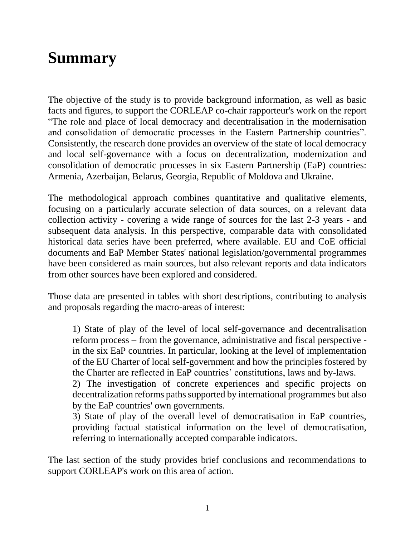## **Summary**

The objective of the study is to provide background information, as well as basic facts and figures, to support the CORLEAP co-chair rapporteur's work on the report "The role and place of local democracy and decentralisation in the modernisation and consolidation of democratic processes in the Eastern Partnership countries". Consistently, the research done provides an overview of the state of local democracy and local self-governance with a focus on decentralization, modernization and consolidation of democratic processes in six Eastern Partnership (EaP) countries: Armenia, Azerbaijan, Belarus, Georgia, Republic of Moldova and Ukraine.

The methodological approach combines quantitative and qualitative elements, focusing on a particularly accurate selection of data sources, on a relevant data collection activity - covering a wide range of sources for the last 2-3 years - and subsequent data analysis. In this perspective, comparable data with consolidated historical data series have been preferred, where available. EU and CoE official documents and EaP Member States' national legislation/governmental programmes have been considered as main sources, but also relevant reports and data indicators from other sources have been explored and considered.

Those data are presented in tables with short descriptions, contributing to analysis and proposals regarding the macro-areas of interest:

1) State of play of the level of local self-governance and decentralisation reform process – from the governance, administrative and fiscal perspective in the six EaP countries. In particular, looking at the level of implementation of the EU Charter of local self-government and how the principles fostered by the Charter are reflected in EaP countries' constitutions, laws and by-laws.

2) The investigation of concrete experiences and specific projects on decentralization reforms paths supported by international programmes but also by the EaP countries' own governments.

3) State of play of the overall level of democratisation in EaP countries, providing factual statistical information on the level of democratisation, referring to internationally accepted comparable indicators.

The last section of the study provides brief conclusions and recommendations to support CORLEAP's work on this area of action.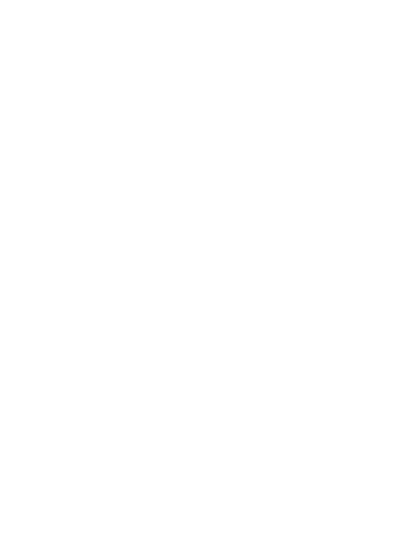<span id="page-7-0"></span>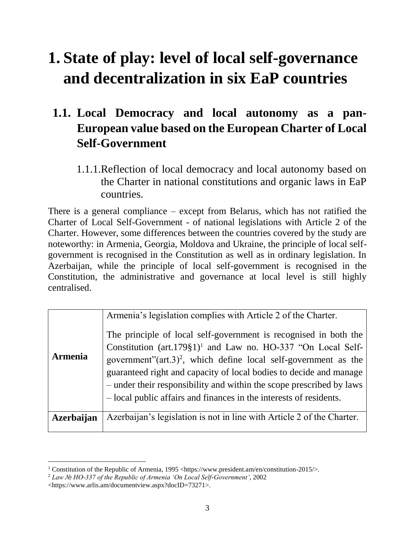## **1. State of play: level of local self-governance and decentralization in six EaP countries**

### **1.1. Local Democracy and local autonomy as a pan-European value based on the European Charter of Local Self-Government**

1.1.1.Reflection of local democracy and local autonomy based on the Charter in national constitutions and organic laws in EaP countries.

There is a general compliance – except from Belarus, which has not ratified the Charter of Local Self-Government - of national legislations with Article 2 of the Charter. However, some differences between the countries covered by the study are noteworthy: in Armenia, Georgia, Moldova and Ukraine, the principle of local selfgovernment is recognised in the Constitution as well as in ordinary legislation. In Azerbaijan, while the principle of local self-government is recognised in the Constitution, the administrative and governance at local level is still highly centralised.

| rmenia،    | Armenia's legislation complies with Article 2 of the Charter.<br>The principle of local self-government is recognised in both the<br>Constitution (art.179§1) <sup>1</sup> and Law no. HO-337 "On Local Self-<br>government" $(\text{art.3})^2$ , which define local self-government as the |
|------------|---------------------------------------------------------------------------------------------------------------------------------------------------------------------------------------------------------------------------------------------------------------------------------------------|
|            | guaranteed right and capacity of local bodies to decide and manage                                                                                                                                                                                                                          |
|            | - under their responsibility and within the scope prescribed by laws                                                                                                                                                                                                                        |
|            | - local public affairs and finances in the interests of residents.                                                                                                                                                                                                                          |
|            |                                                                                                                                                                                                                                                                                             |
| Azerbaijan | Azerbaijan's legislation is not in line with Article 2 of the Charter.                                                                                                                                                                                                                      |
|            |                                                                                                                                                                                                                                                                                             |

<sup>&</sup>lt;sup>1</sup> Constitution of the Republic of Armenia, 1995 <https://www.president.am/en/constitution-2015/>.

<sup>2</sup> *Law № HO-337 of the Republic of Armenia 'On Local Self-Government'*, 2002

<sup>&</sup>lt;https://www.arlis.am/documentview.aspx?docID=73271>.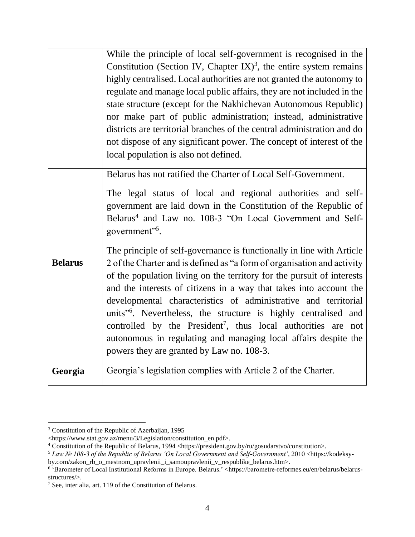|                | While the principle of local self-government is recognised in the                                                                                                                                                                                                                                                                                                                                                                                                                                                                                                                                                                               |
|----------------|-------------------------------------------------------------------------------------------------------------------------------------------------------------------------------------------------------------------------------------------------------------------------------------------------------------------------------------------------------------------------------------------------------------------------------------------------------------------------------------------------------------------------------------------------------------------------------------------------------------------------------------------------|
|                | Constitution (Section IV, Chapter IX) <sup>3</sup> , the entire system remains                                                                                                                                                                                                                                                                                                                                                                                                                                                                                                                                                                  |
|                | highly centralised. Local authorities are not granted the autonomy to                                                                                                                                                                                                                                                                                                                                                                                                                                                                                                                                                                           |
|                | regulate and manage local public affairs, they are not included in the                                                                                                                                                                                                                                                                                                                                                                                                                                                                                                                                                                          |
|                | state structure (except for the Nakhichevan Autonomous Republic)                                                                                                                                                                                                                                                                                                                                                                                                                                                                                                                                                                                |
|                | nor make part of public administration; instead, administrative                                                                                                                                                                                                                                                                                                                                                                                                                                                                                                                                                                                 |
|                | districts are territorial branches of the central administration and do                                                                                                                                                                                                                                                                                                                                                                                                                                                                                                                                                                         |
|                | not dispose of any significant power. The concept of interest of the                                                                                                                                                                                                                                                                                                                                                                                                                                                                                                                                                                            |
|                | local population is also not defined.                                                                                                                                                                                                                                                                                                                                                                                                                                                                                                                                                                                                           |
|                | Belarus has not ratified the Charter of Local Self-Government.                                                                                                                                                                                                                                                                                                                                                                                                                                                                                                                                                                                  |
|                | The legal status of local and regional authorities and self-<br>government are laid down in the Constitution of the Republic of<br>Belarus <sup>4</sup> and Law no. 108-3 "On Local Government and Self-<br>government" <sup>5</sup> .                                                                                                                                                                                                                                                                                                                                                                                                          |
| <b>Belarus</b> | The principle of self-governance is functionally in line with Article<br>2 of the Charter and is defined as "a form of organisation and activity<br>of the population living on the territory for the pursuit of interests<br>and the interests of citizens in a way that takes into account the<br>developmental characteristics of administrative and territorial<br>units" <sup>6</sup> . Nevertheless, the structure is highly centralised and<br>controlled by the President <sup>7</sup> , thus local authorities are not<br>autonomous in regulating and managing local affairs despite the<br>powers they are granted by Law no. 108-3. |
| Georgia        | Georgia's legislation complies with Article 2 of the Charter.                                                                                                                                                                                                                                                                                                                                                                                                                                                                                                                                                                                   |

<sup>&</sup>lt;sup>3</sup> Constitution of the Republic of Azerbaijan, 1995

<sup>&</sup>lt;https://www.stat.gov.az/menu/3/Legislation/constitution\_en.pdf>.

<sup>4</sup> Constitution of the Republic of Belarus, 1994 <https://president.gov.by/ru/gosudarstvo/constitution>.

<sup>5</sup> *Law № 108-З of the Republic of Belarus 'On Local Government and Self-Government'*, 2010 <https://kodeksyby.com/zakon\_rb\_o\_mestnom\_upravlenii\_i\_samoupravlenii\_v\_respublike\_belarus.htm>.

<sup>6</sup> 'Barometer of Local Institutional Reforms in Europe. Belarus.' <https://barometre-reformes.eu/en/belarus/belarusstructures/>.

<sup>7</sup> See, inter alia, art. 119 of the Constitution of Belarus.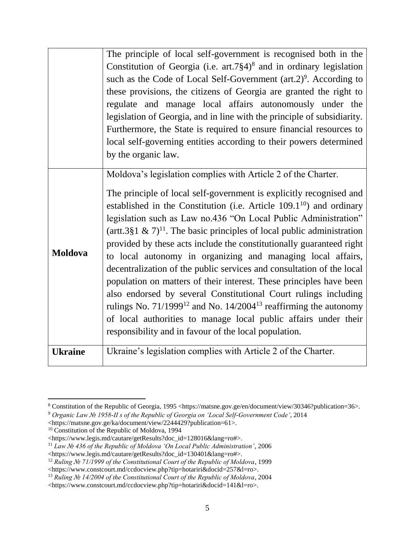|                | The principle of local self-government is recognised both in the                                                                                                                                                                                                                                                                                                                                                                                                                                                                                                                                                                                                                                                                                                                                                                                                                        |
|----------------|-----------------------------------------------------------------------------------------------------------------------------------------------------------------------------------------------------------------------------------------------------------------------------------------------------------------------------------------------------------------------------------------------------------------------------------------------------------------------------------------------------------------------------------------------------------------------------------------------------------------------------------------------------------------------------------------------------------------------------------------------------------------------------------------------------------------------------------------------------------------------------------------|
|                | Constitution of Georgia (i.e. art.7§4) <sup>8</sup> and in ordinary legislation                                                                                                                                                                                                                                                                                                                                                                                                                                                                                                                                                                                                                                                                                                                                                                                                         |
|                | such as the Code of Local Self-Government (art.2) <sup>9</sup> . According to                                                                                                                                                                                                                                                                                                                                                                                                                                                                                                                                                                                                                                                                                                                                                                                                           |
|                | these provisions, the citizens of Georgia are granted the right to                                                                                                                                                                                                                                                                                                                                                                                                                                                                                                                                                                                                                                                                                                                                                                                                                      |
|                | regulate and manage local affairs autonomously under the                                                                                                                                                                                                                                                                                                                                                                                                                                                                                                                                                                                                                                                                                                                                                                                                                                |
|                | legislation of Georgia, and in line with the principle of subsidiarity.                                                                                                                                                                                                                                                                                                                                                                                                                                                                                                                                                                                                                                                                                                                                                                                                                 |
|                | Furthermore, the State is required to ensure financial resources to                                                                                                                                                                                                                                                                                                                                                                                                                                                                                                                                                                                                                                                                                                                                                                                                                     |
|                | local self-governing entities according to their powers determined                                                                                                                                                                                                                                                                                                                                                                                                                                                                                                                                                                                                                                                                                                                                                                                                                      |
|                | by the organic law.                                                                                                                                                                                                                                                                                                                                                                                                                                                                                                                                                                                                                                                                                                                                                                                                                                                                     |
|                |                                                                                                                                                                                                                                                                                                                                                                                                                                                                                                                                                                                                                                                                                                                                                                                                                                                                                         |
|                | Moldova's legislation complies with Article 2 of the Charter.                                                                                                                                                                                                                                                                                                                                                                                                                                                                                                                                                                                                                                                                                                                                                                                                                           |
| <b>Moldova</b> | The principle of local self-government is explicitly recognised and<br>established in the Constitution (i.e. Article 109.1 <sup>10</sup> ) and ordinary<br>legislation such as Law no.436 "On Local Public Administration"<br>(artt.3§1 & $7$ ) <sup>11</sup> . The basic principles of local public administration<br>provided by these acts include the constitutionally guaranteed right<br>to local autonomy in organizing and managing local affairs,<br>decentralization of the public services and consultation of the local<br>population on matters of their interest. These principles have been<br>also endorsed by several Constitutional Court rulings including<br>rulings No. $71/1999^{12}$ and No. $14/2004^{13}$ reaffirming the autonomy<br>of local authorities to manage local public affairs under their<br>responsibility and in favour of the local population. |
| <b>Ukraine</b> | Ukraine's legislation complies with Article 2 of the Charter.                                                                                                                                                                                                                                                                                                                                                                                                                                                                                                                                                                                                                                                                                                                                                                                                                           |
|                |                                                                                                                                                                                                                                                                                                                                                                                                                                                                                                                                                                                                                                                                                                                                                                                                                                                                                         |

<sup>8</sup> Constitution of the Republic of Georgia, 1995 <https://matsne.gov.ge/en/document/view/30346?publication=36>.

<sup>9</sup> *Organic Law № 1958-II s of the Republic of Georgia on 'Local Self-Government Code'*, 2014

<sup>&</sup>lt;https://matsne.gov.ge/ka/document/view/2244429?publication=61>.

<sup>10</sup> Constitution of the Republic of Moldova, 1994

<sup>&</sup>lt;https://www.legis.md/cautare/getResults?doc\_id=128016&lang=ro#>.

<sup>11</sup> *Law № 436 of the Republic of Moldova 'On Local Public Administration'*, 2006

<sup>&</sup>lt;https://www.legis.md/cautare/getResults?doc\_id=130401&lang=ro#>.

<sup>12</sup> *Ruling № 71/1999 of the Constitutional Court of the Republic of Moldova*, 1999

<sup>&</sup>lt;https://www.constcourt.md/ccdocview.php?tip=hotariri&docid=257&l=ro>.

<sup>13</sup> *Ruling № 14/2004 of the Constitutional Court of the Republic of Moldova*, 2004

<sup>&</sup>lt;https://www.constcourt.md/ccdocview.php?tip=hotariri&docid=141&l=ro>.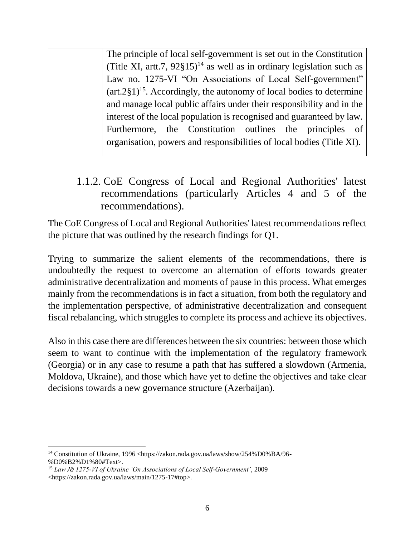The principle of local self-government is set out in the Constitution (Title XI, artt.7,  $92\frac{8}{15}$ )<sup>14</sup> as well as in ordinary legislation such as Law no. 1275-VI "On Associations of Local Self-government"  $(\text{art.2§1})^{15}$ . Accordingly, the autonomy of local bodies to determine and manage local public affairs under their responsibility and in the interest of the local population is recognised and guaranteed by law. Furthermore, the Constitution outlines the principles of organisation, powers and responsibilities of local bodies (Title XI).

#### 1.1.2. CoE Congress of Local and Regional Authorities' latest recommendations (particularly Articles 4 and 5 of the recommendations).

The CoE Congress of Local and Regional Authorities' latest recommendations reflect the picture that was outlined by the research findings for Q1.

Trying to summarize the salient elements of the recommendations, there is undoubtedly the request to overcome an alternation of efforts towards greater administrative decentralization and moments of pause in this process. What emerges mainly from the recommendations is in fact a situation, from both the regulatory and the implementation perspective, of administrative decentralization and consequent fiscal rebalancing, which struggles to complete its process and achieve its objectives.

Also in this case there are differences between the six countries: between those which seem to want to continue with the implementation of the regulatory framework (Georgia) or in any case to resume a path that has suffered a slowdown (Armenia, Moldova, Ukraine), and those which have yet to define the objectives and take clear decisions towards a new governance structure (Azerbaijan).

 $\overline{a}$ <sup>14</sup> Constitution of Ukraine, 1996 <https://zakon.rada.gov.ua/laws/show/254%D0%BA/96-%D0%B2%D1%80#Text>.

<sup>15</sup> *Law № 1275-VI of Ukraine 'On Associations of Local Self-Government'*, 2009 <https://zakon.rada.gov.ua/laws/main/1275-17#top>.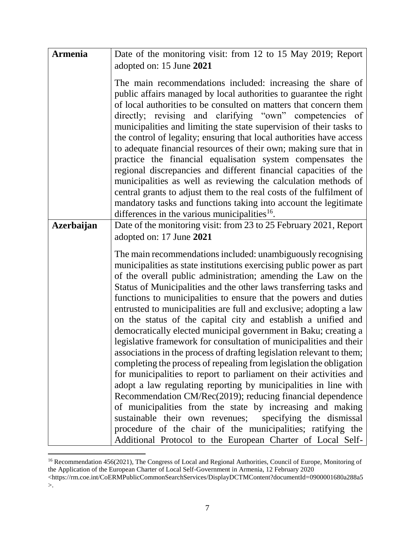| <b>Armenia</b>    | Date of the monitoring visit: from 12 to 15 May 2019; Report                                                                                |  |  |  |  |
|-------------------|---------------------------------------------------------------------------------------------------------------------------------------------|--|--|--|--|
|                   | adopted on: 15 June 2021                                                                                                                    |  |  |  |  |
|                   |                                                                                                                                             |  |  |  |  |
|                   | The main recommendations included: increasing the share of                                                                                  |  |  |  |  |
|                   | public affairs managed by local authorities to guarantee the right<br>of local authorities to be consulted on matters that concern them     |  |  |  |  |
|                   | directly; revising and clarifying "own" competencies of                                                                                     |  |  |  |  |
|                   | municipalities and limiting the state supervision of their tasks to                                                                         |  |  |  |  |
|                   | the control of legality; ensuring that local authorities have access                                                                        |  |  |  |  |
|                   | to adequate financial resources of their own; making sure that in                                                                           |  |  |  |  |
|                   | practice the financial equalisation system compensates the                                                                                  |  |  |  |  |
|                   | regional discrepancies and different financial capacities of the                                                                            |  |  |  |  |
|                   | municipalities as well as reviewing the calculation methods of                                                                              |  |  |  |  |
|                   | central grants to adjust them to the real costs of the fulfilment of                                                                        |  |  |  |  |
|                   | mandatory tasks and functions taking into account the legitimate                                                                            |  |  |  |  |
|                   | differences in the various municipalities $16$ .                                                                                            |  |  |  |  |
| <b>Azerbaijan</b> | Date of the monitoring visit: from 23 to 25 February 2021, Report                                                                           |  |  |  |  |
|                   | adopted on: 17 June 2021                                                                                                                    |  |  |  |  |
|                   | The main recommendations included: unambiguously recognising                                                                                |  |  |  |  |
|                   | municipalities as state institutions exercising public power as part                                                                        |  |  |  |  |
|                   | of the overall public administration; amending the Law on the                                                                               |  |  |  |  |
|                   | Status of Municipalities and the other laws transferring tasks and                                                                          |  |  |  |  |
|                   | functions to municipalities to ensure that the powers and duties                                                                            |  |  |  |  |
|                   | entrusted to municipalities are full and exclusive; adopting a law                                                                          |  |  |  |  |
|                   | on the status of the capital city and establish a unified and                                                                               |  |  |  |  |
|                   | democratically elected municipal government in Baku; creating a                                                                             |  |  |  |  |
|                   | legislative framework for consultation of municipalities and their<br>associations in the process of drafting legislation relevant to them; |  |  |  |  |
|                   | completing the process of repealing from legislation the obligation                                                                         |  |  |  |  |
|                   | for municipalities to report to parliament on their activities and                                                                          |  |  |  |  |
|                   | adopt a law regulating reporting by municipalities in line with                                                                             |  |  |  |  |
|                   | Recommendation CM/Rec(2019); reducing financial dependence                                                                                  |  |  |  |  |
|                   | of municipalities from the state by increasing and making                                                                                   |  |  |  |  |
|                   | sustainable their own revenues; specifying the dismissal                                                                                    |  |  |  |  |
|                   | procedure of the chair of the municipalities; ratifying the                                                                                 |  |  |  |  |
|                   | Additional Protocol to the European Charter of Local Self-                                                                                  |  |  |  |  |

<sup>&</sup>lt;sup>16</sup> Recommendation 456(2021), The Congress of Local and Regional Authorities, Council of Europe, Monitoring of the Application of the European Charter of Local Self-Government in Armenia, 12 February 2020

<sup>&</sup>lt;https://rm.coe.int/CoERMPublicCommonSearchServices/DisplayDCTMContent?documentId=0900001680a288a5 >.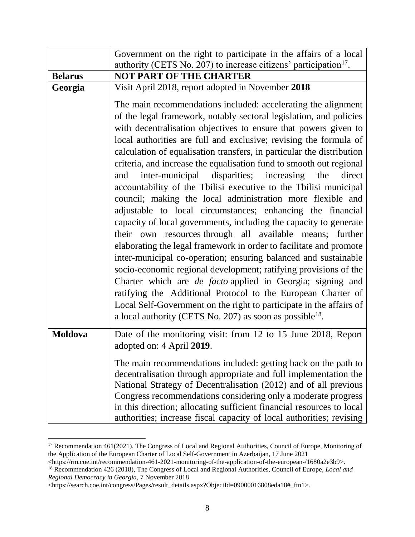|                | Government on the right to participate in the affairs of a local                                                                                                                                                                                                                                                                                                                                                                                                                                                                                                                                                                                                                                                                                                                                                                                                                                                                                                                                                                                                                                                                                                                                                                                                                                                           |
|----------------|----------------------------------------------------------------------------------------------------------------------------------------------------------------------------------------------------------------------------------------------------------------------------------------------------------------------------------------------------------------------------------------------------------------------------------------------------------------------------------------------------------------------------------------------------------------------------------------------------------------------------------------------------------------------------------------------------------------------------------------------------------------------------------------------------------------------------------------------------------------------------------------------------------------------------------------------------------------------------------------------------------------------------------------------------------------------------------------------------------------------------------------------------------------------------------------------------------------------------------------------------------------------------------------------------------------------------|
|                | authority (CETS No. 207) to increase citizens' participation <sup>17</sup> .                                                                                                                                                                                                                                                                                                                                                                                                                                                                                                                                                                                                                                                                                                                                                                                                                                                                                                                                                                                                                                                                                                                                                                                                                                               |
| <b>Belarus</b> | <b>NOT PART OF THE CHARTER</b>                                                                                                                                                                                                                                                                                                                                                                                                                                                                                                                                                                                                                                                                                                                                                                                                                                                                                                                                                                                                                                                                                                                                                                                                                                                                                             |
| Georgia        | Visit April 2018, report adopted in November 2018                                                                                                                                                                                                                                                                                                                                                                                                                                                                                                                                                                                                                                                                                                                                                                                                                                                                                                                                                                                                                                                                                                                                                                                                                                                                          |
|                | The main recommendations included: accelerating the alignment<br>of the legal framework, notably sectoral legislation, and policies<br>with decentralisation objectives to ensure that powers given to<br>local authorities are full and exclusive; revising the formula of<br>calculation of equalisation transfers, in particular the distribution<br>criteria, and increase the equalisation fund to smooth out regional<br>and inter-municipal disparities; increasing the<br>direct<br>accountability of the Tbilisi executive to the Tbilisi municipal<br>council; making the local administration more flexible and<br>adjustable to local circumstances; enhancing the financial<br>capacity of local governments, including the capacity to generate<br>their own resources through all available means; further<br>elaborating the legal framework in order to facilitate and promote<br>inter-municipal co-operation; ensuring balanced and sustainable<br>socio-economic regional development; ratifying provisions of the<br>Charter which are <i>de facto</i> applied in Georgia; signing and<br>ratifying the Additional Protocol to the European Charter of<br>Local Self-Government on the right to participate in the affairs of<br>a local authority (CETS No. 207) as soon as possible <sup>18</sup> . |
| Moldova        | Date of the monitoring visit: from 12 to 15 June 2018, Report<br>adopted on: 4 April 2019.                                                                                                                                                                                                                                                                                                                                                                                                                                                                                                                                                                                                                                                                                                                                                                                                                                                                                                                                                                                                                                                                                                                                                                                                                                 |
|                | The main recommendations included: getting back on the path to<br>decentralisation through appropriate and full implementation the<br>National Strategy of Decentralisation (2012) and of all previous<br>Congress recommendations considering only a moderate progress<br>in this direction; allocating sufficient financial resources to local<br>authorities; increase fiscal capacity of local authorities; revising                                                                                                                                                                                                                                                                                                                                                                                                                                                                                                                                                                                                                                                                                                                                                                                                                                                                                                   |

<sup>&</sup>lt;sup>17</sup> Recommendation 461(2021), The Congress of Local and Regional Authorities, Council of Europe, Monitoring of the Application of the European Charter of Local Self-Government in Azerbaijan, 17 June 2021

 $\frac{1}{10}$  <https://rm.coe.int/recommendation-461-2021-monitoring-of-the-application-of-the-european-/1680a2e3b9>.

<sup>18</sup> Recommendation 426 (2018), The Congress of Local and Regional Authorities, Council of Europe, *Local and Regional Democracy in Georgia*, 7 November 2018

<sup>&</sup>lt;https://search.coe.int/congress/Pages/result\_details.aspx?ObjectId=09000016808eda18#\_ftn1>.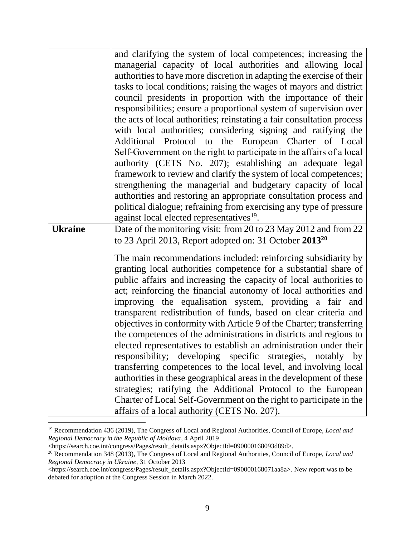<sup>19</sup> Recommendation 436 (2019), The Congress of Local and Regional Authorities, Council of Europe, *Local and Regional Democracy in the Republic of Moldova*, 4 April 2019

<sup>&</sup>lt;https://search.coe.int/congress/Pages/result\_details.aspx?ObjectId=090000168093d89d>.

<sup>20</sup> Recommendation 348 (2013), The Congress of Local and Regional Authorities, Council of Europe, *Local and Regional Democracy in Ukraine*, 31 October 2013

<sup>&</sup>lt;https://search.coe.int/congress/Pages/result\_details.aspx?ObjectId=090000168071aa8a>. New report was to be debated for adoption at the Congress Session in March 2022.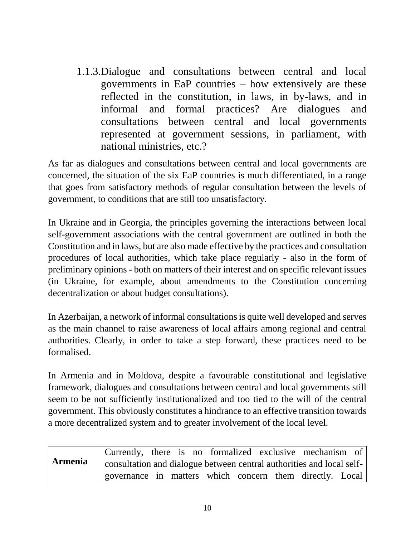1.1.3.Dialogue and consultations between central and local governments in EaP countries – how extensively are these reflected in the constitution, in laws, in by-laws, and in informal and formal practices? Are dialogues and consultations between central and local governments represented at government sessions, in parliament, with national ministries, etc.?

As far as dialogues and consultations between central and local governments are concerned, the situation of the six EaP countries is much differentiated, in a range that goes from satisfactory methods of regular consultation between the levels of government, to conditions that are still too unsatisfactory.

In Ukraine and in Georgia, the principles governing the interactions between local self-government associations with the central government are outlined in both the Constitution and in laws, but are also made effective by the practices and consultation procedures of local authorities, which take place regularly - also in the form of preliminary opinions - both on matters of their interest and on specific relevant issues (in Ukraine, for example, about amendments to the Constitution concerning decentralization or about budget consultations).

In Azerbaijan, a network of informal consultations is quite well developed and serves as the main channel to raise awareness of local affairs among regional and central authorities. Clearly, in order to take a step forward, these practices need to be formalised.

In Armenia and in Moldova, despite a favourable constitutional and legislative framework, dialogues and consultations between central and local governments still seem to be not sufficiently institutionalized and too tied to the will of the central government. This obviously constitutes a hindrance to an effective transition towards a more decentralized system and to greater involvement of the local level.

|                | Currently, there is no formalized exclusive mechanism of              |  |  |  |  |
|----------------|-----------------------------------------------------------------------|--|--|--|--|
| <b>Armenia</b> | consultation and dialogue between central authorities and local self- |  |  |  |  |
|                | governance in matters which concern them directly. Local              |  |  |  |  |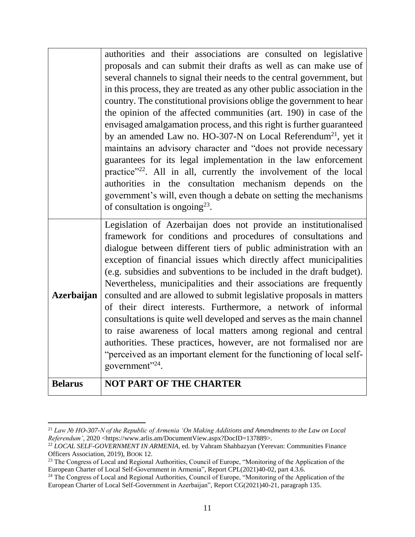|                   | authorities and their associations are consulted on legislative                                                                            |
|-------------------|--------------------------------------------------------------------------------------------------------------------------------------------|
|                   | proposals and can submit their drafts as well as can make use of                                                                           |
|                   | several channels to signal their needs to the central government, but                                                                      |
|                   | in this process, they are treated as any other public association in the                                                                   |
|                   | country. The constitutional provisions oblige the government to hear                                                                       |
|                   | the opinion of the affected communities (art. 190) in case of the                                                                          |
|                   | envisaged amalgamation process, and this right is further guaranteed                                                                       |
|                   | by an amended Law no. HO-307-N on Local Referendum <sup>21</sup> , yet it                                                                  |
|                   | maintains an advisory character and "does not provide necessary                                                                            |
|                   | guarantees for its legal implementation in the law enforcement                                                                             |
|                   | practice" <sup>22</sup> . All in all, currently the involvement of the local                                                               |
|                   | authorities in the consultation mechanism depends on the                                                                                   |
|                   | government's will, even though a debate on setting the mechanisms                                                                          |
|                   | of consultation is ongoing <sup>23</sup> .                                                                                                 |
|                   | Legislation of Azerbaijan does not provide an institutionalised                                                                            |
|                   | framework for conditions and procedures of consultations and                                                                               |
|                   | dialogue between different tiers of public administration with an                                                                          |
|                   | exception of financial issues which directly affect municipalities                                                                         |
|                   | (e.g. subsidies and subventions to be included in the draft budget).                                                                       |
|                   | Nevertheless, municipalities and their associations are frequently                                                                         |
| <b>Azerbaijan</b> | consulted and are allowed to submit legislative proposals in matters                                                                       |
|                   | of their direct interests. Furthermore, a network of informal                                                                              |
|                   | consultations is quite well developed and serves as the main channel                                                                       |
|                   | to raise awareness of local matters among regional and central                                                                             |
|                   | authorities. These practices, however, are not formalised nor are<br>"perceived as an important element for the functioning of local self- |
|                   | government" <sup>24</sup> .                                                                                                                |
|                   |                                                                                                                                            |
| <b>Belarus</b>    | <b>NOT PART OF THE CHARTER</b>                                                                                                             |

<sup>21</sup> *Law № HO-307-N of the Republic of Armenia 'On Making Additions and Amendments to the Law on Local Referendum'*, 2020 <https://www.arlis.am/DocumentView.aspx?DocID=137889>.

<sup>&</sup>lt;sup>22</sup> *LOCAL SELF-GOVERNMENT IN ARMENIA*, ed. by Vahram Shahbazyan (Yerevan: Communities Finance Officers Association, 2019), BOOK 12.

<sup>&</sup>lt;sup>23</sup> The Congress of Local and Regional Authorities, Council of Europe, "Monitoring of the Application of the European Charter of Local Self-Government in Armenia", Report CPL(2021)40-02, part 4.3.6.

<sup>&</sup>lt;sup>24</sup> The Congress of Local and Regional Authorities, Council of Europe, "Monitoring of the Application of the European Charter of Local Self-Government in Azerbaijan", Report CG(2021)40-21, paragraph 135.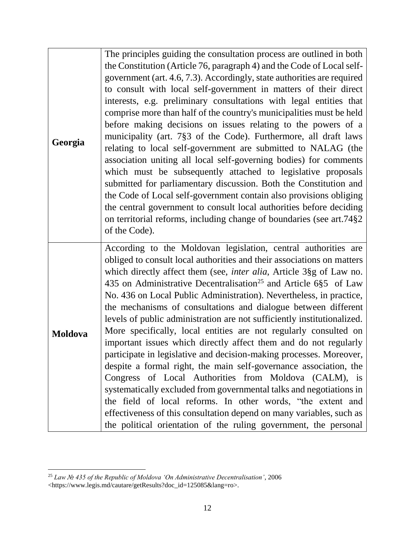|                | The principles guiding the consultation process are outlined in both                                                                     |
|----------------|------------------------------------------------------------------------------------------------------------------------------------------|
|                | the Constitution (Article 76, paragraph 4) and the Code of Local self-                                                                   |
|                | government (art. 4.6, 7.3). Accordingly, state authorities are required                                                                  |
|                | to consult with local self-government in matters of their direct                                                                         |
|                | interests, e.g. preliminary consultations with legal entities that                                                                       |
|                | comprise more than half of the country's municipalities must be held                                                                     |
|                | before making decisions on issues relating to the powers of a                                                                            |
| Georgia        | municipality (art. 7§3 of the Code). Furthermore, all draft laws                                                                         |
|                | relating to local self-government are submitted to NALAG (the                                                                            |
|                | association uniting all local self-governing bodies) for comments                                                                        |
|                | which must be subsequently attached to legislative proposals                                                                             |
|                | submitted for parliamentary discussion. Both the Constitution and                                                                        |
|                | the Code of Local self-government contain also provisions obliging                                                                       |
|                | the central government to consult local authorities before deciding                                                                      |
|                | on territorial reforms, including change of boundaries (see art.74§2)                                                                    |
|                | of the Code).                                                                                                                            |
|                | According to the Moldovan legislation, central authorities are                                                                           |
|                | obliged to consult local authorities and their associations on matters                                                                   |
|                | which directly affect them (see, <i>inter alia</i> , Article 3§g of Law no.                                                              |
|                | 435 on Administrative Decentralisation <sup>25</sup> and Article 6§5 of Law                                                              |
|                | No. 436 on Local Public Administration). Nevertheless, in practice,                                                                      |
|                | the mechanisms of consultations and dialogue between different                                                                           |
|                | levels of public administration are not sufficiently institutionalized.                                                                  |
| <b>Moldova</b> | More specifically, local entities are not regularly consulted on                                                                         |
|                | important issues which directly affect them and do not regularly<br>participate in legislative and decision-making processes. Moreover,  |
|                |                                                                                                                                          |
|                |                                                                                                                                          |
|                | despite a formal right, the main self-governance association, the                                                                        |
|                | Congress of Local Authorities from Moldova (CALM), is                                                                                    |
|                | systematically excluded from governmental talks and negotiations in                                                                      |
|                | the field of local reforms. In other words, "the extent and                                                                              |
|                | effectiveness of this consultation depend on many variables, such as<br>the political orientation of the ruling government, the personal |

<sup>25</sup> *Law № 435 of the Republic of Moldova 'On Administrative Decentralisation'*, 2006 <https://www.legis.md/cautare/getResults?doc\_id=125085&lang=ro>.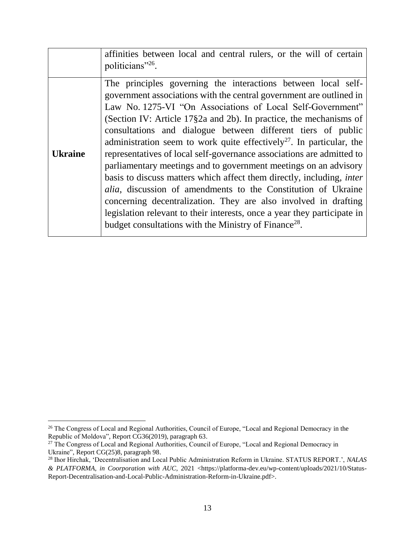|                | affinities between local and central rulers, or the will of certain                                                                                                                                                                                                                                                                                                                                                                                                                                                                                                                                                                                                                                                                                                                                                                                                                                                                                    |
|----------------|--------------------------------------------------------------------------------------------------------------------------------------------------------------------------------------------------------------------------------------------------------------------------------------------------------------------------------------------------------------------------------------------------------------------------------------------------------------------------------------------------------------------------------------------------------------------------------------------------------------------------------------------------------------------------------------------------------------------------------------------------------------------------------------------------------------------------------------------------------------------------------------------------------------------------------------------------------|
|                | politicians" <sup>26</sup> .                                                                                                                                                                                                                                                                                                                                                                                                                                                                                                                                                                                                                                                                                                                                                                                                                                                                                                                           |
| <b>Ukraine</b> | The principles governing the interactions between local self-<br>government associations with the central government are outlined in<br>Law No. 1275-VI "On Associations of Local Self-Government"<br>(Section IV: Article 17§2a and 2b). In practice, the mechanisms of<br>consultations and dialogue between different tiers of public<br>administration seem to work quite effectively <sup>27</sup> . In particular, the<br>representatives of local self-governance associations are admitted to<br>parliamentary meetings and to government meetings on an advisory<br>basis to discuss matters which affect them directly, including, <i>inter</i><br><i>alia</i> , discussion of amendments to the Constitution of Ukraine<br>concerning decentralization. They are also involved in drafting<br>legislation relevant to their interests, once a year they participate in<br>budget consultations with the Ministry of Finance <sup>28</sup> . |

<sup>&</sup>lt;sup>26</sup> The Congress of Local and Regional Authorities, Council of Europe, "Local and Regional Democracy in the Republic of Moldova", Report CG36(2019), paragraph 63.

<sup>&</sup>lt;sup>27</sup> The Congress of Local and Regional Authorities, Council of Europe, "Local and Regional Democracy in Ukraine", Report CG(25)8, paragraph 98.

<sup>28</sup> Ihor Hirchak, 'Decentralisation and Local Public Administration Reform in Ukraine. STATUS REPORT.', *NALAS & PLATFORMA, in Coorporation with AUC*, 2021 <https://platforma-dev.eu/wp-content/uploads/2021/10/Status-Report-Decentralisation-and-Local-Public-Administration-Reform-in-Ukraine.pdf>.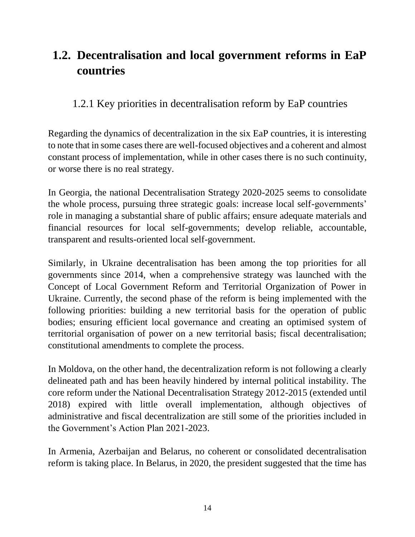### **1.2. Decentralisation and local government reforms in EaP countries**

1.2.1 Key priorities in decentralisation reform by EaP countries

Regarding the dynamics of decentralization in the six EaP countries, it is interesting to note that in some cases there are well-focused objectives and a coherent and almost constant process of implementation, while in other cases there is no such continuity, or worse there is no real strategy.

In Georgia, the national Decentralisation Strategy 2020-2025 seems to consolidate the whole process, pursuing three strategic goals: increase local self-governments' role in managing a substantial share of public affairs; ensure adequate materials and financial resources for local self-governments; develop reliable, accountable, transparent and results-oriented local self-government.

Similarly, in Ukraine decentralisation has been among the top priorities for all governments since 2014, when a comprehensive strategy was launched with the Concept of Local Government Reform and Territorial Organization of Power in Ukraine. Currently, the second phase of the reform is being implemented with the following priorities: building a new territorial basis for the operation of public bodies; ensuring efficient local governance and creating an optimised system of territorial organisation of power on a new territorial basis; fiscal decentralisation; constitutional amendments to complete the process.

In Moldova, on the other hand, the decentralization reform is not following a clearly delineated path and has been heavily hindered by internal political instability. The core reform under the National Decentralisation Strategy 2012-2015 (extended until 2018) expired with little overall implementation, although objectives of administrative and fiscal decentralization are still some of the priorities included in the Government's Action Plan 2021-2023.

In Armenia, Azerbaijan and Belarus, no coherent or consolidated decentralisation reform is taking place. In Belarus, in 2020, the president suggested that the time has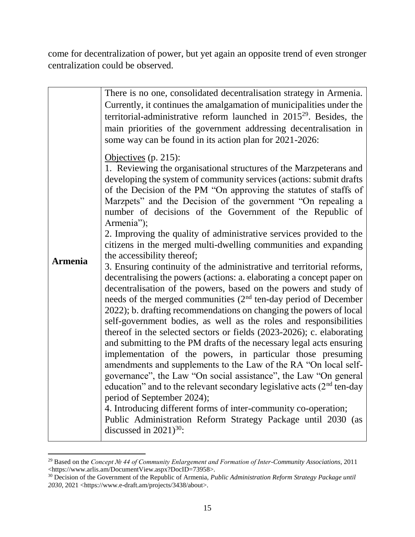come for decentralization of power, but yet again an opposite trend of even stronger centralization could be observed.

<sup>29</sup> Based on the *Concept № 44 of Community Enlargement and Formation of Inter-Community Associations*, 2011 <https://www.arlis.am/DocumentView.aspx?DocID=73958>.

<sup>&</sup>lt;sup>30</sup> Decision of the Government of the Republic of Armenia, *Public Administration Reform Strategy Package until 2030*, 2021 <https://www.e-draft.am/projects/3438/about>.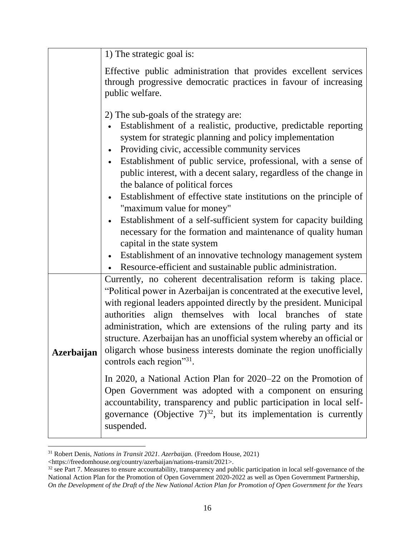|            | 1) The strategic goal is:                                                                                                                                                                                                                                                                                                                                                                                                                                                                                                                                                                                                                                                         |
|------------|-----------------------------------------------------------------------------------------------------------------------------------------------------------------------------------------------------------------------------------------------------------------------------------------------------------------------------------------------------------------------------------------------------------------------------------------------------------------------------------------------------------------------------------------------------------------------------------------------------------------------------------------------------------------------------------|
|            | Effective public administration that provides excellent services<br>through progressive democratic practices in favour of increasing<br>public welfare.                                                                                                                                                                                                                                                                                                                                                                                                                                                                                                                           |
|            | 2) The sub-goals of the strategy are:<br>Establishment of a realistic, productive, predictable reporting<br>system for strategic planning and policy implementation<br>Providing civic, accessible community services<br>$\bullet$<br>Establishment of public service, professional, with a sense of<br>public interest, with a decent salary, regardless of the change in<br>the balance of political forces<br>Establishment of effective state institutions on the principle of<br>"maximum value for money"<br>Establishment of a self-sufficient system for capacity building<br>necessary for the formation and maintenance of quality human<br>capital in the state system |
|            | Establishment of an innovative technology management system<br>Resource-efficient and sustainable public administration.                                                                                                                                                                                                                                                                                                                                                                                                                                                                                                                                                          |
| Azerbaijan | Currently, no coherent decentralisation reform is taking place.<br>"Political power in Azerbaijan is concentrated at the executive level,<br>with regional leaders appointed directly by the president. Municipal<br>authorities align themselves with local branches of<br>state<br>administration, which are extensions of the ruling party and its<br>structure. Azerbaijan has an unofficial system whereby an official or<br>oligarch whose business interests dominate the region unofficially<br>controls each region"31.                                                                                                                                                  |
|            | In 2020, a National Action Plan for 2020–22 on the Promotion of<br>Open Government was adopted with a component on ensuring<br>accountability, transparency and public participation in local self-<br>governance (Objective $7^{32}$ , but its implementation is currently<br>suspended.                                                                                                                                                                                                                                                                                                                                                                                         |

<sup>31</sup> Robert Denis, *Nations in Transit 2021. Azerbaijan.* (Freedom House, 2021)

<sup>&</sup>lt;https://freedomhouse.org/country/azerbaijan/nations-transit/2021>.

 $32$  see Part 7. Measures to ensure accountability, transparency and public participation in local self-governance of the National Action Plan for the Promotion of Open Government 2020-2022 as well as Open Government Partnership, *On the Development of the Draft of the New National Action Plan for Promotion of Open Government for the Years*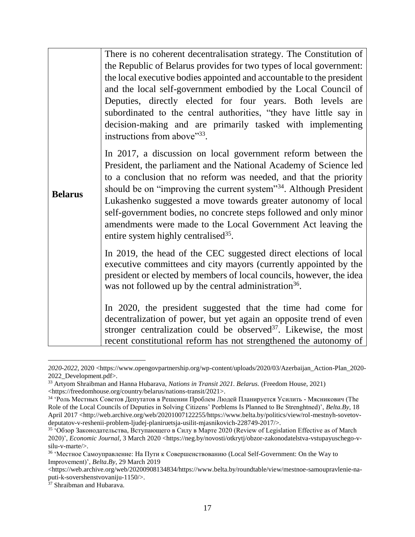| <b>Belarus</b> | There is no coherent decentralisation strategy. The Constitution of<br>the Republic of Belarus provides for two types of local government:<br>the local executive bodies appointed and accountable to the president<br>and the local self-government embodied by the Local Council of<br>Deputies, directly elected for four years. Both levels are<br>subordinated to the central authorities, "they have little say in<br>decision-making and are primarily tasked with implementing<br>instructions from above"33.                             |
|----------------|---------------------------------------------------------------------------------------------------------------------------------------------------------------------------------------------------------------------------------------------------------------------------------------------------------------------------------------------------------------------------------------------------------------------------------------------------------------------------------------------------------------------------------------------------|
|                | In 2017, a discussion on local government reform between the<br>President, the parliament and the National Academy of Science led<br>to a conclusion that no reform was needed, and that the priority<br>should be on "improving the current system" <sup>34</sup> . Although President<br>Lukashenko suggested a move towards greater autonomy of local<br>self-government bodies, no concrete steps followed and only minor<br>amendments were made to the Local Government Act leaving the<br>entire system highly centralised <sup>35</sup> . |
|                | In 2019, the head of the CEC suggested direct elections of local<br>executive committees and city mayors (currently appointed by the<br>president or elected by members of local councils, however, the idea<br>was not followed up by the central administration <sup>36</sup> .                                                                                                                                                                                                                                                                 |
|                | In 2020, the president suggested that the time had come for<br>decentralization of power, but yet again an opposite trend of even<br>stronger centralization could be observed <sup>37</sup> . Likewise, the most<br>recent constitutional reform has not strengthened the autonomy of                                                                                                                                                                                                                                                            |

*<sup>2020-2022</sup>*, 2020 <https://www.opengovpartnership.org/wp-content/uploads/2020/03/Azerbaijan\_Action-Plan\_2020- 2022\_Development.pdf>.

<sup>33</sup> Artyom Shraibman and Hanna Hubarava, *Nations in Transit 2021. Belarus.* (Freedom House, 2021) <https://freedomhouse.org/country/belarus/nations-transit/2021>.

<sup>34</sup> 'Роль Местных Советов Депутатов в Решении Проблем Людей Планируется Усилить - Мясникович (The Role of the Local Councils of Deputies in Solving Citizens' Porblems Is Planned to Be Strenghtned)', *Belta.By*, 18 April 2017 <http://web.archive.org/web/20201007122255/https://www.belta.by/politics/view/rol-mestnyh-sovetovdeputatov-v-reshenii-problem-ljudej-planiruetsja-usilit-mjasnikovich-228749-2017/>.

<sup>35</sup> 'Обзор Законодательства, Вступающего в Силу в Марте 2020 (Review of Legislation Effective as of March 2020)', *Economic Journal*, 3 March 2020 <https://neg.by/novosti/otkrytj/obzor-zakonodatelstva-vstupayuschego-vsilu-v-marte/>.

<sup>36</sup> 'Местное Самоуправление: На Пути к Совершенствованию (Local Self-Government: On the Way to Improvement)', *Belta.By*, 29 March 2019

<sup>&</sup>lt;https://web.archive.org/web/20200908134834/https://www.belta.by/roundtable/view/mestnoe-samoupravlenie-naputi-k-sovershenstvovaniju-1150/>.

<sup>&</sup>lt;sup>37</sup> Shraibman and Hubarava.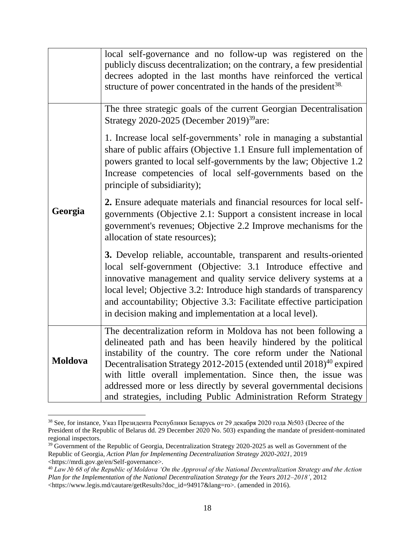|                | local self-governance and no follow-up was registered on the<br>publicly discuss decentralization; on the contrary, a few presidential<br>decrees adopted in the last months have reinforced the vertical<br>structure of power concentrated in the hands of the president <sup>38.</sup>                                                                                                                                                                                                       |
|----------------|-------------------------------------------------------------------------------------------------------------------------------------------------------------------------------------------------------------------------------------------------------------------------------------------------------------------------------------------------------------------------------------------------------------------------------------------------------------------------------------------------|
| Georgia        | The three strategic goals of the current Georgian Decentralisation<br>Strategy 2020-2025 (December 2019) <sup>39</sup> are:                                                                                                                                                                                                                                                                                                                                                                     |
|                | 1. Increase local self-governments' role in managing a substantial<br>share of public affairs (Objective 1.1 Ensure full implementation of<br>powers granted to local self-governments by the law; Objective 1.2<br>Increase competencies of local self-governments based on the<br>principle of subsidiarity);                                                                                                                                                                                 |
|                | 2. Ensure adequate materials and financial resources for local self-<br>governments (Objective 2.1: Support a consistent increase in local<br>government's revenues; Objective 2.2 Improve mechanisms for the<br>allocation of state resources);                                                                                                                                                                                                                                                |
|                | 3. Develop reliable, accountable, transparent and results-oriented<br>local self-government (Objective: 3.1 Introduce effective and<br>innovative management and quality service delivery systems at a<br>local level; Objective 3.2: Introduce high standards of transparency<br>and accountability; Objective 3.3: Facilitate effective participation<br>in decision making and implementation at a local level).                                                                             |
| <b>Moldova</b> | The decentralization reform in Moldova has not been following a<br>delineated path and has been heavily hindered by the political<br>instability of the country. The core reform under the National<br>Decentralisation Strategy 2012-2015 (extended until 2018) <sup>40</sup> expired<br>with little overall implementation. Since then, the issue was<br>addressed more or less directly by several governmental decisions<br>and strategies, including Public Administration Reform Strategy |

<sup>&</sup>lt;sup>38</sup> See, for instance, Указ Президента Республики Беларусь от 29 декабря 2020 года №503 (Decree of the President of the Republic of Belarus dd. 29 December 2020 No. 503) expanding the mandate of president-nominated regional inspectors.

<sup>&</sup>lt;sup>39</sup> Government of the Republic of Georgia, Decentralization Strategy 2020-2025 as well as Government of the Republic of Georgia, *Action Plan for Implementing Decentralization Strategy 2020-2021*, 2019 <https://mrdi.gov.ge/en/Self-governance>.

<sup>40</sup> *Law № 68 of the Republic of Moldova 'On the Approval of the National Decentralization Strategy and the Action Plan for the Implementation of the National Decentralization Strategy for the Years 2012–2018'*, 2012 <https://www.legis.md/cautare/getResults?doc\_id=94917&lang=ro>. (amended in 2016).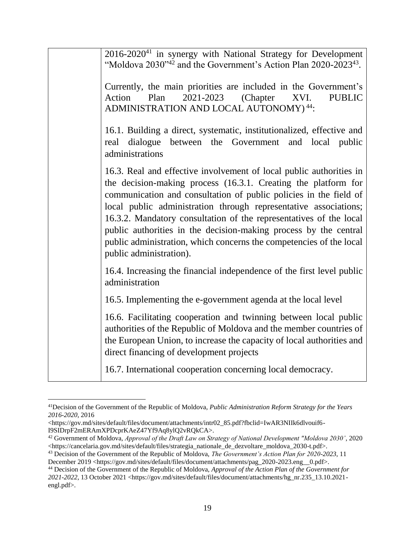| $2016 - 202041$ in synergy with National Strategy for Development<br>"Moldova 2030" <sup>42</sup> and the Government's Action Plan 2020-2023 <sup>43</sup> .                                                                                                                                                                                                                                                                                                                                                               |
|----------------------------------------------------------------------------------------------------------------------------------------------------------------------------------------------------------------------------------------------------------------------------------------------------------------------------------------------------------------------------------------------------------------------------------------------------------------------------------------------------------------------------|
| Currently, the main priorities are included in the Government's<br>2021-2023 (Chapter<br>Plan<br>Action<br>XVI.<br><b>PUBLIC</b><br>ADMINISTRATION AND LOCAL AUTONOMY) <sup>44</sup> :                                                                                                                                                                                                                                                                                                                                     |
| 16.1. Building a direct, systematic, institutionalized, effective and<br>real dialogue<br>between the Government and local public<br>administrations                                                                                                                                                                                                                                                                                                                                                                       |
| 16.3. Real and effective involvement of local public authorities in<br>the decision-making process (16.3.1. Creating the platform for<br>communication and consultation of public policies in the field of<br>local public administration through representative associations;<br>16.3.2. Mandatory consultation of the representatives of the local<br>public authorities in the decision-making process by the central<br>public administration, which concerns the competencies of the local<br>public administration). |
| 16.4. Increasing the financial independence of the first level public<br>administration                                                                                                                                                                                                                                                                                                                                                                                                                                    |
| 16.5. Implementing the e-government agenda at the local level                                                                                                                                                                                                                                                                                                                                                                                                                                                              |
| 16.6. Facilitating cooperation and twinning between local public<br>authorities of the Republic of Moldova and the member countries of<br>the European Union, to increase the capacity of local authorities and<br>direct financing of development projects                                                                                                                                                                                                                                                                |
| 16.7. International cooperation concerning local democracy.                                                                                                                                                                                                                                                                                                                                                                                                                                                                |

<sup>41</sup>Decision of the Government of the Republic of Moldova, *Public Administration Reform Strategy for the Years 2016-2020*, 2016

<sup>&</sup>lt;https://gov.md/sites/default/files/document/attachments/intr02\_85.pdf?fbclid=IwAR3NIIk6dlvouif6- I9SIDrpF2mERAmXPDcprKAeZ47Yf9Aq8ylQ2vRQkCA>.

<sup>42</sup> Government of Moldova, *Approval of the Draft Law on Strategy of National Development "Moldova 2030'*, 2020 <https://cancelaria.gov.md/sites/default/files/strategia\_nationale\_de\_dezvoltare\_moldova\_2030-t.pdf>.

<sup>43</sup> Decision of the Government of the Republic of Moldova, *The Government's Action Plan for 2020-2023*, 11 December 2019 <https://gov.md/sites/default/files/document/attachments/pag\_2020-2023.eng\_\_0.pdf>.

<sup>44</sup> Decision of the Government of the Republic of Moldova, *Approval of the Action Plan of the Government for 2021-2022*, 13 October 2021 <https://gov.md/sites/default/files/document/attachments/hg\_nr.235\_13.10.2021 engl.pdf>.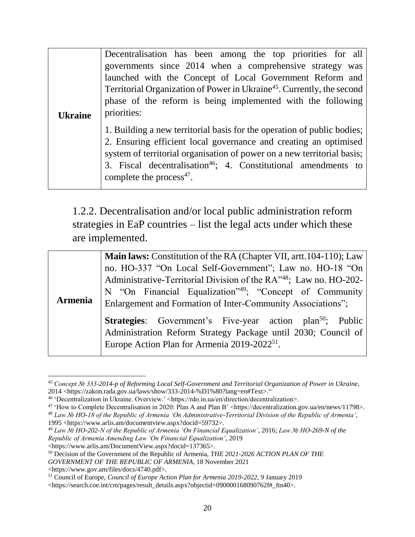|                | Decentralisation has been among the top priorities for all                                                                                                                                                                                                                                                                                   |
|----------------|----------------------------------------------------------------------------------------------------------------------------------------------------------------------------------------------------------------------------------------------------------------------------------------------------------------------------------------------|
|                | governments since 2014 when a comprehensive strategy was                                                                                                                                                                                                                                                                                     |
|                | launched with the Concept of Local Government Reform and                                                                                                                                                                                                                                                                                     |
|                | Territorial Organization of Power in Ukraine <sup>45</sup> . Currently, the second                                                                                                                                                                                                                                                           |
|                | phase of the reform is being implemented with the following                                                                                                                                                                                                                                                                                  |
| <b>Ukraine</b> | priorities:                                                                                                                                                                                                                                                                                                                                  |
|                | 1. Building a new territorial basis for the operation of public bodies;<br>2. Ensuring efficient local governance and creating an optimised<br>system of territorial organisation of power on a new territorial basis;<br>3. Fiscal decentralisation <sup>46</sup> ; 4. Constitutional amendments to<br>complete the process <sup>47</sup> . |

1.2.2. Decentralisation and/or local public administration reform strategies in EaP countries – list the legal acts under which these are implemented.

| <b>Armenia</b> | <b>Main laws:</b> Constitution of the RA (Chapter VII, artt. 104-110); Law<br>no. HO-337 "On Local Self-Government"; Law no. HO-18 "On<br>Administrative-Territorial Division of the RA <sup>148</sup> ; Law no. HO-202-<br>N "On Financial Equalization" <sup>49</sup> ; "Concept of Community<br>Enlargement and Formation of Inter-Community Associations"; |
|----------------|----------------------------------------------------------------------------------------------------------------------------------------------------------------------------------------------------------------------------------------------------------------------------------------------------------------------------------------------------------------|
|                | <b>Strategies:</b> Government's Five-year action plan <sup>50</sup> ; Public<br>Administration Reform Strategy Package until 2030; Council of<br>Europe Action Plan for Armenia 2019-2022 <sup>51</sup> .                                                                                                                                                      |

 $\overline{a}$ <sup>45</sup> *Concept № 333-2014-p of Reforming Local Self-Government and Territorial Organization of Power in Ukraine*, 2014 <https://zakon.rada.gov.ua/laws/show/333-2014-%D1%80?lang=en#Text>."

1995 <https://www.arlis.am/documentview.aspx?docid=59732>.

<https://www.arlis.am/DocumentView.aspx?docid=137365>.

<https://www.gov.am/files/docs/4740.pdf>.

<sup>46</sup> 'Decentralization in Ukraine. Overview.' <https://rdo.in.ua/en/direction/decentralization>.

<sup>47</sup> 'How to Complete Decentralisation in 2020: Plan A and Plan B' <https://decentralization.gov.ua/en/news/11798>. <sup>48</sup> *Law № HO-18 of the Republic of Armenia 'On Administrative-Territorial Division of the Republic of Armenia'*,

<sup>49</sup> *Law № HO-202-N of the Republic of Armenia 'On Financial Equalization'*, 2016; *Law № HO-269-N of the Republic of Armenia Amending Law 'On Financial Equalization'*, 2019

<sup>50</sup> Decision of the Government of the Republic of Armenia, *THE 2021-2026 ACTION PLAN OF THE GOVERNMENT OF THE REPUBLIC OF ARMENIA*, 18 November 2021

<sup>51</sup> Council of Europe, *Council of Europe Action Plan for Armenia 2019-2022*, 9 January 2019

<sup>&</sup>lt;https://search.coe.int/cm/pages/result\_details.aspx?objectid=090000168090762f#\_ftn40>.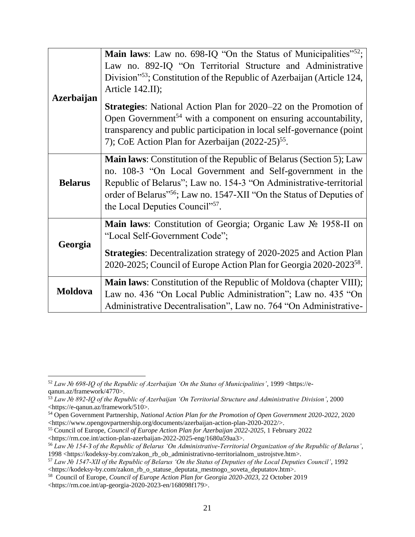| <b>Azerbaijan</b> | Main laws: Law no. 698-IQ "On the Status of Municipalities" <sup>52</sup> ;<br>Law no. 892-IQ "On Territorial Structure and Administrative<br>Division" <sup>53</sup> ; Constitution of the Republic of Azerbaijan (Article 124,                                                                                                                 |
|-------------------|--------------------------------------------------------------------------------------------------------------------------------------------------------------------------------------------------------------------------------------------------------------------------------------------------------------------------------------------------|
|                   | Article 142.II);<br><b>Strategies:</b> National Action Plan for 2020–22 on the Promotion of<br>Open Government <sup>54</sup> with a component on ensuring accountability,                                                                                                                                                                        |
|                   | transparency and public participation in local self-governance (point<br>7); CoE Action Plan for Azerbaijan $(2022-25)^{55}$ .                                                                                                                                                                                                                   |
| <b>Belarus</b>    | <b>Main laws:</b> Constitution of the Republic of Belarus (Section 5); Law<br>no. 108-3 "On Local Government and Self-government in the<br>Republic of Belarus"; Law no. 154-3 "On Administrative-territorial<br>order of Belarus" <sup>56</sup> ; Law no. 1547-XII "On the Status of Deputies of<br>the Local Deputies Council" <sup>57</sup> . |
| Georgia           | Main laws: Constitution of Georgia; Organic Law № 1958-II on<br>"Local Self-Government Code";                                                                                                                                                                                                                                                    |
|                   | <b>Strategies:</b> Decentralization strategy of 2020-2025 and Action Plan<br>2020-2025; Council of Europe Action Plan for Georgia 2020-2023 <sup>58</sup> .                                                                                                                                                                                      |
| <b>Moldova</b>    | <b>Main laws:</b> Constitution of the Republic of Moldova (chapter VIII);<br>Law no. 436 "On Local Public Administration"; Law no. 435 "On<br>Administrative Decentralisation", Law no. 764 "On Administrative-                                                                                                                                  |

 $\overline{a}$ <sup>52</sup> *Law № 698-IQ of the Republic of Azerbaijan 'On the Status of Municipalities'*, 1999 <https://eqanun.az/framework/4770>.

<sup>53</sup> *Law № 892-IQ of the Republic of Azerbaijan 'On Territorial Structure and Administrative Division'*, 2000 <https://e-qanun.az/framework/510>.

<sup>54</sup> Open Government Partnership, *National Action Plan for the Promotion of Open Government 2020-2022*, 2020 <https://www.opengovpartnership.org/documents/azerbaijan-action-plan-2020-2022/>.

<sup>55</sup> Council of Europe, *Council of Europe Action Plan for Azerbaijan 2022-2025*, 1 February 2022 <https://rm.coe.int/action-plan-azerbaijan-2022-2025-eng/1680a59aa3>.

<sup>56</sup> *Law № 154-З of the Republic of Belarus 'On Administrative-Territorial Organization of the Republic of Belarus'*, 1998 <https://kodeksy-by.com/zakon\_rb\_ob\_administrativno-territorialnom\_ustrojstve.htm>.

<sup>57</sup> *Law № 1547-XІІ of the Republic of Belarus 'On the Status of Deputies of the Local Deputies Council'*, 1992 <https://kodeksy-by.com/zakon\_rb\_o\_statuse\_deputata\_mestnogo\_soveta\_deputatov.htm>.

<sup>58</sup> Council of Europe, *Council of Europe Action Plan for Georgia 2020-2023*, 22 October 2019 <https://rm.coe.int/ap-georgia-2020-2023-en/168098f179>.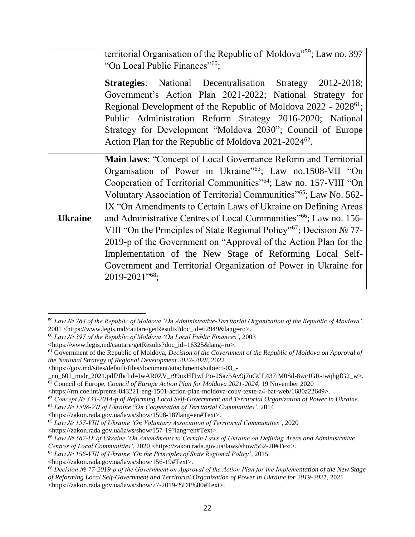|                | territorial Organisation of the Republic of Moldova" <sup>59</sup> ; Law no. 397                                                                                                                                                                                                                                                                                                                             |
|----------------|--------------------------------------------------------------------------------------------------------------------------------------------------------------------------------------------------------------------------------------------------------------------------------------------------------------------------------------------------------------------------------------------------------------|
|                | "On Local Public Finances" <sup>60</sup> ;                                                                                                                                                                                                                                                                                                                                                                   |
|                | <b>Strategies:</b> National Decentralisation Strategy 2012-2018;<br>Government's Action Plan 2021-2022; National Strategy for<br>Regional Development of the Republic of Moldova 2022 - 2028 <sup>61</sup> ;<br>Public Administration Reform Strategy 2016-2020; National<br>Strategy for Development "Moldova 2030"; Council of Europe<br>Action Plan for the Republic of Moldova 2021-2024 <sup>62</sup> . |
|                | Main laws: "Concept of Local Governance Reform and Territorial                                                                                                                                                                                                                                                                                                                                               |
|                | Organisation of Power in Ukraine" <sup>63</sup> ; Law no.1508-VII "On                                                                                                                                                                                                                                                                                                                                        |
|                | Cooperation of Territorial Communities" <sup>64</sup> ; Law no. 157-VIII "On                                                                                                                                                                                                                                                                                                                                 |
|                | Voluntary Association of Territorial Communities" <sup>65</sup> ; Law No. 562-                                                                                                                                                                                                                                                                                                                               |
|                | IX "On Amendments to Certain Laws of Ukraine on Defining Areas                                                                                                                                                                                                                                                                                                                                               |
| <b>Ukraine</b> | and Administrative Centres of Local Communities" <sup>66</sup> ; Law no. 156-                                                                                                                                                                                                                                                                                                                                |
|                | VIII "On the Principles of State Regional Policy" <sup>67</sup> ; Decision No. 77-                                                                                                                                                                                                                                                                                                                           |
|                | 2019-p of the Government on "Approval of the Action Plan for the                                                                                                                                                                                                                                                                                                                                             |
|                | Implementation of the New Stage of Reforming Local Self-<br>Government and Territorial Organization of Power in Ukraine for                                                                                                                                                                                                                                                                                  |
|                | $2019 - 2021$ <sup>68</sup> :                                                                                                                                                                                                                                                                                                                                                                                |
|                |                                                                                                                                                                                                                                                                                                                                                                                                              |

<sup>59</sup> *Law № 764 of the Republic of Moldova 'On Administrative-Territorial Organization of the Republic of Moldova'*, 2001 <https://www.legis.md/cautare/getResults?doc\_id=62949&lang=ro>.

<sup>60</sup> *Law № 397 of the Republic of Moldova 'On Local Public Finances'*, 2003

<sup>&</sup>lt;https://www.legis.md/cautare/getResults?doc\_id=16325&lang=ro>.

<sup>61</sup> Government of the Republic of Moldova, *Decision of the Government of the Republic of Moldova on Approval of the National Strategy of Regional Development 2022-2028*, 2022

<sup>&</sup>lt;https://gov.md/sites/default/files/document/attachments/subiect-03\_-

\_nu\_601\_midr\_2021.pdf?fbclid=IwAR0ZV\_r99uxHf1wLPo-2Saz5Av9j7nGCL437iM0Sd-8wcJGR-twqhgfG2\_w>. <sup>62</sup> Council of Europe, *Council of Europe Action Plan for Moldova 2021-2024*, 19 November 2020

<sup>&</sup>lt;https://rm.coe.int/prems-043221-eng-1501-action-plan-moldova-couv-texte-a4-bat-web/1680a22649>.

<sup>63</sup> *Concept № 333-2014-p of Reforming Local Self-Government and Territorial Organization of Power in Ukraine*.

<sup>64</sup> *Law № 1508-VII of Ukraine "On Cooperation of Territorial Communities'*, 2014

<sup>&</sup>lt;https://zakon.rada.gov.ua/laws/show/1508-18?lang=en#Text>.

<sup>65</sup> *Law № 157-VIII of Ukraine 'On Voluntary Association of Territorial Communities'*, 2020

<sup>&</sup>lt;https://zakon.rada.gov.ua/laws/show/157-19?lang=en#Text>.

<sup>66</sup> *Law № 562-IX of Ukraine 'On Amendments to Certain Laws of Ukraine on Defining Areas and Administrative Centres of Local Communities'*, 2020 <https://zakon.rada.gov.ua/laws/show/562-20#Text>.

<sup>67</sup> *Law № 156-VIII of Ukraine 'On the Principles of State Regional Policy'*, 2015

<sup>&</sup>lt;https://zakon.rada.gov.ua/laws/show/156-19#Text>.

<sup>68</sup> *Decision № 77-2019-р of the Government on Approval of the Action Plan for the Implementation of the New Stage of Reforming Local Self-Government and Territorial Organization of Power in Ukraine for 2019-2021*, 2021 <https://zakon.rada.gov.ua/laws/show/77-2019-%D1%80#Text>.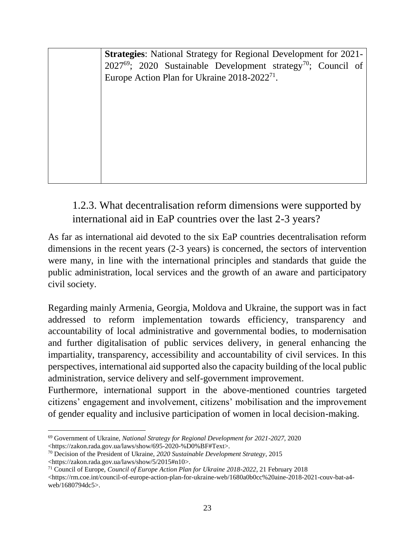**Strategies**: National Strategy for Regional Development for 2021-  $2027^{69}$ ; 2020 Sustainable Development strategy<sup>70</sup>; Council of Europe Action Plan for Ukraine 2018-2022<sup>71</sup>.

#### 1.2.3. What decentralisation reform dimensions were supported by international aid in EaP countries over the last 2-3 years?

As far as international aid devoted to the six EaP countries decentralisation reform dimensions in the recent years (2-3 years) is concerned, the sectors of intervention were many, in line with the international principles and standards that guide the public administration, local services and the growth of an aware and participatory civil society.

Regarding mainly Armenia, Georgia, Moldova and Ukraine, the support was in fact addressed to reform implementation towards efficiency, transparency and accountability of local administrative and governmental bodies, to modernisation and further digitalisation of public services delivery, in general enhancing the impartiality, transparency, accessibility and accountability of civil services. In this perspectives, international aid supported also the capacity building of the local public administration, service delivery and self-government improvement.

Furthermore, international support in the above-mentioned countries targeted citizens' engagement and involvement, citizens' mobilisation and the improvement of gender equality and inclusive participation of women in local decision-making.

 $\overline{a}$ <sup>69</sup> Government of Ukraine, *National Strategy for Regional Development for 2021-2027*, 2020 <https://zakon.rada.gov.ua/laws/show/695-2020-%D0%BF#Text>.

<sup>70</sup> Decision of the President of Ukraine, *2020 Sustainable Development Strategy*, 2015 <https://zakon.rada.gov.ua/laws/show/5/2015#n10>.

<sup>71</sup> Council of Europe, *Council of Europe Action Plan for Ukraine 2018-2022*, 21 February 2018

 $\lt$ https://rm.coe.int/council-of-europe-action-plan-for-ukraine-web/1680a0b0cc%20aine-2018-2021-couv-bat-a4web/1680794dc5>.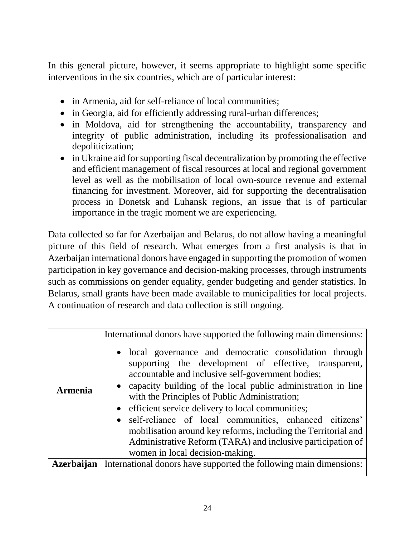In this general picture, however, it seems appropriate to highlight some specific interventions in the six countries, which are of particular interest:

- in Armenia, aid for self-reliance of local communities:
- in Georgia, aid for efficiently addressing rural-urban differences;
- in Moldova, aid for strengthening the accountability, transparency and integrity of public administration, including its professionalisation and depoliticization;
- in Ukraine aid for supporting fiscal decentralization by promoting the effective and efficient management of fiscal resources at local and regional government level as well as the mobilisation of local own-source revenue and external financing for investment. Moreover, aid for supporting the decentralisation process in Donetsk and Luhansk regions, an issue that is of particular importance in the tragic moment we are experiencing.

Data collected so far for Azerbaijan and Belarus, do not allow having a meaningful picture of this field of research. What emerges from a first analysis is that in Azerbaijan international donors have engaged in supporting the promotion of women participation in key governance and decision-making processes, through instruments such as commissions on gender equality, gender budgeting and gender statistics. In Belarus, small grants have been made available to municipalities for local projects. A continuation of research and data collection is still ongoing.

| Armenia    | International donors have supported the following main dimensions:<br>• local governance and democratic consolidation through<br>supporting the development of effective, transparent,<br>accountable and inclusive self-government bodies;<br>• capacity building of the local public administration in line<br>with the Principles of Public Administration;<br>• efficient service delivery to local communities;<br>• self-reliance of local communities, enhanced citizens'<br>mobilisation around key reforms, including the Territorial and<br>Administrative Reform (TARA) and inclusive participation of |
|------------|-------------------------------------------------------------------------------------------------------------------------------------------------------------------------------------------------------------------------------------------------------------------------------------------------------------------------------------------------------------------------------------------------------------------------------------------------------------------------------------------------------------------------------------------------------------------------------------------------------------------|
|            | women in local decision-making.                                                                                                                                                                                                                                                                                                                                                                                                                                                                                                                                                                                   |
| Azerbaijan | International donors have supported the following main dimensions:                                                                                                                                                                                                                                                                                                                                                                                                                                                                                                                                                |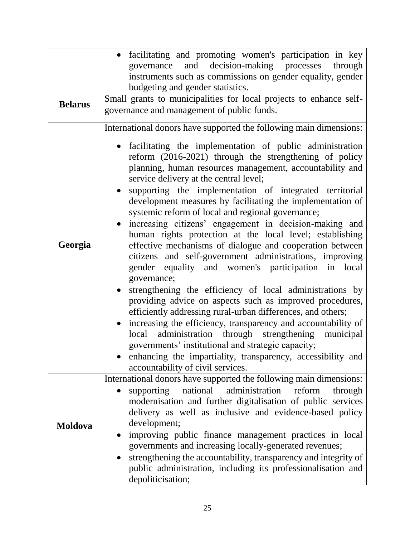|                | • facilitating and promoting women's participation in key<br>and decision-making processes through<br>governance<br>instruments such as commissions on gender equality, gender<br>budgeting and gender statistics.<br>Small grants to municipalities for local projects to enhance self-                                                                                                                                                                                                                                                                                                                                                                                                                                                                                                                                                                                                                                                                                                                                                                                                                                                                                                                                                                                                                |
|----------------|---------------------------------------------------------------------------------------------------------------------------------------------------------------------------------------------------------------------------------------------------------------------------------------------------------------------------------------------------------------------------------------------------------------------------------------------------------------------------------------------------------------------------------------------------------------------------------------------------------------------------------------------------------------------------------------------------------------------------------------------------------------------------------------------------------------------------------------------------------------------------------------------------------------------------------------------------------------------------------------------------------------------------------------------------------------------------------------------------------------------------------------------------------------------------------------------------------------------------------------------------------------------------------------------------------|
| <b>Belarus</b> | governance and management of public funds.                                                                                                                                                                                                                                                                                                                                                                                                                                                                                                                                                                                                                                                                                                                                                                                                                                                                                                                                                                                                                                                                                                                                                                                                                                                              |
| Georgia        | International donors have supported the following main dimensions:<br>• facilitating the implementation of public administration<br>reform (2016-2021) through the strengthening of policy<br>planning, human resources management, accountability and<br>service delivery at the central level;<br>supporting the implementation of integrated territorial<br>development measures by facilitating the implementation of<br>systemic reform of local and regional governance;<br>increasing citizens' engagement in decision-making and<br>$\bullet$<br>human rights protection at the local level; establishing<br>effective mechanisms of dialogue and cooperation between<br>citizens and self-government administrations, improving<br>gender equality and women's participation in local<br>governance;<br>strengthening the efficiency of local administrations by<br>$\bullet$<br>providing advice on aspects such as improved procedures,<br>efficiently addressing rural-urban differences, and others;<br>increasing the efficiency, transparency and accountability of<br>local administration through strengthening<br>municipal<br>governments' institutional and strategic capacity;<br>enhancing the impartiality, transparency, accessibility and<br>accountability of civil services. |
| <b>Moldova</b> | International donors have supported the following main dimensions:<br>administration<br>national<br>supporting<br>reform<br>through<br>modernisation and further digitalisation of public services<br>delivery as well as inclusive and evidence-based policy<br>development;<br>improving public finance management practices in local<br>governments and increasing locally-generated revenues;<br>strengthening the accountability, transparency and integrity of<br>public administration, including its professionalisation and<br>depoliticisation;                                                                                                                                                                                                                                                                                                                                                                                                                                                                                                                                                                                                                                                                                                                                               |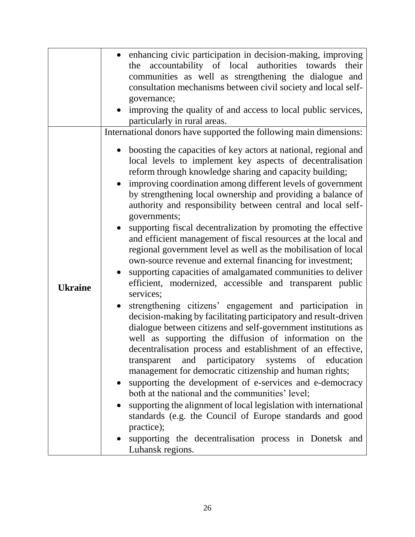|                | enhancing civic participation in decision-making, improving<br>accountability of local authorities towards<br>the<br>their<br>communities as well as strengthening the dialogue and<br>consultation mechanisms between civil society and local self-<br>governance;                                                                                                                                                                                                                                                                                                                                                                                                                                                                                                                                                                                                                                                                                                                                                                                                                                                                                                                                                                                                                                                                                                                                                                                                                                                                                                                                                                        |
|----------------|--------------------------------------------------------------------------------------------------------------------------------------------------------------------------------------------------------------------------------------------------------------------------------------------------------------------------------------------------------------------------------------------------------------------------------------------------------------------------------------------------------------------------------------------------------------------------------------------------------------------------------------------------------------------------------------------------------------------------------------------------------------------------------------------------------------------------------------------------------------------------------------------------------------------------------------------------------------------------------------------------------------------------------------------------------------------------------------------------------------------------------------------------------------------------------------------------------------------------------------------------------------------------------------------------------------------------------------------------------------------------------------------------------------------------------------------------------------------------------------------------------------------------------------------------------------------------------------------------------------------------------------------|
|                | improving the quality of and access to local public services,<br>particularly in rural areas.                                                                                                                                                                                                                                                                                                                                                                                                                                                                                                                                                                                                                                                                                                                                                                                                                                                                                                                                                                                                                                                                                                                                                                                                                                                                                                                                                                                                                                                                                                                                              |
|                | International donors have supported the following main dimensions:                                                                                                                                                                                                                                                                                                                                                                                                                                                                                                                                                                                                                                                                                                                                                                                                                                                                                                                                                                                                                                                                                                                                                                                                                                                                                                                                                                                                                                                                                                                                                                         |
| <b>Ukraine</b> | boosting the capacities of key actors at national, regional and<br>local levels to implement key aspects of decentralisation<br>reform through knowledge sharing and capacity building;<br>improving coordination among different levels of government<br>$\bullet$<br>by strengthening local ownership and providing a balance of<br>authority and responsibility between central and local self-<br>governments;<br>supporting fiscal decentralization by promoting the effective<br>and efficient management of fiscal resources at the local and<br>regional government level as well as the mobilisation of local<br>own-source revenue and external financing for investment;<br>supporting capacities of amalgamated communities to deliver<br>efficient, modernized, accessible and transparent public<br>services;<br>strengthening citizens' engagement and participation in<br>$\bullet$<br>decision-making by facilitating participatory and result-driven<br>dialogue between citizens and self-government institutions as<br>well as supporting the diffusion of information on the<br>decentralisation process and establishment of an effective,<br>transparent and participatory systems of education<br>management for democratic citizenship and human rights;<br>supporting the development of e-services and e-democracy<br>$\bullet$<br>both at the national and the communities' level;<br>supporting the alignment of local legislation with international<br>standards (e.g. the Council of Europe standards and good<br>practice);<br>supporting the decentralisation process in Donetsk and<br>Luhansk regions. |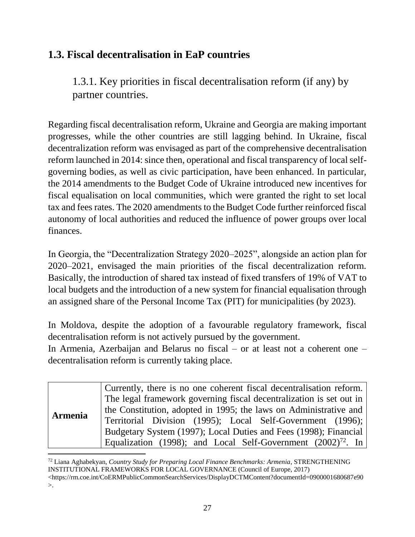#### **1.3. Fiscal decentralisation in EaP countries**

1.3.1. Key priorities in fiscal decentralisation reform (if any) by partner countries.

Regarding fiscal decentralisation reform, Ukraine and Georgia are making important progresses, while the other countries are still lagging behind. In Ukraine, fiscal decentralization reform was envisaged as part of the comprehensive decentralisation reform launched in 2014: since then, operational and fiscal transparency of local selfgoverning bodies, as well as civic participation, have been enhanced. In particular, the 2014 amendments to the Budget Code of Ukraine introduced new incentives for fiscal equalisation on local communities, which were granted the right to set local tax and fees rates. The 2020 amendments to the Budget Code further reinforced fiscal autonomy of local authorities and reduced the influence of power groups over local finances.

In Georgia, the "Decentralization Strategy 2020–2025", alongside an action plan for 2020–2021, envisaged the main priorities of the fiscal decentralization reform. Basically, the introduction of shared tax instead of fixed transfers of 19% of VAT to local budgets and the introduction of a new system for financial equalisation through an assigned share of the Personal Income Tax (PIT) for municipalities (by 2023).

In Moldova, despite the adoption of a favourable regulatory framework, fiscal decentralisation reform is not actively pursued by the government.

In Armenia, Azerbaijan and Belarus no fiscal – or at least not a coherent one – decentralisation reform is currently taking place.

| <b>Armenia</b> | Currently, there is no one coherent fiscal decentralisation reform.      |
|----------------|--------------------------------------------------------------------------|
|                | The legal framework governing fiscal decentralization is set out in      |
|                | the Constitution, adopted in 1995; the laws on Administrative and        |
|                | Territorial Division (1995); Local Self-Government (1996);               |
|                | Budgetary System (1997); Local Duties and Fees (1998); Financial         |
|                | Equalization (1998); and Local Self-Government (2002) <sup>72</sup> . In |

<sup>72</sup> Liana Aghabekyan, *Country Study for Preparing Local Finance Benchmarks: Armenia*, STRENGTHENING INSTITUTIONAL FRAMEWORKS FOR LOCAL GOVERNANCE (Council of Europe, 2017) <https://rm.coe.int/CoERMPublicCommonSearchServices/DisplayDCTMContent?documentId=0900001680687e90 >.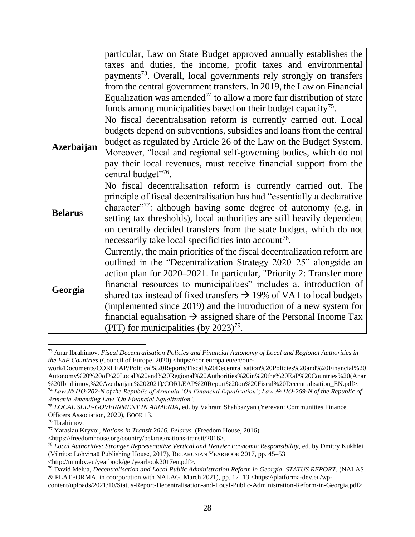|                   | particular, Law on State Budget approved annually establishes the                 |
|-------------------|-----------------------------------------------------------------------------------|
|                   | taxes and duties, the income, profit taxes and environmental                      |
|                   |                                                                                   |
|                   | payments <sup>73</sup> . Overall, local governments rely strongly on transfers    |
|                   | from the central government transfers. In 2019, the Law on Financial              |
|                   | Equalization was amended <sup>74</sup> to allow a more fair distribution of state |
|                   | funds among municipalities based on their budget capacity <sup>75</sup> .         |
| <b>Azerbaijan</b> | No fiscal decentralisation reform is currently carried out. Local                 |
|                   | budgets depend on subventions, subsidies and loans from the central               |
|                   | budget as regulated by Article 26 of the Law on the Budget System.                |
|                   | Moreover, "local and regional self-governing bodies, which do not                 |
|                   | pay their local revenues, must receive financial support from the                 |
|                   | central budget"76.                                                                |
|                   | No fiscal decentralisation reform is currently carried out. The                   |
|                   | principle of fiscal decentralisation has had "essentially a declarative           |
|                   | character" <sup>77</sup> : although having some degree of autonomy (e.g. in       |
| <b>Belarus</b>    | setting tax thresholds), local authorities are still heavily dependent            |
|                   | on centrally decided transfers from the state budget, which do not                |
|                   | necessarily take local specificities into account <sup>78</sup> .                 |
| Georgia           | Currently, the main priorities of the fiscal decentralization reform are          |
|                   | outlined in the "Decentralization Strategy 2020–25" alongside an                  |
|                   | action plan for 2020–2021. In particular, "Priority 2: Transfer more              |
|                   | financial resources to municipalities" includes a. introduction of                |
|                   |                                                                                   |
|                   | shared tax instead of fixed transfers $\rightarrow$ 19% of VAT to local budgets   |
|                   | (implemented since 2019) and the introduction of a new system for                 |
|                   | financial equalisation $\rightarrow$ assigned share of the Personal Income Tax    |
|                   | (PIT) for municipalities (by $2023$ ) <sup>79</sup> .                             |

<sup>73</sup> Anar Ibrahimov, *Fiscal Decentralisation Policies and Financial Autonomy of Local and Regional Authorities in the EaP Countries* (Council of Europe, 2020) <https://cor.europa.eu/en/our-

content/uploads/2021/10/Status-Report-Decentralisation-and-Local-Public-Administration-Reform-in-Georgia.pdf>.

work/Documents/CORLEAP/Political%20Reports/Fiscal%20Decentralisation%20Policies%20and%20Financial%20 Autonomy%20%20of%20Local%20and%20Regional%20Authorities%20in%20the%20EaP%20Countries%20(Anar %20Ibrahimov,%20Azerbaijan,%202021)/CORLEAP%20Report%20on%20Fiscal%20Decentralisation\_EN.pdf>.

<sup>74</sup> *Law № HO-202-N of the Republic of Armenia 'On Financial Equalization'*; *Law № HO-269-N of the Republic of Armenia Amending Law 'On Financial Equalization'*.

<sup>75</sup> *LOCAL SELF-GOVERNMENT IN ARMENIA*, ed. by Vahram Shahbazyan (Yerevan: Communities Finance Officers Association, 2020), BOOK 13.

<sup>76</sup> Ibrahimov.

<sup>77</sup> Yaraslau Kryvoi, *Nations in Transit 2016. Belarus.* (Freedom House, 2016)

<sup>&</sup>lt;https://freedomhouse.org/country/belarus/nations-transit/2016>.

<sup>78</sup> *Local Authorities: Stronger Representative Vertical and Heavier Economic Responsibility*, ed. by Dmitry Kukhlei (Vilnius: Lohvinaŭ Publishing House, 2017), BELARUSIAN YEARBOOK 2017, pp. 45–53

<sup>&</sup>lt;http://nmnby.eu/yearbook/get/yearbook2017en.pdf>.

<sup>79</sup> David Melua, *Decentralisation and Local Public Administration Reform in Georgia. STATUS REPORT.* (NALAS & PLATFORMA, in coorporation with NALAG, March 2021), pp. 12–13 <https://platforma-dev.eu/wp-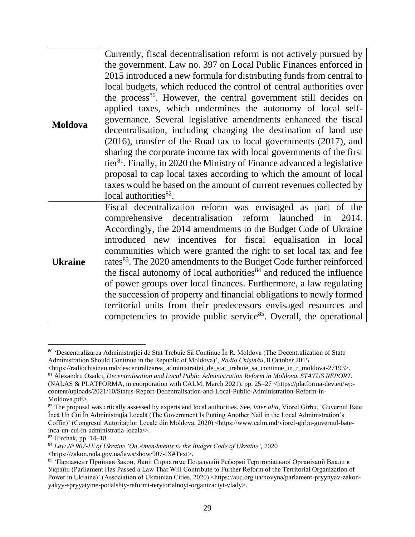|                | Currently, fiscal decentralisation reform is not actively pursued by                 |
|----------------|--------------------------------------------------------------------------------------|
| <b>Moldova</b> | the government. Law no. 397 on Local Public Finances enforced in                     |
|                | 2015 introduced a new formula for distributing funds from central to                 |
|                | local budgets, which reduced the control of central authorities over                 |
|                | the process <sup>80</sup> . However, the central government still decides on         |
|                | applied taxes, which undermines the autonomy of local self-                          |
|                | governance. Several legislative amendments enhanced the fiscal                       |
|                | decentralisation, including changing the destination of land use                     |
|                | (2016), transfer of the Road tax to local governments (2017), and                    |
|                | sharing the corporate income tax with local governments of the first                 |
|                | tier <sup>81</sup> . Finally, in 2020 the Ministry of Finance advanced a legislative |
|                | proposal to cap local taxes according to which the amount of local                   |
|                | taxes would be based on the amount of current revenues collected by                  |
|                | local authorities <sup>82</sup> .                                                    |
|                | Fiscal decentralization reform was envisaged as part of the                          |
|                | comprehensive decentralisation reform launched in<br>2014.                           |
| <b>Ukraine</b> | Accordingly, the 2014 amendments to the Budget Code of Ukraine                       |
|                | introduced new incentives for fiscal equalisation in local                           |
|                | communities which were granted the right to set local tax and fee                    |
|                | rates <sup>83</sup> . The 2020 amendments to the Budget Code further reinforced      |
|                | the fiscal autonomy of local authorities <sup>84</sup> and reduced the influence     |
|                | of power groups over local finances. Furthermore, a law regulating                   |
|                | the succession of property and financial obligations to newly formed                 |
|                | territorial units from their predecessors envisaged resources and                    |
|                | competencies to provide public service <sup>85</sup> . Overall, the operational      |

<sup>80</sup> 'Descentralizarea Administrației de Stat Trebuie Să Continue În R. Moldova (The Decentralization of State Administration Should Continue in the Republic of Moldova)', *Radio Chișinău*, 8 October 2015

<sup>&</sup>lt;https://radiochisinau.md/descentralizarea\_administratiei\_de\_stat\_trebuie\_sa\_continue\_in\_r\_moldova-27193>.

<sup>81</sup> Alexandru Osadci, *Decentralisation and Local Public Administration Reform in Moldova. STATUS REPORT.* (NALAS & PLATFORMA, in coorporation with CALM, March 2021), pp. 25–27 <https://platforma-dev.eu/wpcontent/uploads/2021/10/Status-Report-Decentralisation-and-Local-Public-Administration-Reform-in-Moldova.pdf>.

<sup>82</sup> The proposal was crtically assessed by experts and local authorities. See, *inter alia*, Viorel Gîrbu, 'Guvernul Bate Încă Un Cui În Administrația Locală (The Government Is Putting Another Nail in the Local Administration's Coffin)' (Congresul Autorităților Locale din Moldova, 2020) <https://www.calm.md/viorel-girbu-guvernul-bateinca-un-cui-in-administratia-locala/>.

 $83$  Hirchak, pp. 14–18.

<sup>84</sup> *Law № 907-IX of Ukraine 'On Amendments to the Budget Code of Ukraine'*, 2020

<sup>&</sup>lt;https://zakon.rada.gov.ua/laws/show/907-IX#Text>.

<sup>85</sup> 'Парламент Прийняв Закон, Який Сприятиме Подальшій Реформі Територіальної Організації Влади в Україні (Parliament Has Passed a Law That Will Contribute to Further Reform of the Territorial Organization of Power in Ukraine)' (Association of Ukrainian Cities, 2020) <https://auc.org.ua/novyna/parlament-pryynyav-zakonyakyy-spryyatyme-podalshiy-reformi-terytorialnoyi-organizaciyi-vlady>.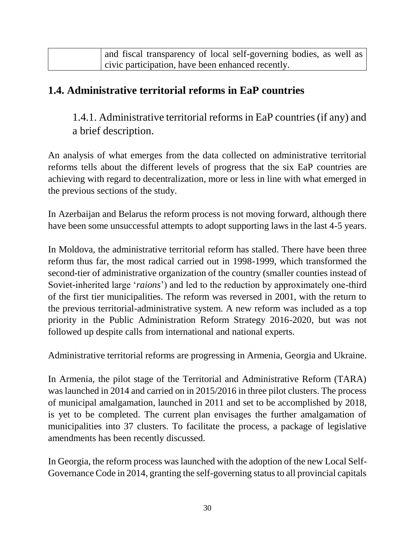| and fiscal transparency of local self-governing bodies, as well as |
|--------------------------------------------------------------------|
| civic participation, have been enhanced recently.                  |

#### **1.4. Administrative territorial reforms in EaP countries**

1.4.1. Administrative territorial reforms in EaP countries (if any) and a brief description.

An analysis of what emerges from the data collected on administrative territorial reforms tells about the different levels of progress that the six EaP countries are achieving with regard to decentralization, more or less in line with what emerged in the previous sections of the study.

In Azerbaijan and Belarus the reform process is not moving forward, although there have been some unsuccessful attempts to adopt supporting laws in the last 4-5 years.

In Moldova, the administrative territorial reform has stalled. There have been three reform thus far, the most radical carried out in 1998-1999, which transformed the second-tier of administrative organization of the country (smaller counties instead of Soviet-inherited large '*raions*') and led to the reduction by approximately one-third of the first tier municipalities. The reform was reversed in 2001, with the return to the previous territorial-administrative system. A new reform was included as a top priority in the Public Administration Reform Strategy 2016-2020, but was not followed up despite calls from international and national experts.

Administrative territorial reforms are progressing in Armenia, Georgia and Ukraine.

In Armenia, the pilot stage of the Territorial and Administrative Reform (TARA) was launched in 2014 and carried on in 2015/2016 in three pilot clusters. The process of municipal amalgamation, launched in 2011 and set to be accomplished by 2018, is yet to be completed. The current plan envisages the further amalgamation of municipalities into 37 clusters. To facilitate the process, a package of legislative amendments has been recently discussed.

In Georgia, the reform process was launched with the adoption of the new Local Self-Governance Code in 2014, granting the self-governing status to all provincial capitals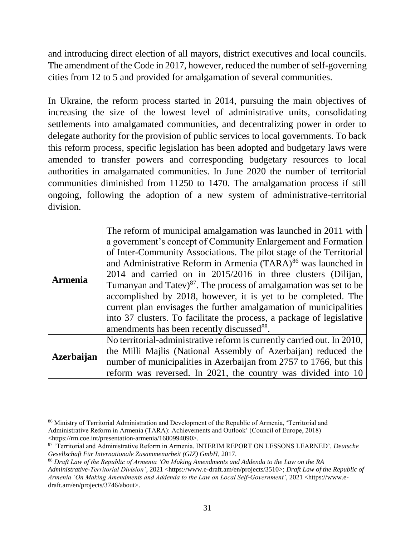and introducing direct election of all mayors, district executives and local councils. The amendment of the Code in 2017, however, reduced the number of self-governing cities from 12 to 5 and provided for amalgamation of several communities.

In Ukraine, the reform process started in 2014, pursuing the main objectives of increasing the size of the lowest level of administrative units, consolidating settlements into amalgamated communities, and decentralizing power in order to delegate authority for the provision of public services to local governments. To back this reform process, specific legislation has been adopted and budgetary laws were amended to transfer powers and corresponding budgetary resources to local authorities in amalgamated communities. In June 2020 the number of territorial communities diminished from 11250 to 1470. The amalgamation process if still ongoing, following the adoption of a new system of administrative-territorial division.

|                   | The reform of municipal amalgamation was launched in 2011 with                |
|-------------------|-------------------------------------------------------------------------------|
|                   | a government's concept of Community Enlargement and Formation                 |
|                   | of Inter-Community Associations. The pilot stage of the Territorial           |
|                   | and Administrative Reform in Armenia (TARA) <sup>86</sup> was launched in     |
|                   | 2014 and carried on in 2015/2016 in three clusters (Dilijan,                  |
| Armenia           | Tumanyan and Tatev) <sup>87</sup> . The process of amalgamation was set to be |
|                   | accomplished by 2018, however, it is yet to be completed. The                 |
|                   | current plan envisages the further amalgamation of municipalities             |
|                   | into 37 clusters. To facilitate the process, a package of legislative         |
|                   | amendments has been recently discussed <sup>88</sup> .                        |
| <b>Azerbaijan</b> | No territorial-administrative reform is currently carried out. In 2010,       |
|                   | the Milli Majlis (National Assembly of Azerbaijan) reduced the                |
|                   | number of municipalities in Azerbaijan from 2757 to 1766, but this            |
|                   | reform was reversed. In 2021, the country was divided into 10                 |

<sup>86</sup> Ministry of Territorial Administration and Development of the Republic of Armenia, 'Territorial and Administrative Reform in Armenia (TARA): Achievements and Outlook' (Council of Europe, 2018) <https://rm.coe.int/presentation-armenia/1680994090>.

<sup>87</sup> 'Territorial and Administrative Reform in Armenia. INTERIM REPORT ON LESSONS LEARNED', *Deutsche Gesellschaft Für Internationale Zusammenarbeit (GIZ) GmbH*, 2017.

<sup>88</sup> *Draft Law of the Republic of Armenia 'On Making Amendments and Addenda to the Law on the RA Administrative-Territorial Division'*, 2021 <https://www.e-draft.am/en/projects/3510>; *Draft Law of the Republic of Armenia 'On Making Amendments and Addenda to the Law on Local Self-Government'*, 2021 <https://www.edraft.am/en/projects/3746/about>.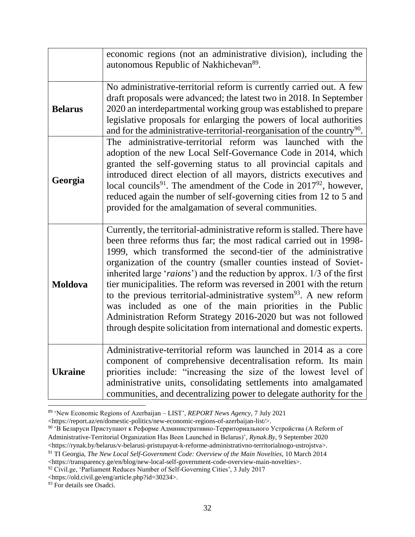|                | economic regions (not an administrative division), including the<br>autonomous Republic of Nakhichevan <sup>89</sup> .                                                                                                                                                                                                                                                                                                                                                                                                                                                                                                                                                                                                        |
|----------------|-------------------------------------------------------------------------------------------------------------------------------------------------------------------------------------------------------------------------------------------------------------------------------------------------------------------------------------------------------------------------------------------------------------------------------------------------------------------------------------------------------------------------------------------------------------------------------------------------------------------------------------------------------------------------------------------------------------------------------|
| <b>Belarus</b> | No administrative-territorial reform is currently carried out. A few<br>draft proposals were advanced; the latest two in 2018. In September<br>2020 an interdepartmental working group was established to prepare<br>legislative proposals for enlarging the powers of local authorities<br>and for the administrative-territorial-reorganisation of the country <sup>90</sup> .                                                                                                                                                                                                                                                                                                                                              |
| Georgia        | The administrative-territorial reform was launched with the<br>adoption of the new Local Self-Governance Code in 2014, which<br>granted the self-governing status to all provincial capitals and<br>introduced direct election of all mayors, districts executives and<br>local councils <sup>91</sup> . The amendment of the Code in $201792$ , however,<br>reduced again the number of self-governing cities from 12 to 5 and<br>provided for the amalgamation of several communities.                                                                                                                                                                                                                                      |
| <b>Moldova</b> | Currently, the territorial-administrative reform is stalled. There have<br>been three reforms thus far; the most radical carried out in 1998-<br>1999, which transformed the second-tier of the administrative<br>organization of the country (smaller counties instead of Soviet-<br>inherited large 'raions') and the reduction by approx. 1/3 of the first<br>tier municipalities. The reform was reversed in 2001 with the return<br>to the previous territorial-administrative system <sup>93</sup> . A new reform<br>was included as one of the main priorities in the Public<br>Administration Reform Strategy 2016-2020 but was not followed<br>through despite solicitation from international and domestic experts. |
| <b>Ukraine</b> | Administrative-territorial reform was launched in 2014 as a core<br>component of comprehensive decentralisation reform. Its main<br>priorities include: "increasing the size of the lowest level of<br>administrative units, consolidating settlements into amalgamated<br>communities, and decentralizing power to delegate authority for the                                                                                                                                                                                                                                                                                                                                                                                |

<sup>89</sup> 'New Economic Regions of Azerbaijan – LIST', *REPORT News Agency*, 7 July 2021

<sup>&</sup>lt;https://report.az/en/domestic-politics/new-economic-regions-of-azerbaijan-list/>.

<sup>&</sup>lt;sup>90</sup> 'В Беларуси Приступают к Реформе Административно-Территориального Устройства (A Reform of Administrative-Territorial Organization Has Been Launched in Belarus)', *Rynak.By*, 9 September 2020 <https://rynak.by/belarus/v-belarusi-pristupayut-k-reforme-administrativno-territorialnogo-ustrojstva>.

<sup>91</sup> TI Georgia, *The New Local Self-Government Code: Overview of the Main Novelties*, 10 March 2014

<sup>&</sup>lt;https://transparency.ge/en/blog/new-local-self-government-code-overview-main-novelties>.

<sup>&</sup>lt;sup>92</sup> Civil.ge, 'Parliament Reduces Number of Self-Governing Cities', 3 July 2017

<sup>&</sup>lt;https://old.civil.ge/eng/article.php?id=30234>.

<sup>&</sup>lt;sup>93</sup> For details see Osadci.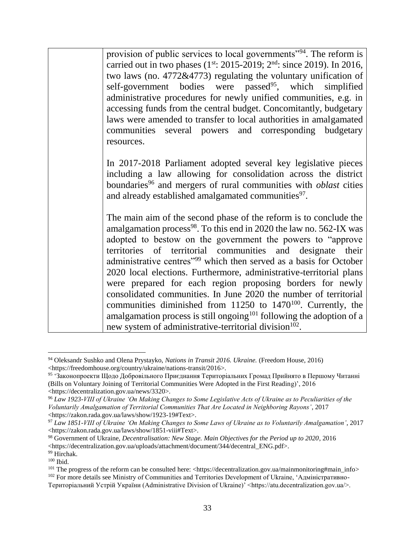| provision of public services to local governments <sup>"94</sup> . The reform is<br>carried out in two phases ( $1^{st}$ : 2015-2019; $2^{nd}$ : since 2019). In 2016,<br>two laws (no. $4772\&4773$ ) regulating the voluntary unification of<br>self-government bodies were passed <sup>95</sup> , which simplified<br>administrative procedures for newly unified communities, e.g. in<br>accessing funds from the central budget. Concomitantly, budgetary<br>laws were amended to transfer to local authorities in amalgamated<br>communities several powers and corresponding budgetary<br>resources.<br>In 2017-2018 Parliament adopted several key legislative pieces<br>including a law allowing for consolidation across the district<br>boundaries <sup>96</sup> and mergers of rural communities with <i>oblast</i> cities<br>and already established amalgamated communities <sup>97</sup> .<br>The main aim of the second phase of the reform is to conclude the<br>amalgamation process <sup>98</sup> . To this end in 2020 the law no. 562-IX was<br>adopted to bestow on the government the powers to "approve<br>territories of territorial communities and designate their<br>administrative centres" <sup>99</sup> which then served as a basis for October<br>2020 local elections. Furthermore, administrative-territorial plans<br>were prepared for each region proposing borders for newly<br>consolidated communities. In June 2020 the number of territorial<br>communities diminished from $11250$ to $1470^{100}$ . Currently, the<br>amalgamation process is still ongoing <sup>101</sup> following the adoption of a<br>new system of administrative-territorial division <sup>102</sup> . |  |
|---------------------------------------------------------------------------------------------------------------------------------------------------------------------------------------------------------------------------------------------------------------------------------------------------------------------------------------------------------------------------------------------------------------------------------------------------------------------------------------------------------------------------------------------------------------------------------------------------------------------------------------------------------------------------------------------------------------------------------------------------------------------------------------------------------------------------------------------------------------------------------------------------------------------------------------------------------------------------------------------------------------------------------------------------------------------------------------------------------------------------------------------------------------------------------------------------------------------------------------------------------------------------------------------------------------------------------------------------------------------------------------------------------------------------------------------------------------------------------------------------------------------------------------------------------------------------------------------------------------------------------------------------------------------------------------------------------------------------|--|
|                                                                                                                                                                                                                                                                                                                                                                                                                                                                                                                                                                                                                                                                                                                                                                                                                                                                                                                                                                                                                                                                                                                                                                                                                                                                                                                                                                                                                                                                                                                                                                                                                                                                                                                           |  |
|                                                                                                                                                                                                                                                                                                                                                                                                                                                                                                                                                                                                                                                                                                                                                                                                                                                                                                                                                                                                                                                                                                                                                                                                                                                                                                                                                                                                                                                                                                                                                                                                                                                                                                                           |  |
|                                                                                                                                                                                                                                                                                                                                                                                                                                                                                                                                                                                                                                                                                                                                                                                                                                                                                                                                                                                                                                                                                                                                                                                                                                                                                                                                                                                                                                                                                                                                                                                                                                                                                                                           |  |
|                                                                                                                                                                                                                                                                                                                                                                                                                                                                                                                                                                                                                                                                                                                                                                                                                                                                                                                                                                                                                                                                                                                                                                                                                                                                                                                                                                                                                                                                                                                                                                                                                                                                                                                           |  |
|                                                                                                                                                                                                                                                                                                                                                                                                                                                                                                                                                                                                                                                                                                                                                                                                                                                                                                                                                                                                                                                                                                                                                                                                                                                                                                                                                                                                                                                                                                                                                                                                                                                                                                                           |  |
|                                                                                                                                                                                                                                                                                                                                                                                                                                                                                                                                                                                                                                                                                                                                                                                                                                                                                                                                                                                                                                                                                                                                                                                                                                                                                                                                                                                                                                                                                                                                                                                                                                                                                                                           |  |
|                                                                                                                                                                                                                                                                                                                                                                                                                                                                                                                                                                                                                                                                                                                                                                                                                                                                                                                                                                                                                                                                                                                                                                                                                                                                                                                                                                                                                                                                                                                                                                                                                                                                                                                           |  |
|                                                                                                                                                                                                                                                                                                                                                                                                                                                                                                                                                                                                                                                                                                                                                                                                                                                                                                                                                                                                                                                                                                                                                                                                                                                                                                                                                                                                                                                                                                                                                                                                                                                                                                                           |  |
|                                                                                                                                                                                                                                                                                                                                                                                                                                                                                                                                                                                                                                                                                                                                                                                                                                                                                                                                                                                                                                                                                                                                                                                                                                                                                                                                                                                                                                                                                                                                                                                                                                                                                                                           |  |
|                                                                                                                                                                                                                                                                                                                                                                                                                                                                                                                                                                                                                                                                                                                                                                                                                                                                                                                                                                                                                                                                                                                                                                                                                                                                                                                                                                                                                                                                                                                                                                                                                                                                                                                           |  |
|                                                                                                                                                                                                                                                                                                                                                                                                                                                                                                                                                                                                                                                                                                                                                                                                                                                                                                                                                                                                                                                                                                                                                                                                                                                                                                                                                                                                                                                                                                                                                                                                                                                                                                                           |  |
|                                                                                                                                                                                                                                                                                                                                                                                                                                                                                                                                                                                                                                                                                                                                                                                                                                                                                                                                                                                                                                                                                                                                                                                                                                                                                                                                                                                                                                                                                                                                                                                                                                                                                                                           |  |
|                                                                                                                                                                                                                                                                                                                                                                                                                                                                                                                                                                                                                                                                                                                                                                                                                                                                                                                                                                                                                                                                                                                                                                                                                                                                                                                                                                                                                                                                                                                                                                                                                                                                                                                           |  |
|                                                                                                                                                                                                                                                                                                                                                                                                                                                                                                                                                                                                                                                                                                                                                                                                                                                                                                                                                                                                                                                                                                                                                                                                                                                                                                                                                                                                                                                                                                                                                                                                                                                                                                                           |  |
|                                                                                                                                                                                                                                                                                                                                                                                                                                                                                                                                                                                                                                                                                                                                                                                                                                                                                                                                                                                                                                                                                                                                                                                                                                                                                                                                                                                                                                                                                                                                                                                                                                                                                                                           |  |
|                                                                                                                                                                                                                                                                                                                                                                                                                                                                                                                                                                                                                                                                                                                                                                                                                                                                                                                                                                                                                                                                                                                                                                                                                                                                                                                                                                                                                                                                                                                                                                                                                                                                                                                           |  |
|                                                                                                                                                                                                                                                                                                                                                                                                                                                                                                                                                                                                                                                                                                                                                                                                                                                                                                                                                                                                                                                                                                                                                                                                                                                                                                                                                                                                                                                                                                                                                                                                                                                                                                                           |  |
|                                                                                                                                                                                                                                                                                                                                                                                                                                                                                                                                                                                                                                                                                                                                                                                                                                                                                                                                                                                                                                                                                                                                                                                                                                                                                                                                                                                                                                                                                                                                                                                                                                                                                                                           |  |
|                                                                                                                                                                                                                                                                                                                                                                                                                                                                                                                                                                                                                                                                                                                                                                                                                                                                                                                                                                                                                                                                                                                                                                                                                                                                                                                                                                                                                                                                                                                                                                                                                                                                                                                           |  |
|                                                                                                                                                                                                                                                                                                                                                                                                                                                                                                                                                                                                                                                                                                                                                                                                                                                                                                                                                                                                                                                                                                                                                                                                                                                                                                                                                                                                                                                                                                                                                                                                                                                                                                                           |  |
|                                                                                                                                                                                                                                                                                                                                                                                                                                                                                                                                                                                                                                                                                                                                                                                                                                                                                                                                                                                                                                                                                                                                                                                                                                                                                                                                                                                                                                                                                                                                                                                                                                                                                                                           |  |
|                                                                                                                                                                                                                                                                                                                                                                                                                                                                                                                                                                                                                                                                                                                                                                                                                                                                                                                                                                                                                                                                                                                                                                                                                                                                                                                                                                                                                                                                                                                                                                                                                                                                                                                           |  |
|                                                                                                                                                                                                                                                                                                                                                                                                                                                                                                                                                                                                                                                                                                                                                                                                                                                                                                                                                                                                                                                                                                                                                                                                                                                                                                                                                                                                                                                                                                                                                                                                                                                                                                                           |  |
|                                                                                                                                                                                                                                                                                                                                                                                                                                                                                                                                                                                                                                                                                                                                                                                                                                                                                                                                                                                                                                                                                                                                                                                                                                                                                                                                                                                                                                                                                                                                                                                                                                                                                                                           |  |
|                                                                                                                                                                                                                                                                                                                                                                                                                                                                                                                                                                                                                                                                                                                                                                                                                                                                                                                                                                                                                                                                                                                                                                                                                                                                                                                                                                                                                                                                                                                                                                                                                                                                                                                           |  |
|                                                                                                                                                                                                                                                                                                                                                                                                                                                                                                                                                                                                                                                                                                                                                                                                                                                                                                                                                                                                                                                                                                                                                                                                                                                                                                                                                                                                                                                                                                                                                                                                                                                                                                                           |  |
|                                                                                                                                                                                                                                                                                                                                                                                                                                                                                                                                                                                                                                                                                                                                                                                                                                                                                                                                                                                                                                                                                                                                                                                                                                                                                                                                                                                                                                                                                                                                                                                                                                                                                                                           |  |

<sup>94</sup> Oleksandr Sushko and Olena Prystayko, *Nations in Transit 2016. Ukraine.* (Freedom House, 2016) <https://freedomhouse.org/country/ukraine/nations-transit/2016>.

<sup>95</sup> 'Законопроекти Щодо Добровільного Приєднання Територіальних Громад Прийнято в Першому Читанні (Bills on Voluntary Joining of Territorial Communities Were Adopted in the First Reading)', 2016 <https://decentralization.gov.ua/news/3320>.

<sup>96</sup> *Law 1923-VIII of Ukraine 'On Making Changes to Some Legislative Acts of Ukraine as to Peculiarities of the Voluntarily Amalgamation of Territorial Communities That Are Located in Neighboring Rayons'*, 2017 <https://zakon.rada.gov.ua/laws/show/1923-19#Text>.

<sup>97</sup> *Law 1851-VIII of Ukraine 'On Making Changes to Some Laws of Ukraine as to Voluntarily Amalgamation'*, 2017 <https://zakon.rada.gov.ua/laws/show/1851-viii#Text>.

<sup>98</sup> Government of Ukraine, *Decentralisation: New Stage. Main Objectives for the Period up to 2020*, 2016 <https://decentralization.gov.ua/uploads/attachment/document/344/decentral\_ENG.pdf>.

<sup>&</sup>lt;sup>99</sup> Hirchak.

<sup>100</sup> Ibid.

<sup>&</sup>lt;sup>101</sup> The progress of the reform can be consulted here: [<https://decentralization.gov.ua/mainmonitoring#main\\_info>](https://decentralization.gov.ua/mainmonitoring#main_info) <sup>102</sup> For more details see Ministry of Communities and Territories Development of Ukraine, 'Адміністративно-

Територіальний Устрій України (Administrative Division of Ukraine)' <https://atu.decentralization.gov.ua/>.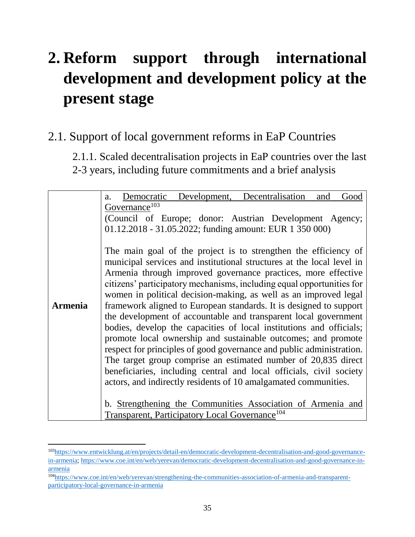# **2. Reform support through international development and development policy at the present stage**

2.1. Support of local government reforms in EaP Countries

2.1.1. Scaled decentralisation projects in EaP countries over the last 2-3 years, including future commitments and a brief analysis

|         | Development, Decentralisation<br>Democratic<br>Good<br>and<br>a.      |
|---------|-----------------------------------------------------------------------|
|         | Governance $103$                                                      |
|         |                                                                       |
|         | (Council of Europe; donor: Austrian Development Agency;               |
|         | 01.12.2018 - 31.05.2022; funding amount: EUR 1 350 000)               |
|         |                                                                       |
|         | The main goal of the project is to strengthen the efficiency of       |
|         | municipal services and institutional structures at the local level in |
|         | Armenia through improved governance practices, more effective         |
|         | citizens' participatory mechanisms, including equal opportunities for |
|         | women in political decision-making, as well as an improved legal      |
|         |                                                                       |
| Armenia | framework aligned to European standards. It is designed to support    |
|         | the development of accountable and transparent local government       |
|         | bodies, develop the capacities of local institutions and officials;   |
|         | promote local ownership and sustainable outcomes; and promote         |
|         | respect for principles of good governance and public administration.  |
|         | The target group comprise an estimated number of 20,835 direct        |
|         | beneficiaries, including central and local officials, civil society   |
|         | actors, and indirectly residents of 10 amalgamated communities.       |
|         |                                                                       |
|         |                                                                       |
|         | b. Strengthening the Communities Association of Armenia and           |
|         | Transparent, Participatory Local Governance <sup>104</sup>            |

<sup>103</sup>[https://www.entwicklung.at/en/projects/detail-en/democratic-development-decentralisation-and-good-governance](https://www.entwicklung.at/en/projects/detail-en/democratic-development-decentralisation-and-good-governance-in-armenia)[in-armenia;](https://www.entwicklung.at/en/projects/detail-en/democratic-development-decentralisation-and-good-governance-in-armenia) [https://www.coe.int/en/web/yerevan/democratic-development-decentralisation-and-good-governance-in](https://www.coe.int/en/web/yerevan/democratic-development-decentralisation-and-good-governance-in-armenia)[armenia](https://www.coe.int/en/web/yerevan/democratic-development-decentralisation-and-good-governance-in-armenia)

<sup>104</sup>[https://www.coe.int/en/web/yerevan/strengthening-the-communities-association-of-armenia-and-transparent](https://www.coe.int/en/web/yerevan/strengthening-the-communities-association-of-armenia-and-transparent-participatory-local-governance-in-armenia)[participatory-local-governance-in-armenia](https://www.coe.int/en/web/yerevan/strengthening-the-communities-association-of-armenia-and-transparent-participatory-local-governance-in-armenia)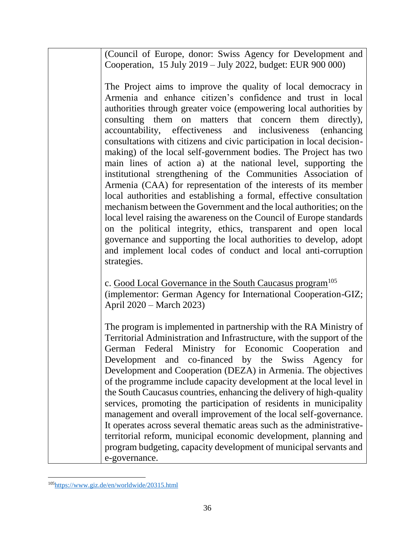(Council of Europe, donor: Swiss Agency for Development and Cooperation, 15 July 2019 – July 2022, budget: EUR 900 000)

The Project aims to improve the quality of local democracy in Armenia and enhance citizen's confidence and trust in local authorities through greater voice (empowering local authorities by consulting them on matters that concern them directly), accountability, effectiveness and inclusiveness (enhancing consultations with citizens and civic participation in local decisionmaking) of the local self-government bodies. The Project has two main lines of action a) at the national level, supporting the institutional strengthening of the Communities Association of Armenia (CAA) for representation of the interests of its member local authorities and establishing a formal, effective consultation mechanism between the Government and the local authorities; on the local level raising the awareness on the Council of Europe standards on the political integrity, ethics, transparent and open local governance and supporting the local authorities to develop, adopt and implement local codes of conduct and local anti-corruption strategies.

c. Good Local Governance in the South Caucasus program<sup>105</sup> (implementor: German Agency for International Cooperation-GIZ; April 2020 – March 2023)

The program is implemented in partnership with the RA Ministry of Territorial Administration and Infrastructure, with the support of the German Federal Ministry for Economic Cooperation and Development and co-financed by the Swiss Agency for Development and Cooperation (DEZA) in Armenia. The objectives of the programme include capacity development at the local level in the South Caucasus countries, enhancing the delivery of high-quality services, promoting the participation of residents in municipality management and overall improvement of the local self-governance. It operates across several thematic areas such as the administrativeterritorial reform, municipal economic development, planning and program budgeting, capacity development of municipal servants and e-governance.

<sup>105</sup><https://www.giz.de/en/worldwide/20315.html>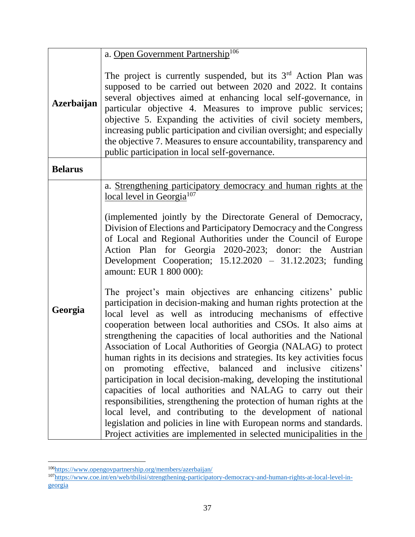|                   | a. Open Government Partnership <sup>106</sup>                                                                                                                                                                                                                                                                                                                                                                                                                                                                                                                                                                                                                                                                                                                                                                                                                                                                                                                                                                                                                                                                                                                                                                                                                                                                                                                                                                                                                   |
|-------------------|-----------------------------------------------------------------------------------------------------------------------------------------------------------------------------------------------------------------------------------------------------------------------------------------------------------------------------------------------------------------------------------------------------------------------------------------------------------------------------------------------------------------------------------------------------------------------------------------------------------------------------------------------------------------------------------------------------------------------------------------------------------------------------------------------------------------------------------------------------------------------------------------------------------------------------------------------------------------------------------------------------------------------------------------------------------------------------------------------------------------------------------------------------------------------------------------------------------------------------------------------------------------------------------------------------------------------------------------------------------------------------------------------------------------------------------------------------------------|
| <b>Azerbaijan</b> | The project is currently suspended, but its $3rd$ Action Plan was<br>supposed to be carried out between 2020 and 2022. It contains<br>several objectives aimed at enhancing local self-governance, in<br>particular objective 4. Measures to improve public services;<br>objective 5. Expanding the activities of civil society members,<br>increasing public participation and civilian oversight; and especially<br>the objective 7. Measures to ensure accountability, transparency and<br>public participation in local self-governance.                                                                                                                                                                                                                                                                                                                                                                                                                                                                                                                                                                                                                                                                                                                                                                                                                                                                                                                    |
| <b>Belarus</b>    |                                                                                                                                                                                                                                                                                                                                                                                                                                                                                                                                                                                                                                                                                                                                                                                                                                                                                                                                                                                                                                                                                                                                                                                                                                                                                                                                                                                                                                                                 |
| Georgia           | a. Strengthening participatory democracy and human rights at the<br>local level in Georgia <sup>107</sup><br>(implemented jointly by the Directorate General of Democracy,<br>Division of Elections and Participatory Democracy and the Congress<br>of Local and Regional Authorities under the Council of Europe<br>Action Plan for Georgia 2020-2023; donor: the Austrian<br>Development Cooperation; $15.12.2020 - 31.12.2023$ ; funding<br>amount: EUR 1 800 000):<br>The project's main objectives are enhancing citizens' public<br>participation in decision-making and human rights protection at the<br>local level as well as introducing mechanisms of effective<br>cooperation between local authorities and CSOs. It also aims at<br>strengthening the capacities of local authorities and the National<br>Association of Local Authorities of Georgia (NALAG) to protect<br>human rights in its decisions and strategies. Its key activities focus<br>promoting effective, balanced and inclusive citizens'<br>on<br>participation in local decision-making, developing the institutional<br>capacities of local authorities and NALAG to carry out their<br>responsibilities, strengthening the protection of human rights at the<br>local level, and contributing to the development of national<br>legislation and policies in line with European norms and standards.<br>Project activities are implemented in selected municipalities in the |

<sup>106</sup><https://www.opengovpartnership.org/members/azerbaijan/>

<sup>107&</sup>lt;sub>https://www.coe.int/en/web/tbilisi/strengthening-participatory-democracy-and-human-rights-at-local-level-in-</sub> [georgia](https://www.coe.int/en/web/tbilisi/strengthening-participatory-democracy-and-human-rights-at-local-level-in-georgia)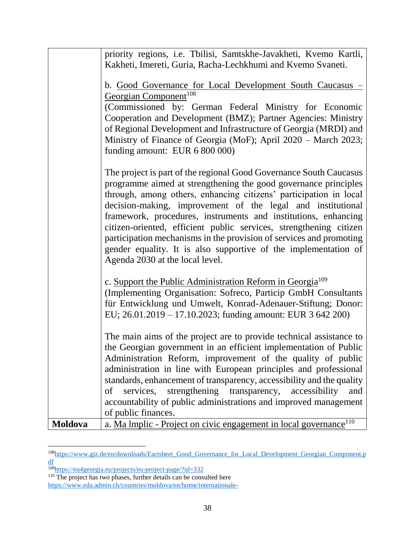| priority regions, i.e. Tbilisi, Samtskhe-Javakheti, Kvemo Kartli,                        |  |
|------------------------------------------------------------------------------------------|--|
|                                                                                          |  |
| Kakheti, Imereti, Guria, Racha-Lechkhumi and Kvemo Svaneti.                              |  |
|                                                                                          |  |
| b. Good Governance for Local Development South Caucasus –                                |  |
| Georgian Component <sup>108</sup>                                                        |  |
| (Commissioned by: German Federal Ministry for Economic                                   |  |
| Cooperation and Development (BMZ); Partner Agencies: Ministry                            |  |
| of Regional Development and Infrastructure of Georgia (MRDI) and                         |  |
| Ministry of Finance of Georgia (MoF); April 2020 – March 2023;                           |  |
| funding amount: EUR 6 800 000)                                                           |  |
|                                                                                          |  |
| The project is part of the regional Good Governance South Caucasus                       |  |
| programme aimed at strengthening the good governance principles                          |  |
| through, among others, enhancing citizens' participation in local                        |  |
| decision-making, improvement of the legal and institutional                              |  |
| framework, procedures, instruments and institutions, enhancing                           |  |
|                                                                                          |  |
| citizen-oriented, efficient public services, strengthening citizen                       |  |
| participation mechanisms in the provision of services and promoting                      |  |
| gender equality. It is also supportive of the implementation of                          |  |
| Agenda 2030 at the local level.                                                          |  |
|                                                                                          |  |
| c. Support the Public Administration Reform in Georgia <sup>109</sup>                    |  |
| (Implementing Organisation: Sofreco, Particip GmbH Consultants                           |  |
| für Entwicklung und Umwelt, Konrad-Adenauer-Stiftung; Donor:                             |  |
| EU; $26.01.2019 - 17.10.2023$ ; funding amount: EUR 3 642 200)                           |  |
|                                                                                          |  |
| The main aims of the project are to provide technical assistance to                      |  |
| the Georgian government in an efficient implementation of Public                         |  |
| Administration Reform, improvement of the quality of public                              |  |
| administration in line with European principles and professional                         |  |
| standards, enhancement of transparency, accessibility and the quality                    |  |
| services, strengthening transparency,<br>accessibility<br>οf<br>and                      |  |
| accountability of public administrations and improved management                         |  |
| of public finances.                                                                      |  |
| a. Ma Implic - Project on civic engagement in local governance <sup>110</sup><br>Moldova |  |

<sup>108</sup>[https://www.giz.de/en/downloads/Factsheet\\_Good\\_Governance\\_for\\_Local\\_Development\\_Georgian\\_Component.p](https://www.giz.de/en/downloads/Factsheet_Good_Governance_for_Local_Development_Georgian_Component.pdf) [df](https://www.giz.de/en/downloads/Factsheet_Good_Governance_for_Local_Development_Georgian_Component.pdf)

<sup>&</sup>lt;sup>109</sup><https://eu4georgia.eu/projects/eu-project-page/?id=332>

<sup>&</sup>lt;sup>110</sup> The project has two phases, further details can be consulted here [https://www.eda.admin.ch/countries/moldova/en/home/internationale-](https://www.eda.admin.ch/countries/moldova/en/home/internationale-zusammenarbeit/projekte.filterResults.html/content/dezaprojects/SDC/en/2017/7F09815/phase1.html?oldPagePath=/content/countries/moldova/en/home/internationale-zusammenarbeit/projekte.html)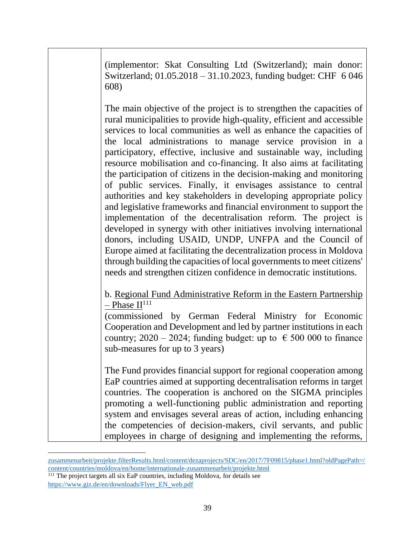(implementor: Skat Consulting Ltd (Switzerland); main donor: Switzerland; 01.05.2018 – 31.10.2023, funding budget: CHF 6 046 608)

The main objective of the project is to strengthen the capacities of rural municipalities to provide high-quality, efficient and accessible services to local communities as well as enhance the capacities of the local administrations to manage service provision in a participatory, effective, inclusive and sustainable way, including resource mobilisation and co-financing. It also aims at facilitating the participation of citizens in the decision-making and monitoring of public services. Finally, it envisages assistance to central authorities and key stakeholders in developing appropriate policy and legislative frameworks and financial environment to support the implementation of the decentralisation reform. The project is developed in synergy with other initiatives involving international donors, including USAID, UNDP, UNFPA and the Council of Europe aimed at facilitating the decentralization process in Moldova through building the capacities of local governments to meet citizens' needs and strengthen citizen confidence in democratic institutions.

b. Regional Fund Administrative Reform in the Eastern Partnership – Phase  $II<sup>111</sup>$ 

(commissioned by German Federal Ministry for Economic Cooperation and Development and led by partner institutions in each country; 2020 – 2024; funding budget: up to  $\epsilon$  500 000 to finance sub-measures for up to 3 years)

The Fund provides financial support for regional cooperation among EaP countries aimed at supporting decentralisation reforms in target countries. The cooperation is anchored on the SIGMA principles promoting a well-functioning public administration and reporting system and envisages several areas of action, including enhancing the competencies of decision-makers, civil servants, and public employees in charge of designing and implementing the reforms,

[zusammenarbeit/projekte.filterResults.html/content/dezaprojects/SDC/en/2017/7F09815/phase1.html?oldPagePath=/](https://www.eda.admin.ch/countries/moldova/en/home/internationale-zusammenarbeit/projekte.filterResults.html/content/dezaprojects/SDC/en/2017/7F09815/phase1.html?oldPagePath=/content/countries/moldova/en/home/internationale-zusammenarbeit/projekte.html) [content/countries/moldova/en/home/internationale-zusammenarbeit/projekte.html](https://www.eda.admin.ch/countries/moldova/en/home/internationale-zusammenarbeit/projekte.filterResults.html/content/dezaprojects/SDC/en/2017/7F09815/phase1.html?oldPagePath=/content/countries/moldova/en/home/internationale-zusammenarbeit/projekte.html)

<sup>&</sup>lt;sup>111</sup> The project targets all six EaP countries, including Moldova, for details see [https://www.giz.de/en/downloads/Flyer\\_EN\\_web.pdf](https://www.giz.de/en/downloads/Flyer_EN_web.pdf)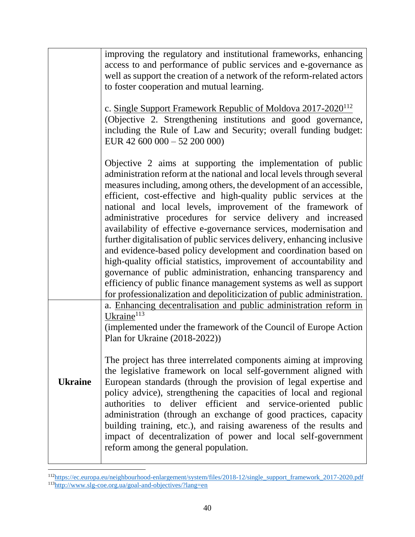|                | improving the regulatory and institutional frameworks, enhancing<br>access to and performance of public services and e-governance as<br>well as support the creation of a network of the reform-related actors                                                                                                                                                                                                                                                                                                                                                                                                                                                                                                                                                                                                                                      |
|----------------|-----------------------------------------------------------------------------------------------------------------------------------------------------------------------------------------------------------------------------------------------------------------------------------------------------------------------------------------------------------------------------------------------------------------------------------------------------------------------------------------------------------------------------------------------------------------------------------------------------------------------------------------------------------------------------------------------------------------------------------------------------------------------------------------------------------------------------------------------------|
|                | to foster cooperation and mutual learning.                                                                                                                                                                                                                                                                                                                                                                                                                                                                                                                                                                                                                                                                                                                                                                                                          |
|                | c. Single Support Framework Republic of Moldova 2017-2020 <sup>112</sup><br>(Objective 2. Strengthening institutions and good governance,<br>including the Rule of Law and Security; overall funding budget:<br>EUR 42 600 000 - 52 200 000)                                                                                                                                                                                                                                                                                                                                                                                                                                                                                                                                                                                                        |
|                | Objective 2 aims at supporting the implementation of public<br>administration reform at the national and local levels through several<br>measures including, among others, the development of an accessible,<br>efficient, cost-effective and high-quality public services at the<br>national and local levels, improvement of the framework of<br>administrative procedures for service delivery and increased<br>availability of effective e-governance services, modernisation and<br>further digitalisation of public services delivery, enhancing inclusive<br>and evidence-based policy development and coordination based on<br>high-quality official statistics, improvement of accountability and<br>governance of public administration, enhancing transparency and<br>efficiency of public finance management systems as well as support |
|                | for professionalization and depoliticization of public administration.                                                                                                                                                                                                                                                                                                                                                                                                                                                                                                                                                                                                                                                                                                                                                                              |
|                | a. Enhancing decentralisation and public administration reform in                                                                                                                                                                                                                                                                                                                                                                                                                                                                                                                                                                                                                                                                                                                                                                                   |
|                | Ukraine <sup>113</sup><br>(implemented under the framework of the Council of Europe Action<br>Plan for Ukraine (2018-2022))                                                                                                                                                                                                                                                                                                                                                                                                                                                                                                                                                                                                                                                                                                                         |
| <b>Ukraine</b> | The project has three interrelated components aiming at improving<br>the legislative framework on local self-government aligned with<br>European standards (through the provision of legal expertise and<br>policy advice), strengthening the capacities of local and regional<br>authorities to deliver efficient and service-oriented public<br>administration (through an exchange of good practices, capacity<br>building training, etc.), and raising awareness of the results and<br>impact of decentralization of power and local self-government<br>reform among the general population.                                                                                                                                                                                                                                                    |

<sup>112</sup>[https://ec.europa.eu/neighbourhood-enlargement/system/files/2018-12/single\\_support\\_framework\\_2017-2020.pdf](https://ec.europa.eu/neighbourhood-enlargement/system/files/2018-12/single_support_framework_2017-2020.pdf) <sup>113</sup><http://www.slg-coe.org.ua/goal-and-objectives/?lang=en>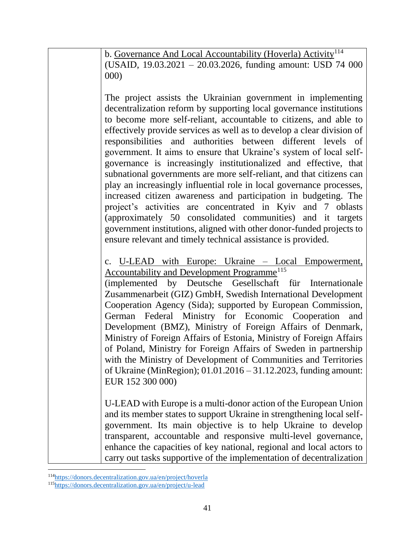b. Governance And Local Accountability (Hoverla) Activity<sup>114</sup> (USAID, 19.03.2021 – 20.03.2026, funding amount: USD 74 000 000)

The project assists the Ukrainian government in implementing decentralization reform by supporting local governance institutions to become more self-reliant, accountable to citizens, and able to effectively provide services as well as to develop a clear division of responsibilities and authorities between different levels of government. It aims to ensure that Ukraine's system of local selfgovernance is increasingly institutionalized and effective, that subnational governments are more self-reliant, and that citizens can play an increasingly influential role in local governance processes, increased citizen awareness and participation in budgeting. The project's activities are concentrated in Kyiv and 7 oblasts (approximately 50 consolidated communities) and it targets government institutions, aligned with other donor-funded projects to ensure relevant and timely technical assistance is provided.

c. U-LEAD with Europe: Ukraine – Local Empowerment, Accountability and Development Programme<sup>115</sup>

(implemented by Deutsche Gesellschaft für Internationale Zusammenarbeit (GIZ) GmbH, Swedish International Development Cooperation Agency (Sida); supported by European Commission, German Federal Ministry for Economic Cooperation and Development (BMZ), Ministry of Foreign Affairs of Denmark, Ministry of Foreign Affairs of Estonia, Ministry of Foreign Affairs of Poland, Ministry for Foreign Affairs of Sweden in partnership with the Ministry of Development of Communities and Territories of Ukraine (MinRegion); 01.01.2016 – 31.12.2023, funding amount: EUR 152 300 000)

U-LEAD with Europe is a multi-donor action of the European Union and its member states to support Ukraine in strengthening local selfgovernment. Its main objective is to help Ukraine to develop transparent, accountable and responsive multi-level governance, enhance the capacities of key national, regional and local actors to carry out tasks supportive of the implementation of decentralization

 $\overline{a}$ <sup>114</sup><https://donors.decentralization.gov.ua/en/project/hoverla>

<sup>115</sup><https://donors.decentralization.gov.ua/en/project/u-lead>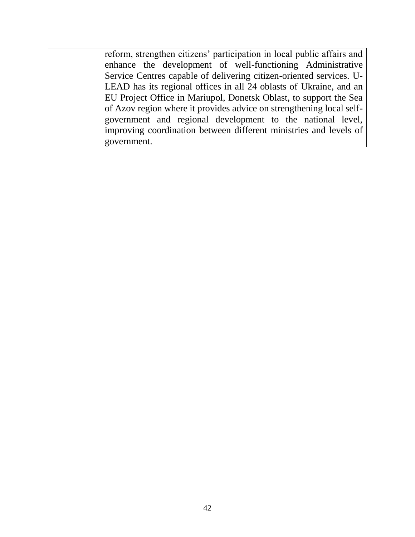reform, strengthen citizens' participation in local public affairs and enhance the development of well-functioning Administrative Service Centres capable of delivering citizen-oriented services. U-LEAD has its regional offices in all 24 oblasts of Ukraine, and an EU Project Office in Mariupol, Donetsk Oblast, to support the Sea of Azov region where it provides advice on strengthening local selfgovernment and regional development to the national level, improving coordination between different ministries and levels of government.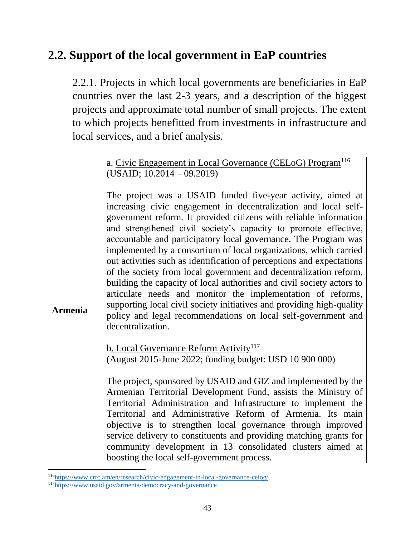## **2.2. Support of the local government in EaP countries**

2.2.1. Projects in which local governments are beneficiaries in EaP countries over the last 2-3 years, and a description of the biggest projects and approximate total number of small projects. The extent to which projects benefitted from investments in infrastructure and local services, and a brief analysis.

a. Civic Engagement in Local Governance (CELoG) Program<sup>116</sup> (USAID; 10.2014 – 09.2019) The project was a USAID funded five-year activity, aimed at

increasing civic engagement in decentralization and local selfgovernment reform. It provided citizens with reliable information and strengthened civil society's capacity to promote effective, accountable and participatory local governance. The Program was implemented by a consortium of local organizations, which carried out activities such as identification of perceptions and expectations of the society from local government and decentralization reform, building the capacity of local authorities and civil society actors to articulate needs and monitor the implementation of reforms, supporting local civil society initiatives and providing high-quality policy and legal recommendations on local self-government and decentralization.

b. Local Governance Reform Activity<sup>117</sup> (August 2015-June 2022; funding budget: USD 10 900 000)

The project, sponsored by USAID and GIZ and implemented by the Armenian Territorial Development Fund, assists the Ministry of Territorial Administration and Infrastructure to implement the Territorial and Administrative Reform of Armenia. Its main objective is to strengthen local governance through improved service delivery to constituents and providing matching grants for community development in 13 consolidated clusters aimed at boosting the local self-government process.

**Armenia**

 $\overline{a}$ <sup>116</sup><https://www.crrc.am/en/research/civic-engagement-in-local-governance-celog/>

<sup>117</sup><https://www.usaid.gov/armenia/democracy-and-governance>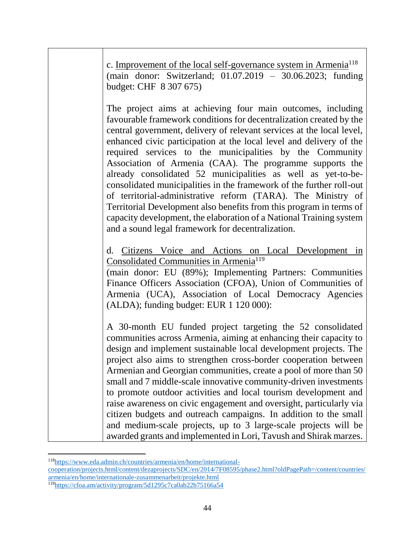| c. Improvement of the local self-governance system in Armenia <sup>118</sup><br>(main donor: Switzerland; 01.07.2019 - 30.06.2023; funding<br>budget: CHF 8 307 675)                                                                                                                                                                                                                                                                                                                                                                                                                                                                                                                                                                                                                                                  |
|-----------------------------------------------------------------------------------------------------------------------------------------------------------------------------------------------------------------------------------------------------------------------------------------------------------------------------------------------------------------------------------------------------------------------------------------------------------------------------------------------------------------------------------------------------------------------------------------------------------------------------------------------------------------------------------------------------------------------------------------------------------------------------------------------------------------------|
| The project aims at achieving four main outcomes, including<br>favourable framework conditions for decentralization created by the<br>central government, delivery of relevant services at the local level,<br>enhanced civic participation at the local level and delivery of the<br>required services to the municipalities by the Community<br>Association of Armenia (CAA). The programme supports the<br>already consolidated 52 municipalities as well as yet-to-be-<br>consolidated municipalities in the framework of the further roll-out<br>of territorial-administrative reform (TARA). The Ministry of<br>Territorial Development also benefits from this program in terms of<br>capacity development, the elaboration of a National Training system<br>and a sound legal framework for decentralization. |
| d. Citizens Voice and Actions on Local Development in<br>Consolidated Communities in Armenia <sup>119</sup><br>(main donor: EU (89%); Implementing Partners: Communities<br>Finance Officers Association (CFOA), Union of Communities of<br>Armenia (UCA), Association of Local Democracy Agencies<br>(ALDA); funding budget: EUR 1 120 000):                                                                                                                                                                                                                                                                                                                                                                                                                                                                         |
| A 30-month EU funded project targeting the 52 consolidated<br>communities across Armenia, aiming at enhancing their capacity to<br>design and implement sustainable local development projects. The<br>project also aims to strengthen cross-border cooperation between<br>Armenian and Georgian communities, create a pool of more than 50<br>small and 7 middle-scale innovative community-driven investments<br>to promote outdoor activities and local tourism development and<br>raise awareness on civic engagement and oversight, particularly via<br>citizen budgets and outreach campaigns. In addition to the small<br>and medium-scale projects, up to 3 large-scale projects will be<br>awarded grants and implemented in Lori, Tavush and Shirak marzes.                                                 |

<sup>118</sup>[https://www.eda.admin.ch/countries/armenia/en/home/international-](https://www.eda.admin.ch/countries/armenia/en/home/international-cooperation/projects.html/content/dezaprojects/SDC/en/2014/7F08595/phase2.html?oldPagePath=/content/countries/armenia/en/home/internationale-zusammenarbeit/projekte.html)

[cooperation/projects.html/content/dezaprojects/SDC/en/2014/7F08595/phase2.html?oldPagePath=/content/countries/](https://www.eda.admin.ch/countries/armenia/en/home/international-cooperation/projects.html/content/dezaprojects/SDC/en/2014/7F08595/phase2.html?oldPagePath=/content/countries/armenia/en/home/internationale-zusammenarbeit/projekte.html) [armenia/en/home/internationale-zusammenarbeit/projekte.html](https://www.eda.admin.ch/countries/armenia/en/home/international-cooperation/projects.html/content/dezaprojects/SDC/en/2014/7F08595/phase2.html?oldPagePath=/content/countries/armenia/en/home/internationale-zusammenarbeit/projekte.html)

<sup>&</sup>lt;sup>119</sup><https://cfoa.am/activity/program/5d1295c7ca0ab22b75166a54>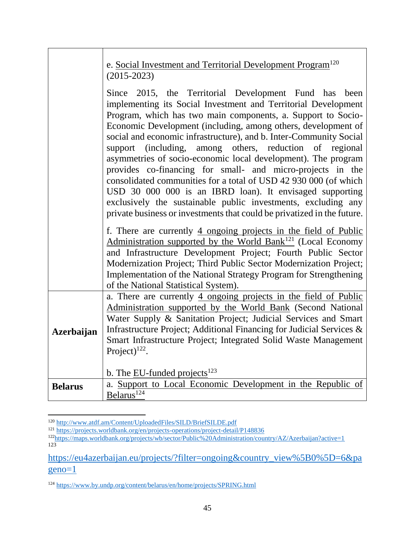|                   | e. Social Investment and Territorial Development Program <sup>120</sup>                                                                                                                                                                                                                                                                                                                                                                                                                                                                                                                                                                                                                                                                                                                                                 |
|-------------------|-------------------------------------------------------------------------------------------------------------------------------------------------------------------------------------------------------------------------------------------------------------------------------------------------------------------------------------------------------------------------------------------------------------------------------------------------------------------------------------------------------------------------------------------------------------------------------------------------------------------------------------------------------------------------------------------------------------------------------------------------------------------------------------------------------------------------|
|                   | $(2015 - 2023)$<br>Since 2015, the Territorial Development Fund has been<br>implementing its Social Investment and Territorial Development<br>Program, which has two main components, a. Support to Socio-<br>Economic Development (including, among others, development of<br>social and economic infrastructure), and b. Inter-Community Social<br>support (including, among others, reduction of regional<br>asymmetries of socio-economic local development). The program<br>provides co-financing for small- and micro-projects in the<br>consolidated communities for a total of USD 42 930 000 (of which<br>USD 30 000 000 is an IBRD loan). It envisaged supporting<br>exclusively the sustainable public investments, excluding any<br>private business or investments that could be privatized in the future. |
|                   | f. There are currently 4 ongoing projects in the field of Public<br>Administration supported by the World Bank <sup>121</sup> (Local Economy<br>and Infrastructure Development Project; Fourth Public Sector<br>Modernization Project; Third Public Sector Modernization Project;<br>Implementation of the National Strategy Program for Strengthening                                                                                                                                                                                                                                                                                                                                                                                                                                                                  |
| <b>Azerbaijan</b> | of the National Statistical System).<br>a. There are currently 4 ongoing projects in the field of Public<br>Administration supported by the World Bank (Second National<br>Water Supply & Sanitation Project; Judicial Services and Smart<br>Infrastructure Project; Additional Financing for Judicial Services &<br>Smart Infrastructure Project; Integrated Solid Waste Management<br>Project) $^{122}$ .                                                                                                                                                                                                                                                                                                                                                                                                             |
| <b>Belarus</b>    | b. The $EU$ -funded projects <sup>123</sup><br>a. Support to Local Economic Development in the Republic of<br>Belarus <sup>124</sup>                                                                                                                                                                                                                                                                                                                                                                                                                                                                                                                                                                                                                                                                                    |

 $\overline{a}$ <sup>120</sup> <http://www.atdf.am/Content/UploadedFiles/SILD/BriefSILDE.pdf>

<sup>&</sup>lt;sup>121</sup> <https://projects.worldbank.org/en/projects-operations/project-detail/P148836>

<sup>&</sup>lt;sup>122</sup><https://maps.worldbank.org/projects/wb/sector/Public%20Administration/country/AZ/Azerbaijan?active=1> 123

[https://eu4azerbaijan.eu/projects/?filter=ongoing&country\\_view%5B0%5D=6&pa](https://eu4azerbaijan.eu/projects/?filter=ongoing&country_view%5B0%5D=6&pageno=1) [geno=1](https://eu4azerbaijan.eu/projects/?filter=ongoing&country_view%5B0%5D=6&pageno=1)

<sup>124</sup> <https://www.by.undp.org/content/belarus/en/home/projects/SPRING.html>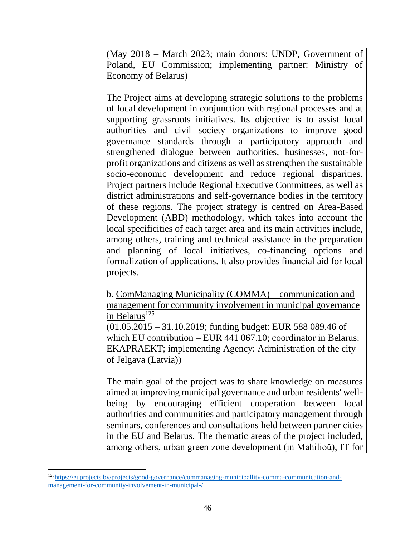(May 2018 – March 2023; main donors: UNDP, Government of Poland, EU Commission; implementing partner: Ministry of Economy of Belarus)

The Project aims at developing strategic solutions to the problems of local development in conjunction with regional processes and at supporting grassroots initiatives. Its objective is to assist local authorities and civil society organizations to improve good governance standards through a participatory approach and strengthened dialogue between authorities, businesses, not-forprofit organizations and citizens as well as strengthen the sustainable socio-economic development and reduce regional disparities. Project partners include Regional Executive Committees, as well as district administrations and self-governance bodies in the territory of these regions. The project strategy is centred on Area-Based Development (ABD) methodology, which takes into account the local specificities of each target area and its main activities include, among others, training and technical assistance in the preparation and planning of local initiatives, co-financing options and formalization of applications. It also provides financial aid for local projects.

b. ComManaging Municipality (COMMA) – communication and management for community involvement in municipal governance in Belarus<sup>125</sup>

(01.05.2015 – 31.10.2019; funding budget: EUR 588 089.46 of which EU contribution – EUR 441 067.10; coordinator in Belarus: EKAPRAEKT; implementing Agency: Administration of the city of Jelgava (Latvia))

The main goal of the project was to share knowledge on measures aimed at improving municipal governance and urban residents' wellbeing by encouraging efficient cooperation between local authorities and communities and participatory management through seminars, conferences and consultations held between partner cities in the EU and Belarus. The thematic areas of the project included, among others, urban green zone development (in Mahilioŭ), IT for

<sup>125</sup>[https://euprojects.by/projects/good-governance/commanaging-municipallity-comma-communication-and](https://euprojects.by/projects/good-governance/commanaging-municipallity-comma-communication-and-management-for-community-involvement-in-municipal-/)[management-for-community-involvement-in-municipal-/](https://euprojects.by/projects/good-governance/commanaging-municipallity-comma-communication-and-management-for-community-involvement-in-municipal-/)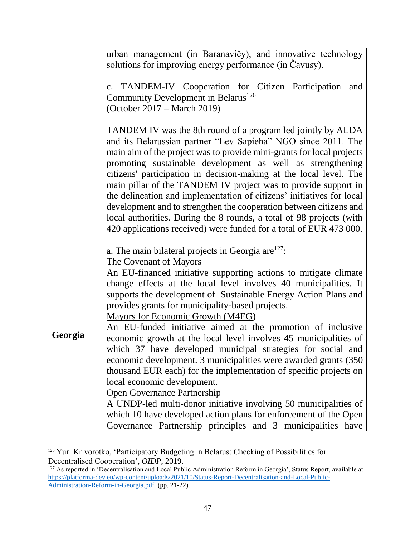|         | urban management (in Baranavičy), and innovative technology<br>solutions for improving energy performance (in Cavusy).                                                                                                                                                                                                                                                                                                                                                                                                                                                                                                                                                                                    |
|---------|-----------------------------------------------------------------------------------------------------------------------------------------------------------------------------------------------------------------------------------------------------------------------------------------------------------------------------------------------------------------------------------------------------------------------------------------------------------------------------------------------------------------------------------------------------------------------------------------------------------------------------------------------------------------------------------------------------------|
|         | <b>TANDEM-IV Cooperation for Citizen Participation</b><br>and<br>c.<br>Community Development in Belarus <sup>126</sup><br>(October 2017 – March 2019)                                                                                                                                                                                                                                                                                                                                                                                                                                                                                                                                                     |
|         | TANDEM IV was the 8th round of a program led jointly by ALDA<br>and its Belarussian partner "Lev Sapieha" NGO since 2011. The<br>main aim of the project was to provide mini-grants for local projects<br>promoting sustainable development as well as strengthening<br>citizens' participation in decision-making at the local level. The<br>main pillar of the TANDEM IV project was to provide support in<br>the delineation and implementation of citizens' initiatives for local<br>development and to strengthen the cooperation between citizens and<br>local authorities. During the 8 rounds, a total of 98 projects (with<br>420 applications received) were funded for a total of EUR 473 000. |
|         | a. The main bilateral projects in Georgia are <sup>127</sup> :<br><b>The Covenant of Mayors</b>                                                                                                                                                                                                                                                                                                                                                                                                                                                                                                                                                                                                           |
| Georgia | An EU-financed initiative supporting actions to mitigate climate<br>change effects at the local level involves 40 municipalities. It<br>supports the development of Sustainable Energy Action Plans and<br>provides grants for municipality-based projects.<br><b>Mayors for Economic Growth (M4EG)</b>                                                                                                                                                                                                                                                                                                                                                                                                   |
|         | An EU-funded initiative aimed at the promotion of inclusive<br>economic growth at the local level involves 45 municipalities of<br>which 37 have developed municipal strategies for social and<br>economic development. 3 municipalities were awarded grants (350)<br>thousand EUR each) for the implementation of specific projects on<br>local economic development.<br><b>Open Governance Partnership</b>                                                                                                                                                                                                                                                                                              |
|         | A UNDP-led multi-donor initiative involving 50 municipalities of<br>which 10 have developed action plans for enforcement of the Open<br>Governance Partnership principles and 3 municipalities have                                                                                                                                                                                                                                                                                                                                                                                                                                                                                                       |

 $\overline{a}$ <sup>126</sup> Yuri Krivorotko, 'Participatory Budgeting in Belarus: Checking of Possibilities for Decentralised Cooperation', *OIDP*, 2019.

 $127$  As reported in 'Decentralisation and Local Public Administration Reform in Georgia', Status Report, available at [https://platforma-dev.eu/wp-content/uploads/2021/10/Status-Report-Decentralisation-and-Local-Public-](https://platforma-dev.eu/wp-content/uploads/2021/10/Status-Report-Decentralisation-and-Local-Public-Administration-Reform-in-Georgia.pdf)[Administration-Reform-in-Georgia.pdf](https://platforma-dev.eu/wp-content/uploads/2021/10/Status-Report-Decentralisation-and-Local-Public-Administration-Reform-in-Georgia.pdf) (pp. 21-22).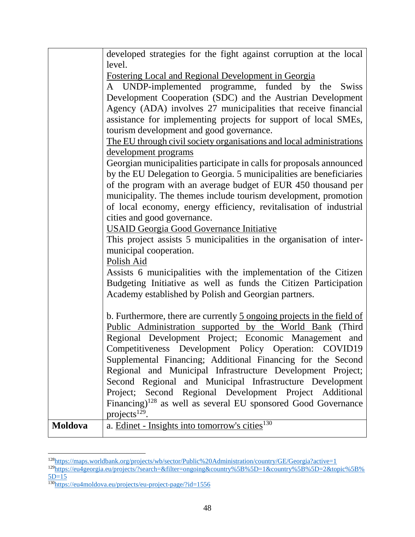|                | developed strategies for the fight against corruption at the local        |
|----------------|---------------------------------------------------------------------------|
|                | level.                                                                    |
|                | <b>Fostering Local and Regional Development in Georgia</b>                |
|                | A UNDP-implemented programme, funded by the Swiss                         |
|                | Development Cooperation (SDC) and the Austrian Development                |
|                | Agency (ADA) involves 27 municipalities that receive financial            |
|                | assistance for implementing projects for support of local SMEs,           |
|                | tourism development and good governance.                                  |
|                | The EU through civil society organisations and local administrations      |
|                | development programs                                                      |
|                | Georgian municipalities participate in calls for proposals announced      |
|                | by the EU Delegation to Georgia. 5 municipalities are beneficiaries       |
|                | of the program with an average budget of EUR 450 thousand per             |
|                | municipality. The themes include tourism development, promotion           |
|                | of local economy, energy efficiency, revitalisation of industrial         |
|                | cities and good governance.                                               |
|                | <b>USAID Georgia Good Governance Initiative</b>                           |
|                | This project assists 5 municipalities in the organisation of inter-       |
|                | municipal cooperation.                                                    |
|                | Polish Aid                                                                |
|                | Assists 6 municipalities with the implementation of the Citizen           |
|                | Budgeting Initiative as well as funds the Citizen Participation           |
|                | Academy established by Polish and Georgian partners.                      |
|                |                                                                           |
|                | b. Furthermore, there are currently 5 ongoing projects in the field of    |
|                | Public Administration supported by the World Bank (Third                  |
|                | Regional Development Project; Economic Management and                     |
|                | Competitiveness Development Policy Operation: COVID19                     |
|                | Supplemental Financing; Additional Financing for the Second               |
|                | Regional and Municipal Infrastructure Development Project;                |
|                | Second Regional and Municipal Infrastructure Development                  |
|                | Project; Second Regional Development Project Additional                   |
|                | Financing) <sup>128</sup> as well as several EU sponsored Good Governance |
|                | projects $^{129}$ .                                                       |
| <b>Moldova</b> | a. Edinet - Insights into tomorrow's cities <sup>130</sup>                |

<sup>&</sup>lt;sup>128</sup><https://maps.worldbank.org/projects/wb/sector/Public%20Administration/country/GE/Georgia?active=1>

<sup>129</sup>[https://eu4georgia.eu/projects/?search=&filter=ongoing&country%5B%5D=1&country%5B%5D=2&topic%5B%](https://eu4georgia.eu/projects/?search=&filter=ongoing&country%5B%5D=1&country%5B%5D=2&topic%5B%5D=15)  $5D=15$ 

<sup>130</sup><https://eu4moldova.eu/projects/eu-project-page/?id=1556>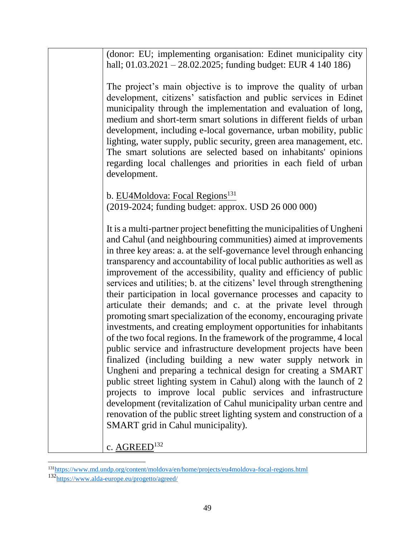(donor: EU; implementing organisation: Edinet municipality city hall; 01.03.2021 – 28.02.2025; funding budget: EUR 4 140 186)

The project's main objective is to improve the quality of urban development, citizens' satisfaction and public services in Edinet municipality through the implementation and evaluation of long, medium and short-term smart solutions in different fields of urban development, including e-local governance, urban mobility, public lighting, water supply, public security, green area management, etc. The smart solutions are selected based on inhabitants' opinions regarding local challenges and priorities in each field of urban development.

b. EU4Moldova: Focal Regions<sup>131</sup> (2019-2024; funding budget: approx. USD 26 000 000)

It is a multi-partner project benefitting the municipalities of Ungheni and Cahul (and neighbouring communities) aimed at improvements in three key areas: a. at the self-governance level through enhancing transparency and accountability of local public authorities as well as improvement of the accessibility, quality and efficiency of public services and utilities; b. at the citizens' level through strengthening their participation in local governance processes and capacity to articulate their demands; and c. at the private level through promoting smart specialization of the economy, encouraging private investments, and creating employment opportunities for inhabitants of the two focal regions. In the framework of the programme, 4 local public service and infrastructure development projects have been finalized (including building a new water supply network in Ungheni and preparing a technical design for creating a SMART public street lighting system in Cahul) along with the launch of 2 projects to improve local public services and infrastructure development (revitalization of Cahul municipality urban centre and renovation of the public street lighting system and construction of a SMART grid in Cahul municipality).

c. AGREED<sup>132</sup>

<sup>131&</sup>lt;sub><https://www.md.undp.org/content/moldova/en/home/projects/eu4moldova-focal-regions.html></sub>

<sup>132</sup><https://www.alda-europe.eu/progetto/agreed/>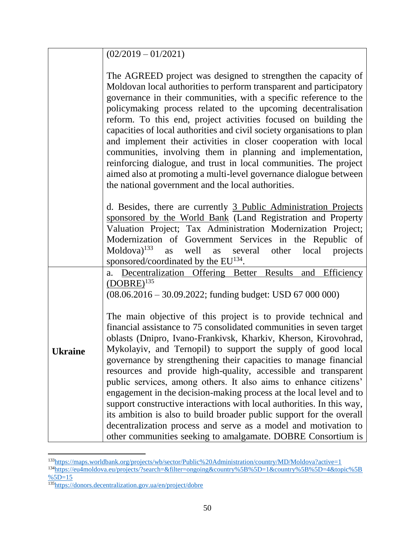|                | $(02/2019 - 01/2021)$                                                                                                                                                                                                                                                                                                                                                                                                                                                                                                                                                                                                                                                                                                                                                                                                                                                                                                                                                                           |
|----------------|-------------------------------------------------------------------------------------------------------------------------------------------------------------------------------------------------------------------------------------------------------------------------------------------------------------------------------------------------------------------------------------------------------------------------------------------------------------------------------------------------------------------------------------------------------------------------------------------------------------------------------------------------------------------------------------------------------------------------------------------------------------------------------------------------------------------------------------------------------------------------------------------------------------------------------------------------------------------------------------------------|
|                | The AGREED project was designed to strengthen the capacity of<br>Moldovan local authorities to perform transparent and participatory<br>governance in their communities, with a specific reference to the<br>policymaking process related to the upcoming decentralisation<br>reform. To this end, project activities focused on building the<br>capacities of local authorities and civil society organisations to plan<br>and implement their activities in closer cooperation with local<br>communities, involving them in planning and implementation,<br>reinforcing dialogue, and trust in local communities. The project<br>aimed also at promoting a multi-level governance dialogue between<br>the national government and the local authorities.                                                                                                                                                                                                                                      |
|                | d. Besides, there are currently 3 Public Administration Projects<br>sponsored by the World Bank (Land Registration and Property<br>Valuation Project; Tax Administration Modernization Project;<br>Modernization of Government Services in the Republic of<br>Moldova) <sup>133</sup><br>well<br>several other local projects<br>as<br>as<br>sponsored/coordinated by the EU <sup>134</sup> .                                                                                                                                                                                                                                                                                                                                                                                                                                                                                                                                                                                                   |
| <b>Ukraine</b> | a. Decentralization Offering Better Results and Efficiency<br>$(DOBRE)^{135}$<br>$(08.06.2016 - 30.09.2022$ ; funding budget: USD 67 000 000)<br>The main objective of this project is to provide technical and<br>financial assistance to 75 consolidated communities in seven target<br>oblasts (Dnipro, Ivano-Frankivsk, Kharkiv, Kherson, Kirovohrad,<br>Mykolayiv, and Ternopil) to support the supply of good local<br>governance by strengthening their capacities to manage financial<br>resources and provide high-quality, accessible and transparent<br>public services, among others. It also aims to enhance citizens'<br>engagement in the decision-making process at the local level and to<br>support constructive interactions with local authorities. In this way,<br>its ambition is also to build broader public support for the overall<br>decentralization process and serve as a model and motivation to<br>other communities seeking to amalgamate. DOBRE Consortium is |

<sup>133</sup><https://maps.worldbank.org/projects/wb/sector/Public%20Administration/country/MD/Moldova?active=1> <sup>134</sup>[https://eu4moldova.eu/projects/?search=&filter=ongoing&country%5B%5D=1&country%5B%5D=4&topic%5B](https://eu4moldova.eu/projects/?search=&filter=ongoing&country%5B%5D=1&country%5B%5D=4&topic%5B%5D=15)  $%5D=15$ 

<sup>135</sup><https://donors.decentralization.gov.ua/en/project/dobre>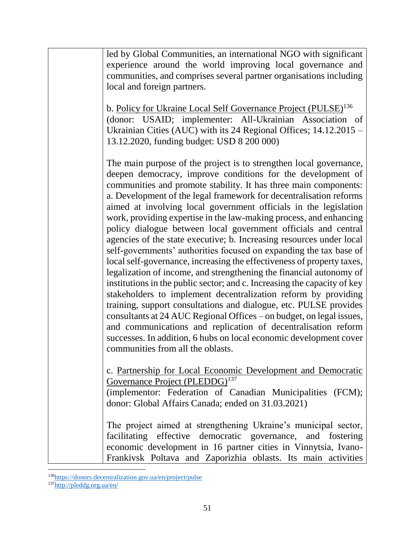led by Global Communities, an international NGO with significant experience around the world improving local governance and communities, and comprises several partner organisations including local and foreign partners.

b. Policy for Ukraine Local Self Governance Project (PULSE)<sup>136</sup> (donor: USAID; implementer: All-Ukrainian Association of Ukrainian Cities (AUC) with its 24 Regional Offices; 14.12.2015 – 13.12.2020, funding budget: USD 8 200 000)

The main purpose of the project is to strengthen local governance, deepen democracy, improve conditions for the development of communities and promote stability. It has three main components: a. Development of the legal framework for decentralisation reforms aimed at involving local government officials in the legislation work, providing expertise in the law-making process, and enhancing policy dialogue between local government officials and central agencies of the state executive; b. Increasing resources under local self-governments' authorities focused on expanding the tax base of local self-governance, increasing the effectiveness of property taxes, legalization of income, and strengthening the financial autonomy of institutions in the public sector; and c. Increasing the capacity of key stakeholders to implement decentralization reform by providing training, support consultations and dialogue, etc. PULSE provides consultants at 24 AUC Regional Offices – on budget, on legal issues, and communications and replication of decentralisation reform successes. In addition, 6 hubs on local economic development cover communities from all the oblasts.

c. Partnership for Local Economic Development and Democratic Governance Project (PLEDDG)<sup>137</sup>

(implementor: Federation of Canadian Municipalities (FCM); donor: Global Affairs Canada; ended on 31.03.2021)

The project aimed at strengthening Ukraine's municipal sector, facilitating effective democratic governance, and fostering economic development in 16 partner cities in Vinnytsia, Ivano-Frankivsk Poltava and Zaporizhia oblasts. Its main activities

<sup>136</sup><https://donors.decentralization.gov.ua/en/project/pulse> 137<http://pleddg.org.ua/en/>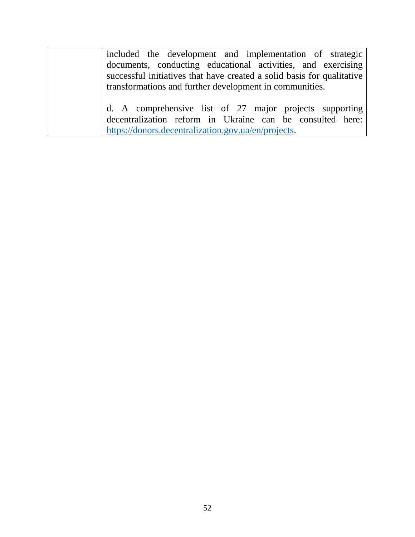included the development and implementation of strategic documents, conducting educational activities, and exercising successful initiatives that have created a solid basis for qualitative transformations and further development in communities.

> d. A comprehensive list of 27 major projects supporting decentralization reform in Ukraine can be consulted here: [https://donors.decentralization.gov.ua/en/projects.](https://donors.decentralization.gov.ua/en/projects)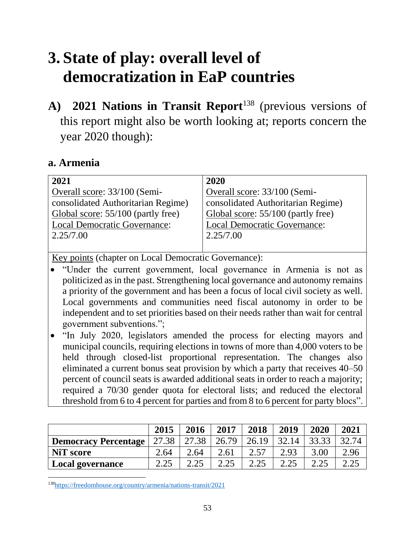## **3. State of play: overall level of democratization in EaP countries**

A) **2021 Nations in Transit Report**<sup>138</sup> (previous versions of this report might also be worth looking at; reports concern the year 2020 though):

## **a. Armenia**

| 2021                                | 2020                                |
|-------------------------------------|-------------------------------------|
| Overall score: 33/100 (Semi-        | Overall score: 33/100 (Semi-        |
| consolidated Authoritarian Regime)  | consolidated Authoritarian Regime)  |
| Global score: 55/100 (partly free)  | Global score: 55/100 (partly free)  |
| <b>Local Democratic Governance:</b> | <b>Local Democratic Governance:</b> |
| 2.25/7.00                           | 2.25/7.00                           |
|                                     |                                     |

Key points (chapter on Local Democratic Governance):

- "Under the current government, local governance in Armenia is not as politicized as in the past. Strengthening local governance and autonomy remains a priority of the government and has been a focus of local civil society as well. Local governments and communities need fiscal autonomy in order to be independent and to set priorities based on their needs rather than wait for central government subventions.";
- "In July 2020, legislators amended the process for electing mayors and municipal councils, requiring elections in towns of more than 4,000 voters to be held through closed-list proportional representation. The changes also eliminated a current bonus seat provision by which a party that receives 40–50 percent of council seats is awarded additional seats in order to reach a majority; required a 70/30 gender quota for electoral lists; and reduced the electoral threshold from 6 to 4 percent for parties and from 8 to 6 percent for party blocs".

|                             | 2015  | 2016  | 2017  | 2018  | 2019  | 2020  | 2021  |
|-----------------------------|-------|-------|-------|-------|-------|-------|-------|
| <b>Democracy Percentage</b> | 27.38 | 27.38 | 26.79 | 26.19 | 32.14 | 33.33 | 32.74 |
| NiT score                   | 2.64  | 2.64  | 2.61  |       | 2.93  | 3.00  | 2.96  |
| <b>Local governance</b>     | 2.25  | 2.25  | 2.25  | 2.25  | 2.25  | 2.25  |       |

 $\overline{a}$ 138<https://freedomhouse.org/country/armenia/nations-transit/2021>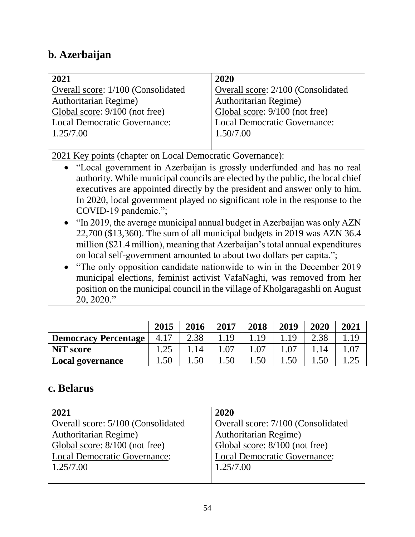## **b. Azerbaijan**

| 2021                                | 2020                                |
|-------------------------------------|-------------------------------------|
| Overall score: 1/100 (Consolidated  | Overall score: 2/100 (Consolidated  |
| <b>Authoritarian Regime)</b>        | <b>Authoritarian Regime)</b>        |
| Global score: 9/100 (not free)      | Global score: 9/100 (not free)      |
| <b>Local Democratic Governance:</b> | <b>Local Democratic Governance:</b> |
| 1.25/7.00                           | 1.50/7.00                           |
|                                     |                                     |

2021 Key points (chapter on Local Democratic Governance):

- "Local government in Azerbaijan is grossly underfunded and has no real authority. While municipal councils are elected by the public, the local chief executives are appointed directly by the president and answer only to him. In 2020, local government played no significant role in the response to the COVID-19 pandemic.";
- "In 2019, the average municipal annual budget in Azerbaijan was only AZN 22,700 (\$13,360). The sum of all municipal budgets in 2019 was AZN 36.4 million (\$21.4 million), meaning that Azerbaijan's total annual expenditures on local self-government amounted to about two dollars per capita.";
- "The only opposition candidate nationwide to win in the December 2019 municipal elections, feminist activist VafaNaghi, was removed from her position on the municipal council in the village of Kholgaragashli on August 20, 2020."

|                             | 2015 | 2016      | 2017 | 2018 | 2019      | 2020 | 2021 |
|-----------------------------|------|-----------|------|------|-----------|------|------|
| <b>Democracy Percentage</b> | 4.17 | 2.38      | .19  | 19   | 1 Q       | 2.38 | .19  |
| NiT score                   |      | 14        |      |      |           |      |      |
| <b>Local governance</b>     | 1.50 | $.50^{-}$ | .50  | 1.50 | $.50^{-}$ | .50  |      |

## **c. Belarus**

| 2021                                | 2020                                |
|-------------------------------------|-------------------------------------|
| Overall score: 5/100 (Consolidated  | Overall score: 7/100 (Consolidated  |
| <b>Authoritarian Regime)</b>        | Authoritarian Regime)               |
| Global score: 8/100 (not free)      | Global score: 8/100 (not free)      |
| <b>Local Democratic Governance:</b> | <b>Local Democratic Governance:</b> |
| 1.25/7.00                           | 1.25/7.00                           |
|                                     |                                     |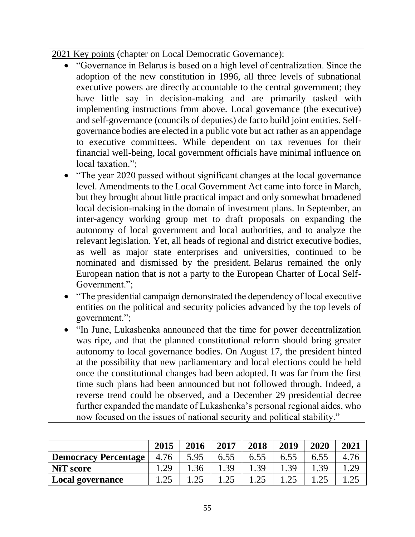- "Governance in Belarus is based on a high level of centralization. Since the adoption of the new constitution in 1996, all three levels of subnational executive powers are directly accountable to the central government; they have little say in decision-making and are primarily tasked with implementing instructions from above. Local governance (the executive) and self-governance (councils of deputies) de facto build joint entities. Selfgovernance bodies are elected in a public vote but act rather as an appendage to executive committees. While dependent on tax revenues for their financial well-being, local government officials have minimal influence on local taxation.";
- "The year 2020 passed without significant changes at the local governance level. Amendments to the Local Government Act came into force in March, but they brought about little practical impact and only somewhat broadened local decision-making in the domain of investment plans. In September, an inter-agency working group met to draft proposals on expanding the autonomy of local government and local authorities, and to analyze the relevant legislation. Yet, all heads of regional and district executive bodies, as well as major state enterprises and universities, continued to be nominated and dismissed by the president. Belarus remained the only European nation that is not a party to the European Charter of Local Self-Government.";
- "The presidential campaign demonstrated the dependency of local executive entities on the political and security policies advanced by the top levels of government.";
- "In June, Lukashenka announced that the time for power decentralization was ripe, and that the planned constitutional reform should bring greater autonomy to local governance bodies. On August 17, the president hinted at the possibility that new parliamentary and local elections could be held once the constitutional changes had been adopted. It was far from the first time such plans had been announced but not followed through. Indeed, a reverse trend could be observed, and a December 29 presidential decree further expanded the mandate of Lukashenka's personal regional aides, who now focused on the issues of national security and political stability."

|                         | 2015 | 2016 | 2017 | 2018 | 2019 | 2020 | 2021 |
|-------------------------|------|------|------|------|------|------|------|
| Democracy Percentage    | 4.76 | 5.95 | 6.55 | 6.55 | 6.55 | 6.55 | 4.76 |
| NiT score               | 1.29 | 1.36 | .39  | .39  | .39  | .39  | .29  |
| <b>Local governance</b> | 1.25 | 1.25 | .25  |      |      | .25  |      |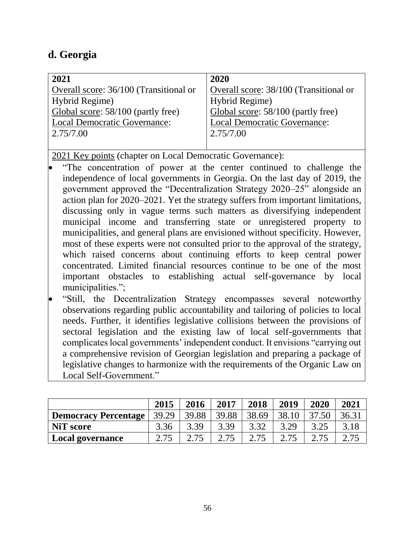## **d. Georgia**

| 2021                                   | 2020                                   |
|----------------------------------------|----------------------------------------|
| Overall score: 36/100 (Transitional or | Overall score: 38/100 (Transitional or |
| Hybrid Regime)                         | Hybrid Regime)                         |
| Global score: 58/100 (partly free)     | Global score: 58/100 (partly free)     |
| <b>Local Democratic Governance:</b>    | <b>Local Democratic Governance:</b>    |
| 2.75/7.00                              | 2.75/7.00                              |
|                                        |                                        |

- "The concentration of power at the center continued to challenge the independence of local governments in Georgia. On the last day of 2019, the government approved the "Decentralization Strategy 2020–25" alongside an action plan for 2020–2021. Yet the strategy suffers from important limitations, discussing only in vague terms such matters as diversifying independent municipal income and transferring state or unregistered property to municipalities, and general plans are envisioned without specificity. However, most of these experts were not consulted prior to the approval of the strategy, which raised concerns about continuing efforts to keep central power concentrated. Limited financial resources continue to be one of the most important obstacles to establishing actual self-governance by local municipalities.";
- "Still, the Decentralization Strategy encompasses several noteworthy observations regarding public accountability and tailoring of policies to local needs. Further, it identifies legislative collisions between the provisions of sectoral legislation and the existing law of local self-governments that complicates local governments' independent conduct. It envisions "carrying out a comprehensive revision of Georgian legislation and preparing a package of legislative changes to harmonize with the requirements of the Organic Law on Local Self-Government."

|                             | 2015  | 2016  | 2017  | 2018  | 2019  | 2020  | 2021  |
|-----------------------------|-------|-------|-------|-------|-------|-------|-------|
| <b>Democracy Percentage</b> | 39.29 | 39.88 | 39.88 | 38.69 | 38.10 | 37.50 | 36.31 |
| NiT score                   | 3.36  | 3.39  | 3.39  |       | 3.29  | 3.25  | 3.18  |
| <b>Local governance</b>     | 2.75  | 2.75  | 2.75  |       | 2.75  |       |       |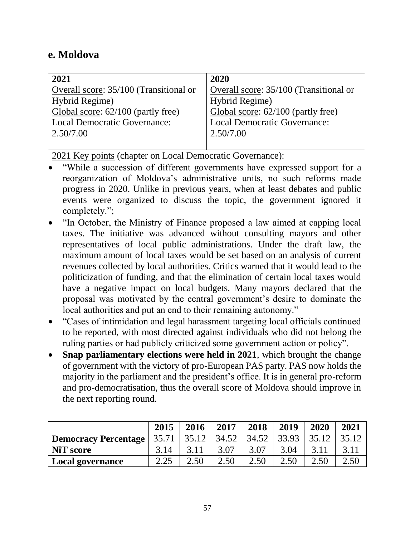## **e. Moldova**

| 2021                                   | 2020                                   |
|----------------------------------------|----------------------------------------|
| Overall score: 35/100 (Transitional or | Overall score: 35/100 (Transitional or |
| Hybrid Regime)                         | Hybrid Regime)                         |
| Global score: 62/100 (partly free)     | Global score: 62/100 (partly free)     |
| <b>Local Democratic Governance:</b>    | <b>Local Democratic Governance:</b>    |
| 2.50/7.00                              | 2.50/7.00                              |
|                                        |                                        |

- "While a succession of different governments have expressed support for a reorganization of Moldova's administrative units, no such reforms made progress in 2020. Unlike in previous years, when at least debates and public events were organized to discuss the topic, the government ignored it completely.";
- "In October, the Ministry of Finance proposed a law aimed at capping local taxes. The initiative was advanced without consulting mayors and other representatives of local public administrations. Under the draft law, the maximum amount of local taxes would be set based on an analysis of current revenues collected by local authorities. Critics warned that it would lead to the politicization of funding, and that the elimination of certain local taxes would have a negative impact on local budgets. Many mayors declared that the proposal was motivated by the central government's desire to dominate the local authorities and put an end to their remaining autonomy."
- "Cases of intimidation and legal harassment targeting local officials continued to be reported, with most directed against individuals who did not belong the ruling parties or had publicly criticized some government action or policy".
- **Snap parliamentary elections were held in 2021**, which brought the change of government with the victory of pro-European PAS party. PAS now holds the majority in the parliament and the president's office. It is in general pro-reform and pro-democratisation, thus the overall score of Moldova should improve in the next reporting round.

|                             | 2015  | 2016  | 2017  | 2018  | 2019  | 2020  | 2021   |
|-----------------------------|-------|-------|-------|-------|-------|-------|--------|
| <b>Democracy Percentage</b> | 35.71 | 35.12 | 34.52 | 34.52 | 33.93 | 35.12 | 35.12  |
| NiT score                   | 3.14  |       | 3.07  | 3.07  | 3.04  |       | $-3$ 1 |
| <b>Local governance</b>     | 2.25  | 2.50  | 2.50  | 2.50  | 2.50  | 2.50  | 2.50   |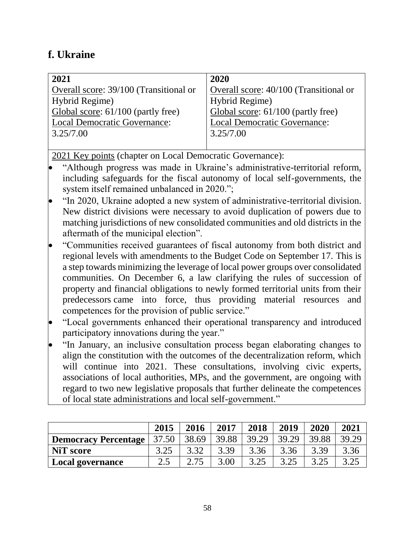## **f. Ukraine**

| 2021                                   | 2020                                   |
|----------------------------------------|----------------------------------------|
| Overall score: 39/100 (Transitional or | Overall score: 40/100 (Transitional or |
| Hybrid Regime)                         | Hybrid Regime)                         |
| Global score: 61/100 (partly free)     | Global score: 61/100 (partly free)     |
| <b>Local Democratic Governance:</b>    | <b>Local Democratic Governance:</b>    |
| 3.25/7.00                              | 3.25/7.00                              |
|                                        |                                        |

- "Although progress was made in Ukraine's administrative-territorial reform, including safeguards for the fiscal autonomy of local self-governments, the system itself remained unbalanced in 2020.";
- "In 2020, Ukraine adopted a new system of administrative-territorial division. New district divisions were necessary to avoid duplication of powers due to matching jurisdictions of new consolidated communities and old districts in the aftermath of the municipal election".
- "Communities received guarantees of fiscal autonomy from both district and regional levels with amendments to the Budget Code on September 17. This is a step towards minimizing the leverage of local power groups over consolidated communities. On December 6, a law clarifying the rules of succession of property and financial obligations to newly formed territorial units from their predecessors came into force, thus providing material resources and competences for the provision of public service."
- "Local governments enhanced their operational transparency and introduced participatory innovations during the year."
- "In January, an inclusive consultation process began elaborating changes to align the constitution with the outcomes of the decentralization reform, which will continue into 2021. These consultations, involving civic experts, associations of local authorities, MPs, and the government, are ongoing with regard to two new legislative proposals that further delineate the competences of local state administrations and local self-government."

|                             | 2015  | 2016  | 2017  | 2018  | 2019  | 2020  | 2021  |
|-----------------------------|-------|-------|-------|-------|-------|-------|-------|
| <b>Democracy Percentage</b> | 37.50 | 38.69 | 39.88 | 39.29 | 39.29 | 39.88 | 39.29 |
| NiT score                   | 3.25  | 3.32  | 3.39  | 3.36  | 3.36  | 3.39  | 3.36  |
| <b>Local governance</b>     |       | 2.75  | 3.00  | 3.25  | 3.25  | 3.25  | 3.25  |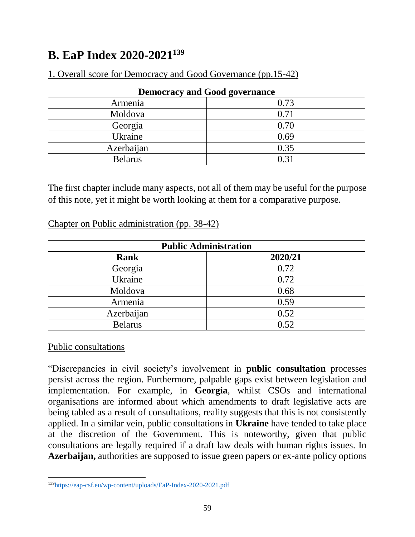## **B. EaP Index 2020-2021<sup>139</sup>**

| <b>Democracy and Good governance</b> |      |
|--------------------------------------|------|
| Armenia                              | 0.73 |
| Moldova                              | 0.71 |
| Georgia                              | 0.70 |
| Ukraine                              | 0.69 |
| Azerbaijan                           | 0.35 |
| <b>Belarus</b>                       | 0.31 |

1. Overall score for Democracy and Good Governance (pp.15-42)

The first chapter include many aspects, not all of them may be useful for the purpose of this note, yet it might be worth looking at them for a comparative purpose.

#### Chapter on Public administration (pp. 38-42)

| <b>Public Administration</b> |         |
|------------------------------|---------|
| <b>Rank</b>                  | 2020/21 |
| Georgia                      | 0.72    |
| Ukraine                      | 0.72    |
| Moldova                      | 0.68    |
| Armenia                      | 0.59    |
| Azerbaijan                   | 0.52    |
| <b>Belarus</b>               | 0.52    |

#### Public consultations

"Discrepancies in civil society's involvement in **public consultation** processes persist across the region. Furthermore, palpable gaps exist between legislation and implementation. For example, in **Georgia**, whilst CSOs and international organisations are informed about which amendments to draft legislative acts are being tabled as a result of consultations, reality suggests that this is not consistently applied. In a similar vein, public consultations in **Ukraine** have tended to take place at the discretion of the Government. This is noteworthy, given that public consultations are legally required if a draft law deals with human rights issues. In **Azerbaijan,** authorities are supposed to issue green papers or ex-ante policy options

 $\overline{a}$ 139<https://eap-csf.eu/wp-content/uploads/EaP-Index-2020-2021.pdf>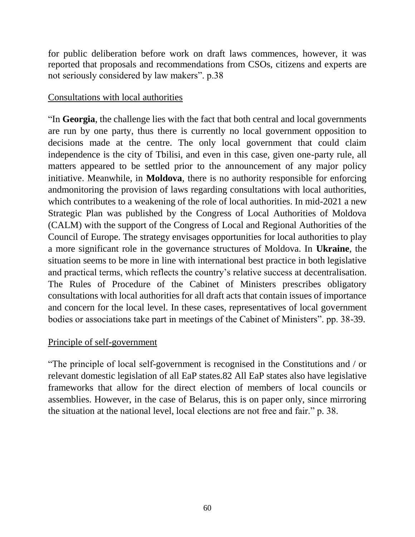for public deliberation before work on draft laws commences, however, it was reported that proposals and recommendations from CSOs, citizens and experts are not seriously considered by law makers". p.38

#### Consultations with local authorities

"In **Georgia**, the challenge lies with the fact that both central and local governments are run by one party, thus there is currently no local government opposition to decisions made at the centre. The only local government that could claim independence is the city of Tbilisi, and even in this case, given one-party rule, all matters appeared to be settled prior to the announcement of any major policy initiative. Meanwhile, in **Moldova**, there is no authority responsible for enforcing andmonitoring the provision of laws regarding consultations with local authorities, which contributes to a weakening of the role of local authorities. In mid-2021 a new Strategic Plan was published by the Congress of Local Authorities of Moldova (CALM) with the support of the Congress of Local and Regional Authorities of the Council of Europe. The strategy envisages opportunities for local authorities to play a more significant role in the governance structures of Moldova. In **Ukraine**, the situation seems to be more in line with international best practice in both legislative and practical terms, which reflects the country's relative success at decentralisation. The Rules of Procedure of the Cabinet of Ministers prescribes obligatory consultations with local authorities for all draft acts that contain issues of importance and concern for the local level. In these cases, representatives of local government bodies or associations take part in meetings of the Cabinet of Ministers". pp. 38-39.

#### Principle of self-government

"The principle of local self-government is recognised in the Constitutions and / or relevant domestic legislation of all EaP states.82 All EaP states also have legislative frameworks that allow for the direct election of members of local councils or assemblies. However, in the case of Belarus, this is on paper only, since mirroring the situation at the national level, local elections are not free and fair." p. 38.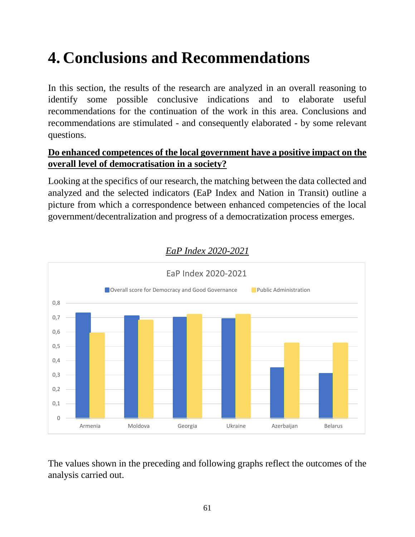# **4. Conclusions and Recommendations**

In this section, the results of the research are analyzed in an overall reasoning to identify some possible conclusive indications and to elaborate useful recommendations for the continuation of the work in this area. Conclusions and recommendations are stimulated - and consequently elaborated - by some relevant questions.

### **Do enhanced competences of the local government have a positive impact on the overall level of democratisation in a society?**

Looking at the specifics of our research, the matching between the data collected and analyzed and the selected indicators (EaP Index and Nation in Transit) outline a picture from which a correspondence between enhanced competencies of the local government/decentralization and progress of a democratization process emerges.



*EaP Index 2020-2021*

The values shown in the preceding and following graphs reflect the outcomes of the analysis carried out.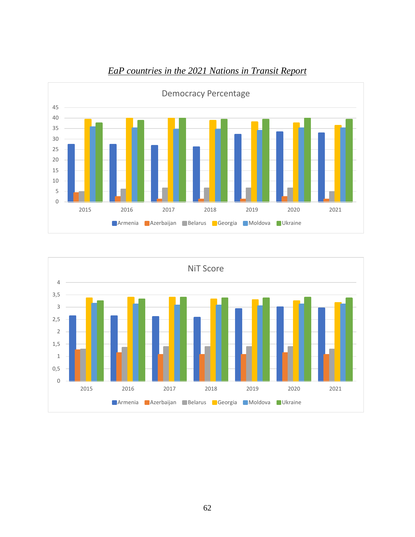

#### *EaP countries in the 2021 Nations in Transit Report*

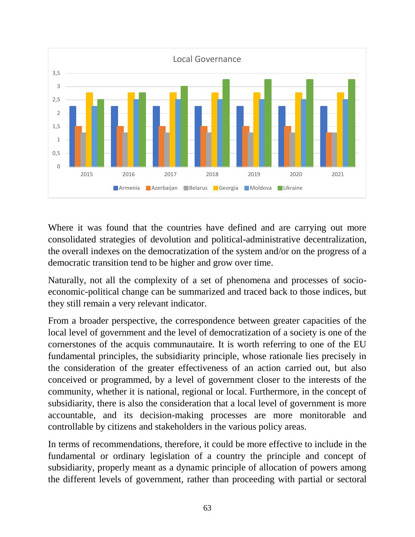

Where it was found that the countries have defined and are carrying out more consolidated strategies of devolution and political-administrative decentralization, the overall indexes on the democratization of the system and/or on the progress of a democratic transition tend to be higher and grow over time.

Naturally, not all the complexity of a set of phenomena and processes of socioeconomic-political change can be summarized and traced back to those indices, but they still remain a very relevant indicator.

From a broader perspective, the correspondence between greater capacities of the local level of government and the level of democratization of a society is one of the cornerstones of the acquis communautaire. It is worth referring to one of the EU fundamental principles, the subsidiarity principle, whose rationale lies precisely in the consideration of the greater effectiveness of an action carried out, but also conceived or programmed, by a level of government closer to the interests of the community, whether it is national, regional or local. Furthermore, in the concept of subsidiarity, there is also the consideration that a local level of government is more accountable, and its decision-making processes are more monitorable and controllable by citizens and stakeholders in the various policy areas.

In terms of recommendations, therefore, it could be more effective to include in the fundamental or ordinary legislation of a country the principle and concept of subsidiarity, properly meant as a dynamic principle of allocation of powers among the different levels of government, rather than proceeding with partial or sectoral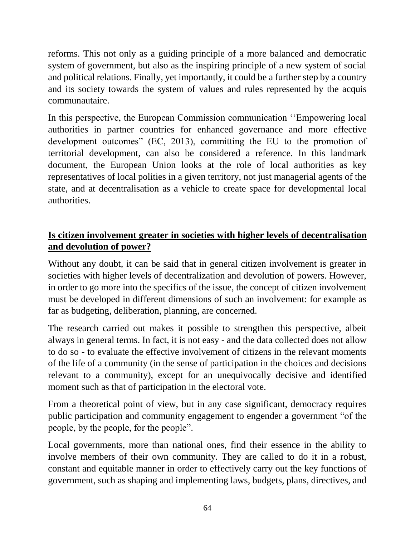reforms. This not only as a guiding principle of a more balanced and democratic system of government, but also as the inspiring principle of a new system of social and political relations. Finally, yet importantly, it could be a further step by a country and its society towards the system of values and rules represented by the acquis communautaire.

In this perspective, the European Commission communication ''Empowering local authorities in partner countries for enhanced governance and more effective development outcomes" (EC, 2013), committing the EU to the promotion of territorial development, can also be considered a reference. In this landmark document, the European Union looks at the role of local authorities as key representatives of local polities in a given territory, not just managerial agents of the state, and at decentralisation as a vehicle to create space for developmental local authorities.

### **Is citizen involvement greater in societies with higher levels of decentralisation and devolution of power?**

Without any doubt, it can be said that in general citizen involvement is greater in societies with higher levels of decentralization and devolution of powers. However, in order to go more into the specifics of the issue, the concept of citizen involvement must be developed in different dimensions of such an involvement: for example as far as budgeting, deliberation, planning, are concerned.

The research carried out makes it possible to strengthen this perspective, albeit always in general terms. In fact, it is not easy - and the data collected does not allow to do so - to evaluate the effective involvement of citizens in the relevant moments of the life of a community (in the sense of participation in the choices and decisions relevant to a community), except for an unequivocally decisive and identified moment such as that of participation in the electoral vote.

From a theoretical point of view, but in any case significant, democracy requires public participation and community engagement to engender a government "of the people, by the people, for the people".

Local governments, more than national ones, find their essence in the ability to involve members of their own community. They are called to do it in a robust, constant and equitable manner in order to effectively carry out the key functions of government, such as shaping and implementing laws, budgets, plans, directives, and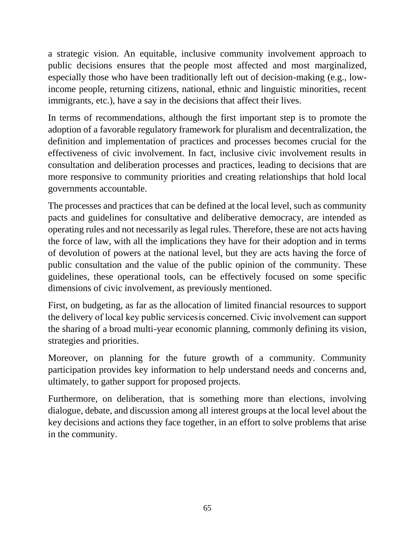a strategic vision. An equitable, inclusive community involvement approach to public decisions ensures that the people most affected and most marginalized, especially those who have been traditionally left out of decision-making (e.g., lowincome people, returning citizens, national, ethnic and linguistic minorities, recent immigrants, etc.), have a say in the decisions that affect their lives.

In terms of recommendations, although the first important step is to promote the adoption of a favorable regulatory framework for pluralism and decentralization, the definition and implementation of practices and processes becomes crucial for the effectiveness of civic involvement. In fact, inclusive civic involvement results in consultation and deliberation processes and practices, leading to decisions that are more responsive to community priorities and creating relationships that hold local governments accountable.

The processes and practices that can be defined at the local level, such as community pacts and guidelines for consultative and deliberative democracy, are intended as operating rules and not necessarily as legal rules. Therefore, these are not acts having the force of law, with all the implications they have for their adoption and in terms of devolution of powers at the national level, but they are acts having the force of public consultation and the value of the public opinion of the community. These guidelines, these operational tools, can be effectively focused on some specific dimensions of civic involvement, as previously mentioned.

First, on budgeting, as far as the allocation of limited financial resources to support the delivery of local key public services is concerned. Civic involvement can support the sharing of a broad multi-year economic planning, commonly defining its vision, strategies and priorities.

Moreover, on planning for the future growth of a community. Community participation provides key information to help understand needs and concerns and, ultimately, to gather support for proposed projects.

Furthermore, on deliberation, that is something more than elections, involving dialogue, debate, and discussion among all interest groups at the local level about the key decisions and actions they face together, in an effort to solve problems that arise in the community.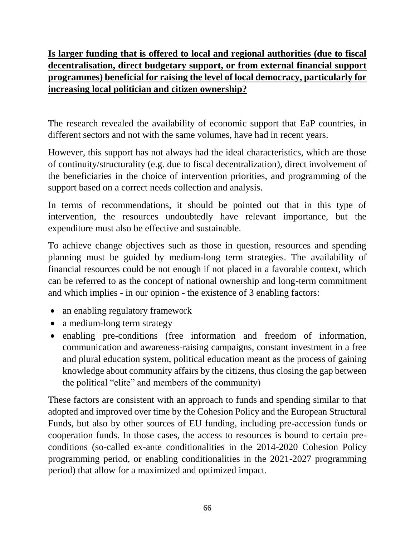## **Is larger funding that is offered to local and regional authorities (due to fiscal decentralisation, direct budgetary support, or from external financial support programmes) beneficial for raising the level of local democracy, particularly for increasing local politician and citizen ownership?**

The research revealed the availability of economic support that EaP countries, in different sectors and not with the same volumes, have had in recent years.

However, this support has not always had the ideal characteristics, which are those of continuity/structurality (e.g. due to fiscal decentralization), direct involvement of the beneficiaries in the choice of intervention priorities, and programming of the support based on a correct needs collection and analysis.

In terms of recommendations, it should be pointed out that in this type of intervention, the resources undoubtedly have relevant importance, but the expenditure must also be effective and sustainable.

To achieve change objectives such as those in question, resources and spending planning must be guided by medium-long term strategies. The availability of financial resources could be not enough if not placed in a favorable context, which can be referred to as the concept of national ownership and long-term commitment and which implies - in our opinion - the existence of 3 enabling factors:

- an enabling regulatory framework
- a medium-long term strategy
- enabling pre-conditions (free information and freedom of information, communication and awareness-raising campaigns, constant investment in a free and plural education system, political education meant as the process of gaining knowledge about community affairs by the citizens, thus closing the gap between the political "elite" and members of the community)

These factors are consistent with an approach to funds and spending similar to that adopted and improved over time by the Cohesion Policy and the European Structural Funds, but also by other sources of EU funding, including pre-accession funds or cooperation funds. In those cases, the access to resources is bound to certain preconditions (so-called ex-ante conditionalities in the 2014-2020 Cohesion Policy programming period, or enabling conditionalities in the 2021-2027 programming period) that allow for a maximized and optimized impact.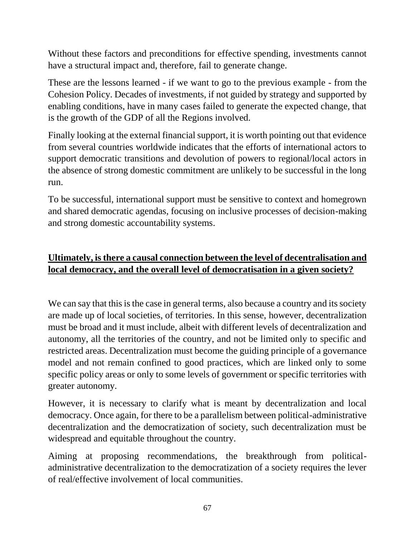Without these factors and preconditions for effective spending, investments cannot have a structural impact and, therefore, fail to generate change.

These are the lessons learned - if we want to go to the previous example - from the Cohesion Policy. Decades of investments, if not guided by strategy and supported by enabling conditions, have in many cases failed to generate the expected change, that is the growth of the GDP of all the Regions involved.

Finally looking at the external financial support, it is worth pointing out that evidence from several countries worldwide indicates that the efforts of international actors to support democratic transitions and devolution of powers to regional/local actors in the absence of strong domestic commitment are unlikely to be successful in the long run.

To be successful, international support must be sensitive to context and homegrown and shared democratic agendas, focusing on inclusive processes of decision-making and strong domestic accountability systems.

#### **Ultimately, is there a causal connection between the level of decentralisation and local democracy, and the overall level of democratisation in a given society?**

We can say that this is the case in general terms, also because a country and its society are made up of local societies, of territories. In this sense, however, decentralization must be broad and it must include, albeit with different levels of decentralization and autonomy, all the territories of the country, and not be limited only to specific and restricted areas. Decentralization must become the guiding principle of a governance model and not remain confined to good practices, which are linked only to some specific policy areas or only to some levels of government or specific territories with greater autonomy.

However, it is necessary to clarify what is meant by decentralization and local democracy. Once again, for there to be a parallelism between political-administrative decentralization and the democratization of society, such decentralization must be widespread and equitable throughout the country.

Aiming at proposing recommendations, the breakthrough from politicaladministrative decentralization to the democratization of a society requires the lever of real/effective involvement of local communities.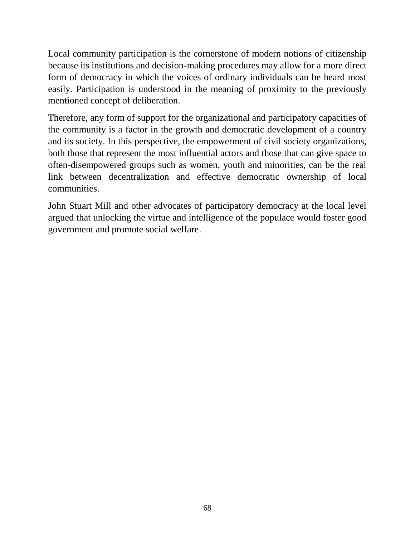Local community participation is the cornerstone of modern notions of citizenship because its institutions and decision-making procedures may allow for a more direct form of democracy in which the voices of ordinary individuals can be heard most easily. Participation is understood in the meaning of proximity to the previously mentioned concept of deliberation.

Therefore, any form of support for the organizational and participatory capacities of the community is a factor in the growth and democratic development of a country and its society. In this perspective, the empowerment of civil society organizations, both those that represent the most influential actors and those that can give space to often-disempowered groups such as women, youth and minorities, can be the real link between decentralization and effective democratic ownership of local communities.

John Stuart Mill and other advocates of participatory democracy at the local level argued that unlocking the virtue and intelligence of the populace would foster good government and promote social welfare.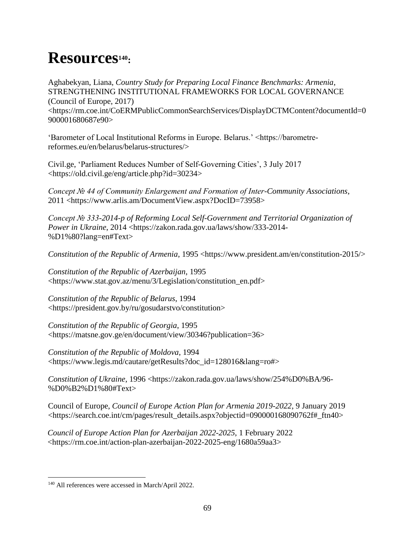# **Resources<sup>140</sup>:**

Aghabekyan, Liana, *Country Study for Preparing Local Finance Benchmarks: Armenia*, STRENGTHENING INSTITUTIONAL FRAMEWORKS FOR LOCAL GOVERNANCE (Council of Europe, 2017) <https://rm.coe.int/CoERMPublicCommonSearchServices/DisplayDCTMContent?documentId=0 900001680687e90>

'Barometer of Local Institutional Reforms in Europe. Belarus.' <https://barometrereformes.eu/en/belarus/belarus-structures/>

Civil.ge, 'Parliament Reduces Number of Self-Governing Cities', 3 July 2017 <https://old.civil.ge/eng/article.php?id=30234>

*Concept № 44 of Community Enlargement and Formation of Inter-Community Associations*, 2011 <https://www.arlis.am/DocumentView.aspx?DocID=73958>

*Concept № 333-2014-p of Reforming Local Self-Government and Territorial Organization of Power in Ukraine*, 2014 <https://zakon.rada.gov.ua/laws/show/333-2014- %D1%80?lang=en#Text>

*Constitution of the Republic of Armenia*, 1995 <https://www.president.am/en/constitution-2015/>

*Constitution of the Republic of Azerbaijan*, 1995 <https://www.stat.gov.az/menu/3/Legislation/constitution\_en.pdf>

*Constitution of the Republic of Belarus*, 1994 <https://president.gov.by/ru/gosudarstvo/constitution>

*Constitution of the Republic of Georgia*, 1995 <https://matsne.gov.ge/en/document/view/30346?publication=36>

*Constitution of the Republic of Moldova*, 1994 <https://www.legis.md/cautare/getResults?doc\_id=128016&lang=ro#>

*Constitution of Ukraine*, 1996 <https://zakon.rada.gov.ua/laws/show/254%D0%BA/96- %D0%B2%D1%80#Text>

Council of Europe, *Council of Europe Action Plan for Armenia 2019-2022*, 9 January 2019 <https://search.coe.int/cm/pages/result\_details.aspx?objectid=090000168090762f#\_ftn40>

*Council of Europe Action Plan for Azerbaijan 2022-2025*, 1 February 2022 <https://rm.coe.int/action-plan-azerbaijan-2022-2025-eng/1680a59aa3>

 $\overline{a}$ <sup>140</sup> All references were accessed in March/April 2022.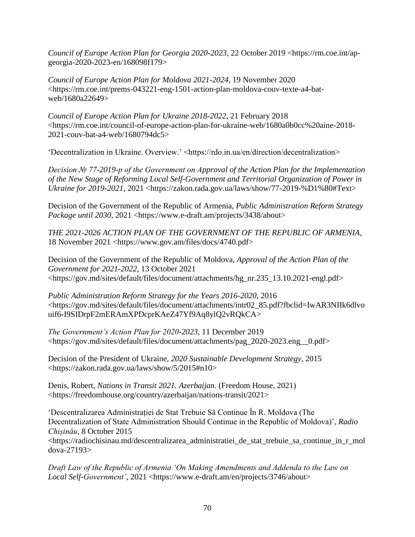*Council of Europe Action Plan for Georgia 2020-2023*, 22 October 2019 <https://rm.coe.int/apgeorgia-2020-2023-en/168098f179>

*Council of Europe Action Plan for Moldova 2021-2024*, 19 November 2020 <https://rm.coe.int/prems-043221-eng-1501-action-plan-moldova-couv-texte-a4-batweb/1680a22649>

*Council of Europe Action Plan for Ukraine 2018-2022*, 21 February 2018 <https://rm.coe.int/council-of-europe-action-plan-for-ukraine-web/1680a0b0cc%20aine-2018- 2021-couv-bat-a4-web/1680794dc5>

'Decentralization in Ukraine. Overview.' <https://rdo.in.ua/en/direction/decentralization>

*Decision № 77-2019-р of the Government on Approval of the Action Plan for the Implementation of the New Stage of Reforming Local Self-Government and Territorial Organization of Power in Ukraine for 2019-2021*, 2021 <https://zakon.rada.gov.ua/laws/show/77-2019-%D1%80#Text>

Decision of the Government of the Republic of Armenia, *Public Administration Reform Strategy Package until 2030*, 2021 <https://www.e-draft.am/projects/3438/about>

*THE 2021-2026 ACTION PLAN OF THE GOVERNMENT OF THE REPUBLIC OF ARMENIA*, 18 November 2021 <https://www.gov.am/files/docs/4740.pdf>

Decision of the Government of the Republic of Moldova, *Approval of the Action Plan of the Government for 2021-2022*, 13 October 2021 <https://gov.md/sites/default/files/document/attachments/hg\_nr.235\_13.10.2021-engl.pdf>

*Public Administration Reform Strategy for the Years 2016-2020*, 2016 <https://gov.md/sites/default/files/document/attachments/intr02\_85.pdf?fbclid=IwAR3NIIk6dlvo uif6-I9SIDrpF2mERAmXPDcprKAeZ47Yf9Aq8ylQ2vRQkCA>

*The Government's Action Plan for 2020-2023*, 11 December 2019 <https://gov.md/sites/default/files/document/attachments/pag\_2020-2023.eng\_\_0.pdf>

Decision of the President of Ukraine, *2020 Sustainable Development Strategy*, 2015 <https://zakon.rada.gov.ua/laws/show/5/2015#n10>

Denis, Robert, *Nations in Transit 2021. Azerbaijan.* (Freedom House, 2021) <https://freedomhouse.org/country/azerbaijan/nations-transit/2021>

'Descentralizarea Administrației de Stat Trebuie Să Continue În R. Moldova (The Decentralization of State Administration Should Continue in the Republic of Moldova)', *Radio Chișinău*, 8 October 2015 <https://radiochisinau.md/descentralizarea\_administratiei\_de\_stat\_trebuie\_sa\_continue\_in\_r\_mol dova-27193>

*Draft Law of the Republic of Armenia 'On Making Amendments and Addenda to the Law on Local Self-Government'*, 2021 <https://www.e-draft.am/en/projects/3746/about>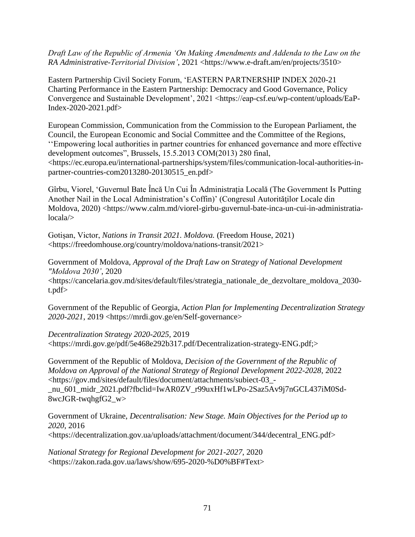*Draft Law of the Republic of Armenia 'On Making Amendments and Addenda to the Law on the RA Administrative-Territorial Division'*, 2021 <https://www.e-draft.am/en/projects/3510>

Eastern Partnership Civil Society Forum, 'EASTERN PARTNERSHIP INDEX 2020-21 Charting Performance in the Eastern Partnership: Democracy and Good Governance, Policy Convergence and Sustainable Development', 2021 <https://eap-csf.eu/wp-content/uploads/EaP-Index-2020-2021.pdf>

European Commission, Communication from the Commission to the European Parliament, the Council, the European Economic and Social Committee and the Committee of the Regions, ''Empowering local authorities in partner countries for enhanced governance and more effective development outcomes", Brussels, 15.5.2013 COM(2013) 280 final, <https://ec.europa.eu/international-partnerships/system/files/communication-local-authorities-inpartner-countries-com2013280-20130515\_en.pdf>

Gîrbu, Viorel, 'Guvernul Bate Încă Un Cui În Administrația Locală (The Government Is Putting Another Nail in the Local Administration's Coffin)' (Congresul Autorităţilor Locale din Moldova, 2020) <https://www.calm.md/viorel-girbu-guvernul-bate-inca-un-cui-in-administratialocala/>

Gotișan, Victor, *Nations in Transit 2021. Moldova.* (Freedom House, 2021) <https://freedomhouse.org/country/moldova/nations-transit/2021>

Government of Moldova, *Approval of the Draft Law on Strategy of National Development "Moldova 2030'*, 2020 <https://cancelaria.gov.md/sites/default/files/strategia\_nationale\_de\_dezvoltare\_moldova\_2030 t.pdf>

Government of the Republic of Georgia, *Action Plan for Implementing Decentralization Strategy 2020-2021*, 2019 <https://mrdi.gov.ge/en/Self-governance>

*Decentralization Strategy 2020-2025*, 2019 <https://mrdi.gov.ge/pdf/5e468e292b317.pdf/Decentralization-strategy-ENG.pdf;>

Government of the Republic of Moldova, *Decision of the Government of the Republic of Moldova on Approval of the National Strategy of Regional Development 2022-2028*, 2022 <https://gov.md/sites/default/files/document/attachments/subiect-03\_ nu\_601\_midr\_2021.pdf?fbclid=IwAR0ZV\_r99uxHf1wLPo-2Saz5Av9j7nGCL437iM0Sd-8wcJGR-twqhgfG2\_w>

Government of Ukraine, *Decentralisation: New Stage. Main Objectives for the Period up to 2020*, 2016 <https://decentralization.gov.ua/uploads/attachment/document/344/decentral\_ENG.pdf>

*National Strategy for Regional Development for 2021-2027*, 2020 <https://zakon.rada.gov.ua/laws/show/695-2020-%D0%BF#Text>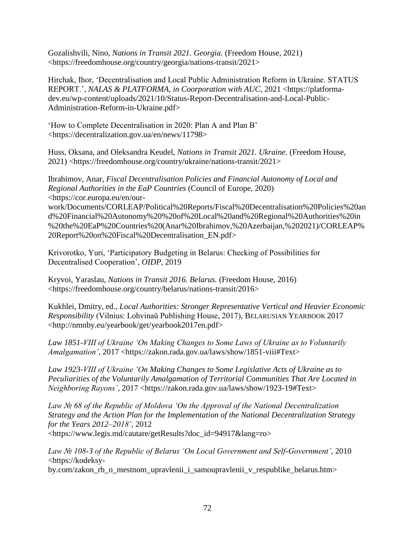Gozalishvili, Nino, *Nations in Transit 2021. Georgia.* (Freedom House, 2021) <https://freedomhouse.org/country/georgia/nations-transit/2021>

Hirchak, Ihor, 'Decentralisation and Local Public Administration Reform in Ukraine. STATUS REPORT.', *NALAS & PLATFORMA, in Coorporation with AUC*, 2021 <https://platformadev.eu/wp-content/uploads/2021/10/Status-Report-Decentralisation-and-Local-Public-Administration-Reform-in-Ukraine.pdf>

'How to Complete Decentralisation in 2020: Plan A and Plan B' <https://decentralization.gov.ua/en/news/11798>

Huss, Oksana, and Oleksandra Keudel, *Nations in Transit 2021. Ukraine.* (Freedom House, 2021) <https://freedomhouse.org/country/ukraine/nations-transit/2021>

Ibrahimov, Anar, *Fiscal Decentralisation Policies and Financial Autonomy of Local and Regional Authorities in the EaP Countries* (Council of Europe, 2020) <https://cor.europa.eu/en/our-

work/Documents/CORLEAP/Political%20Reports/Fiscal%20Decentralisation%20Policies%20an d%20Financial%20Autonomy%20%20of%20Local%20and%20Regional%20Authorities%20in %20the%20EaP%20Countries%20(Anar%20Ibrahimov,%20Azerbaijan,%202021)/CORLEAP% 20Report%20on%20Fiscal%20Decentralisation\_EN.pdf>

Krivorotko, Yuri, 'Participatory Budgeting in Belarus: Checking of Possibilities for Decentralised Cooperation', *OIDP*, 2019

Kryvoi, Yaraslau, *Nations in Transit 2016. Belarus.* (Freedom House, 2016) <https://freedomhouse.org/country/belarus/nations-transit/2016>

Kukhlei, Dmitry, ed., *Local Authorities: Stronger Representative Vertical and Heavier Economic Responsibility* (Vilnius: Lohvinaŭ Publishing House, 2017), BELARUSIAN YEARBOOK 2017 <http://nmnby.eu/yearbook/get/yearbook2017en.pdf>

*Law 1851-VIII of Ukraine 'On Making Changes to Some Laws of Ukraine as to Voluntarily Amalgamation'*, 2017 <https://zakon.rada.gov.ua/laws/show/1851-viii#Text>

*Law 1923-VIII of Ukraine 'On Making Changes to Some Legislative Acts of Ukraine as to Peculiarities of the Voluntarily Amalgamation of Territorial Communities That Are Located in Neighboring Rayons'*, 2017 <https://zakon.rada.gov.ua/laws/show/1923-19#Text>

*Law № 68 of the Republic of Moldova 'On the Approval of the National Decentralization Strategy and the Action Plan for the Implementation of the National Decentralization Strategy for the Years 2012–2018'*, 2012 <https://www.legis.md/cautare/getResults?doc\_id=94917&lang=ro>

*Law № 108-З of the Republic of Belarus 'On Local Government and Self-Government'*, 2010 <https://kodeksy-

by.com/zakon\_rb\_o\_mestnom\_upravlenii\_i\_samoupravlenii\_v\_respublike\_belarus.htm>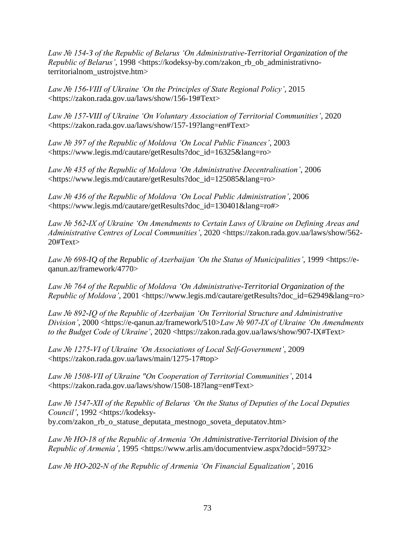*Law № 154-З of the Republic of Belarus 'On Administrative-Territorial Organization of the Republic of Belarus'*, 1998 <https://kodeksy-by.com/zakon\_rb\_ob\_administrativnoterritorialnom\_ustrojstve.htm>

*Law № 156-VIII of Ukraine 'On the Principles of State Regional Policy'*, 2015 <https://zakon.rada.gov.ua/laws/show/156-19#Text>

*Law № 157-VIII of Ukraine 'On Voluntary Association of Territorial Communities'*, 2020 <https://zakon.rada.gov.ua/laws/show/157-19?lang=en#Text>

*Law № 397 of the Republic of Moldova 'On Local Public Finances'*, 2003 <https://www.legis.md/cautare/getResults?doc\_id=16325&lang=ro>

*Law № 435 of the Republic of Moldova 'On Administrative Decentralisation'*, 2006 <https://www.legis.md/cautare/getResults?doc\_id=125085&lang=ro>

*Law № 436 of the Republic of Moldova 'On Local Public Administration'*, 2006 <https://www.legis.md/cautare/getResults?doc\_id=130401&lang=ro#>

*Law № 562-IX of Ukraine 'On Amendments to Certain Laws of Ukraine on Defining Areas and Administrative Centres of Local Communities'*, 2020 <https://zakon.rada.gov.ua/laws/show/562- 20#Text>

*Law № 698-IQ of the Republic of Azerbaijan 'On the Status of Municipalities'*, 1999 <https://eqanun.az/framework/4770>

*Law № 764 of the Republic of Moldova 'On Administrative-Territorial Organization of the Republic of Moldova'*, 2001 <https://www.legis.md/cautare/getResults?doc\_id=62949&lang=ro>

*Law № 892-IQ of the Republic of Azerbaijan 'On Territorial Structure and Administrative Division'*, 2000 <https://e-qanun.az/framework/510>*Law № 907-IX of Ukraine 'On Amendments to the Budget Code of Ukraine'*, 2020 <https://zakon.rada.gov.ua/laws/show/907-IX#Text>

*Law № 1275-VI of Ukraine 'On Associations of Local Self-Government'*, 2009 <https://zakon.rada.gov.ua/laws/main/1275-17#top>

*Law № 1508-VII of Ukraine "On Cooperation of Territorial Communities'*, 2014 <https://zakon.rada.gov.ua/laws/show/1508-18?lang=en#Text>

*Law № 1547-XІІ of the Republic of Belarus 'On the Status of Deputies of the Local Deputies Council'*, 1992 <https://kodeksyby.com/zakon\_rb\_o\_statuse\_deputata\_mestnogo\_soveta\_deputatov.htm>

*Law № HO-18 of the Republic of Armenia 'On Administrative-Territorial Division of the Republic of Armenia'*, 1995 <https://www.arlis.am/documentview.aspx?docid=59732>

*Law № HO-202-N of the Republic of Armenia 'On Financial Equalization'*, 2016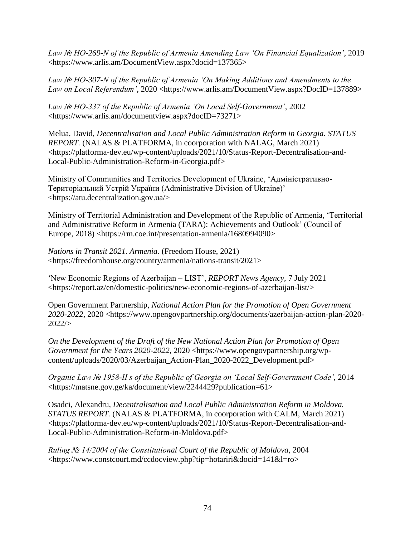*Law № HO-269-N of the Republic of Armenia Amending Law 'On Financial Equalization'*, 2019 <https://www.arlis.am/DocumentView.aspx?docid=137365>

*Law № HO-307-N of the Republic of Armenia 'On Making Additions and Amendments to the Law on Local Referendum'*, 2020 <https://www.arlis.am/DocumentView.aspx?DocID=137889>

*Law № HO-337 of the Republic of Armenia 'On Local Self-Government'*, 2002 <https://www.arlis.am/documentview.aspx?docID=73271>

Melua, David, *Decentralisation and Local Public Administration Reform in Georgia. STATUS REPORT.* (NALAS & PLATFORMA, in coorporation with NALAG, March 2021) <https://platforma-dev.eu/wp-content/uploads/2021/10/Status-Report-Decentralisation-and-Local-Public-Administration-Reform-in-Georgia.pdf>

Ministry of Communities and Territories Development of Ukraine, 'Адміністративно-Територіальний Устрій України (Administrative Division of Ukraine)' <https://atu.decentralization.gov.ua/>

Ministry of Territorial Administration and Development of the Republic of Armenia, 'Territorial and Administrative Reform in Armenia (TARA): Achievements and Outlook' (Council of Europe, 2018) <https://rm.coe.int/presentation-armenia/1680994090>

*Nations in Transit 2021. Armenia.* (Freedom House, 2021) <https://freedomhouse.org/country/armenia/nations-transit/2021>

'New Economic Regions of Azerbaijan – LIST', *REPORT News Agency*, 7 July 2021 <https://report.az/en/domestic-politics/new-economic-regions-of-azerbaijan-list/>

Open Government Partnership, *National Action Plan for the Promotion of Open Government 2020-2022*, 2020 <https://www.opengovpartnership.org/documents/azerbaijan-action-plan-2020- 2022/>

*On the Development of the Draft of the New National Action Plan for Promotion of Open Government for the Years 2020-2022*, 2020 <https://www.opengovpartnership.org/wpcontent/uploads/2020/03/Azerbaijan\_Action-Plan\_2020-2022\_Development.pdf>

*Organic Law № 1958-II s of the Republic of Georgia on 'Local Self-Government Code'*, 2014 <https://matsne.gov.ge/ka/document/view/2244429?publication=61>

Osadci, Alexandru, *Decentralisation and Local Public Administration Reform in Moldova. STATUS REPORT.* (NALAS & PLATFORMA, in coorporation with CALM, March 2021) <https://platforma-dev.eu/wp-content/uploads/2021/10/Status-Report-Decentralisation-and-Local-Public-Administration-Reform-in-Moldova.pdf>

*Ruling № 14/2004 of the Constitutional Court of the Republic of Moldova*, 2004 <https://www.constcourt.md/ccdocview.php?tip=hotariri&docid=141&l=ro>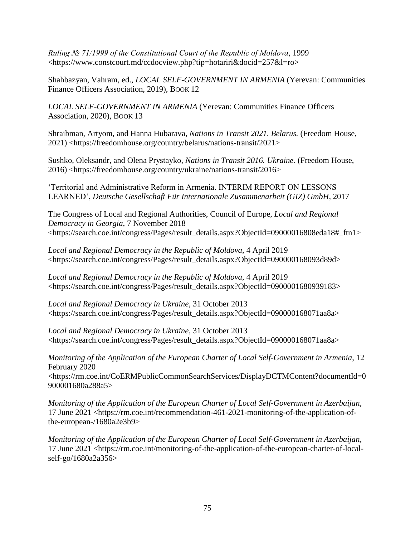*Ruling № 71/1999 of the Constitutional Court of the Republic of Moldova*, 1999 <https://www.constcourt.md/ccdocview.php?tip=hotariri&docid=257&l=ro>

Shahbazyan, Vahram, ed., *LOCAL SELF-GOVERNMENT IN ARMENIA* (Yerevan: Communities Finance Officers Association, 2019), BOOK 12

*LOCAL SELF-GOVERNMENT IN ARMENIA* (Yerevan: Communities Finance Officers Association, 2020), BOOK 13

Shraibman, Artyom, and Hanna Hubarava, *Nations in Transit 2021. Belarus.* (Freedom House, 2021) <https://freedomhouse.org/country/belarus/nations-transit/2021>

Sushko, Oleksandr, and Olena Prystayko, *Nations in Transit 2016. Ukraine.* (Freedom House, 2016) <https://freedomhouse.org/country/ukraine/nations-transit/2016>

'Territorial and Administrative Reform in Armenia. INTERIM REPORT ON LESSONS LEARNED', *Deutsche Gesellschaft Für Internationale Zusammenarbeit (GIZ) GmbH*, 2017

The Congress of Local and Regional Authorities, Council of Europe, *Local and Regional Democracy in Georgia*, 7 November 2018 <https://search.coe.int/congress/Pages/result\_details.aspx?ObjectId=09000016808eda18#\_ftn1>

*Local and Regional Democracy in the Republic of Moldova*, 4 April 2019 <https://search.coe.int/congress/Pages/result\_details.aspx?ObjectId=090000168093d89d>

*Local and Regional Democracy in the Republic of Moldova*, 4 April 2019 <https://search.coe.int/congress/Pages/result\_details.aspx?ObjectId=0900001680939183>

*Local and Regional Democracy in Ukraine*, 31 October 2013 <https://search.coe.int/congress/Pages/result\_details.aspx?ObjectId=090000168071aa8a>

*Local and Regional Democracy in Ukraine*, 31 October 2013 <https://search.coe.int/congress/Pages/result\_details.aspx?ObjectId=090000168071aa8a>

*Monitoring of the Application of the European Charter of Local Self-Government in Armenia*, 12 February 2020

<https://rm.coe.int/CoERMPublicCommonSearchServices/DisplayDCTMContent?documentId=0 900001680a288a5>

*Monitoring of the Application of the European Charter of Local Self-Government in Azerbaijan*, 17 June 2021 <https://rm.coe.int/recommendation-461-2021-monitoring-of-the-application-ofthe-european-/1680a2e3b9>

*Monitoring of the Application of the European Charter of Local Self-Government in Azerbaijan*, 17 June 2021 <https://rm.coe.int/monitoring-of-the-application-of-the-european-charter-of-localself-go/1680a2a356>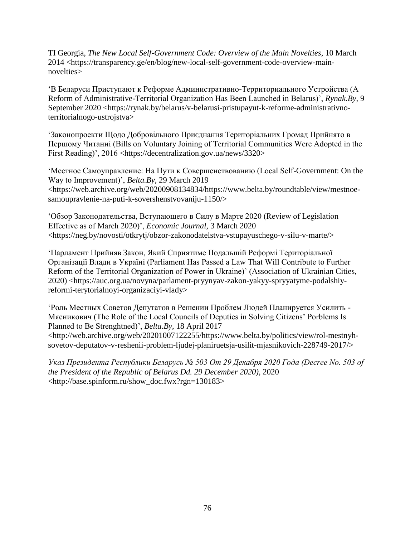TI Georgia, *The New Local Self-Government Code: Overview of the Main Novelties*, 10 March 2014 <https://transparency.ge/en/blog/new-local-self-government-code-overview-mainnovelties>

'В Беларуси Приступают к Реформе Административно-Территориального Устройства (A Reform of Administrative-Territorial Organization Has Been Launched in Belarus)', *Rynak.By*, 9 September 2020 <https://rynak.by/belarus/v-belarusi-pristupayut-k-reforme-administrativnoterritorialnogo-ustrojstva>

'Законопроекти Щодо Добровільного Приєднання Територіальних Громад Прийнято в Першому Читанні (Bills on Voluntary Joining of Territorial Communities Were Adopted in the First Reading)', 2016 <https://decentralization.gov.ua/news/3320>

'Местное Самоуправление: На Пути к Совершенствованию (Local Self-Government: On the Way to Improvement)', *Belta.By*, 29 March 2019 <https://web.archive.org/web/20200908134834/https://www.belta.by/roundtable/view/mestnoesamoupravlenie-na-puti-k-sovershenstvovaniju-1150/>

'Обзор Законодательства, Вступающего в Силу в Марте 2020 (Review of Legislation Effective as of March 2020)', *Economic Journal*, 3 March 2020 <https://neg.by/novosti/otkrytj/obzor-zakonodatelstva-vstupayuschego-v-silu-v-marte/>

'Парламент Прийняв Закон, Який Сприятиме Подальшій Реформі Територіальної Організації Влади в Україні (Parliament Has Passed a Law That Will Contribute to Further Reform of the Territorial Organization of Power in Ukraine)' (Association of Ukrainian Cities, 2020) <https://auc.org.ua/novyna/parlament-pryynyav-zakon-yakyy-spryyatyme-podalshiyreformi-terytorialnoyi-organizaciyi-vlady>

'Роль Местных Советов Депутатов в Решении Проблем Людей Планируется Усилить - Мясникович (The Role of the Local Councils of Deputies in Solving Citizens' Porblems Is Planned to Be Strenghtned)', *Belta.By*, 18 April 2017 <http://web.archive.org/web/20201007122255/https://www.belta.by/politics/view/rol-mestnyhsovetov-deputatov-v-reshenii-problem-ljudej-planiruetsja-usilit-mjasnikovich-228749-2017/>

*Указ Президента Республики Беларусь № 503 Oт 29 Декабря 2020 Года (Decree No. 503 of the President of the Republic of Belarus Dd. 29 December 2020)*, 2020 <http://base.spinform.ru/show\_doc.fwx?rgn=130183>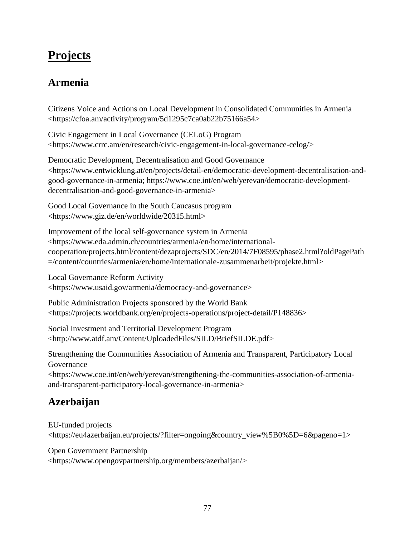## **Projects**

#### **Armenia**

Citizens Voice and Actions on Local Development in Consolidated Communities in Armenia [<https://cfoa.am/activity/program/5d1295c7ca0ab22b75166a54>](https://cfoa.am/activity/program/5d1295c7ca0ab22b75166a54)

Civic Engagement in Local Governance (CELoG) Program [<https://www.crrc.am/en/research/civic-engagement-in-local-governance-celog/>](https://www.crrc.am/en/research/civic-engagement-in-local-governance-celog/)

Democratic Development, Decentralisation and Good Governance [<https://www.entwicklung.at/en/projects/detail-en/democratic-development-decentralisation-and](https://www.entwicklung.at/en/projects/detail-en/democratic-development-decentralisation-and-good-governance-in-armenia)[good-governance-in-armenia;](https://www.entwicklung.at/en/projects/detail-en/democratic-development-decentralisation-and-good-governance-in-armenia) [https://www.coe.int/en/web/yerevan/democratic-development](https://www.coe.int/en/web/yerevan/democratic-development-decentralisation-and-good-governance-in-armenia)[decentralisation-and-good-governance-in-armenia>](https://www.coe.int/en/web/yerevan/democratic-development-decentralisation-and-good-governance-in-armenia)

Good Local Governance in the South Caucasus program [<https://www.giz.de/en/worldwide/20315.html>](https://www.giz.de/en/worldwide/20315.html)

Improvement of the local self-governance system in Armenia [<https://www.eda.admin.ch/countries/armenia/en/home/international](https://www.eda.admin.ch/countries/armenia/en/home/international-cooperation/projects.html/content/dezaprojects/SDC/en/2014/7F08595/phase2.html?oldPagePath=/content/countries/armenia/en/home/internationale-zusammenarbeit/projekte.html)[cooperation/projects.html/content/dezaprojects/SDC/en/2014/7F08595/phase2.html?oldPagePath](https://www.eda.admin.ch/countries/armenia/en/home/international-cooperation/projects.html/content/dezaprojects/SDC/en/2014/7F08595/phase2.html?oldPagePath=/content/countries/armenia/en/home/internationale-zusammenarbeit/projekte.html) [=/content/countries/armenia/en/home/internationale-zusammenarbeit/projekte.html>](https://www.eda.admin.ch/countries/armenia/en/home/international-cooperation/projects.html/content/dezaprojects/SDC/en/2014/7F08595/phase2.html?oldPagePath=/content/countries/armenia/en/home/internationale-zusammenarbeit/projekte.html)

Local Governance Reform Activity [<https://www.usaid.gov/armenia/democracy-and-governance>](https://www.usaid.gov/armenia/democracy-and-governance)

Public Administration Projects sponsored by the World Bank [<https://projects.worldbank.org/en/projects-operations/project-detail/P148836>](https://projects.worldbank.org/en/projects-operations/project-detail/P148836)

Social Investment and Territorial Development Program [<http://www.atdf.am/Content/UploadedFiles/SILD/BriefSILDE.pdf>](http://www.atdf.am/Content/UploadedFiles/SILD/BriefSILDE.pdf)

Strengthening the Communities Association of Armenia and Transparent, Participatory Local Governance

[<https://www.coe.int/en/web/yerevan/strengthening-the-communities-association-of-armenia](https://www.coe.int/en/web/yerevan/strengthening-the-communities-association-of-armenia-and-transparent-participatory-local-governance-in-armenia)[and-transparent-participatory-local-governance-in-armenia>](https://www.coe.int/en/web/yerevan/strengthening-the-communities-association-of-armenia-and-transparent-participatory-local-governance-in-armenia)

## **Azerbaijan**

EU-funded projects [<https://eu4azerbaijan.eu/projects/?filter=ongoing&country\\_view%5B0%5D=6&pageno=1>](https://eu4azerbaijan.eu/projects/?filter=ongoing&country_view%5B0%5D=6&pageno=1)

Open Government Partnership [<https://www.opengovpartnership.org/members/azerbaijan/>](https://www.opengovpartnership.org/members/azerbaijan/)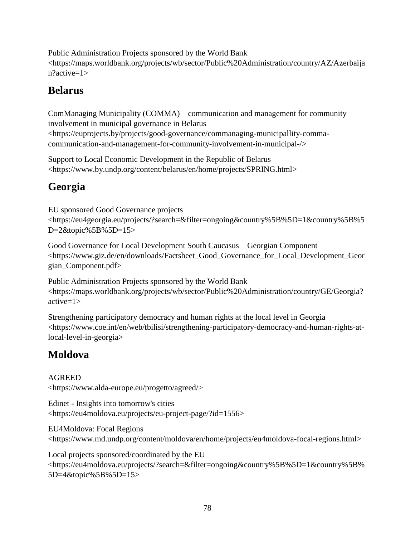Public Administration Projects sponsored by the World Bank [<https://maps.worldbank.org/projects/wb/sector/Public%20Administration/country/AZ/Azerbaija](https://maps.worldbank.org/projects/wb/sector/Public%20Administration/country/AZ/Azerbaijan?active=1) [n?active=1>](https://maps.worldbank.org/projects/wb/sector/Public%20Administration/country/AZ/Azerbaijan?active=1)

#### **Belarus**

ComManaging Municipality (COMMA) – communication and management for community involvement in municipal governance in Belarus

[<https://euprojects.by/projects/good-governance/commanaging-municipallity-comma](https://euprojects.by/projects/good-governance/commanaging-municipallity-comma-communication-and-management-for-community-involvement-in-municipal-/)[communication-and-management-for-community-involvement-in-municipal-/>](https://euprojects.by/projects/good-governance/commanaging-municipallity-comma-communication-and-management-for-community-involvement-in-municipal-/)

Support to Local Economic Development in the Republic of Belarus [<https://www.by.undp.org/content/belarus/en/home/projects/SPRING.html>](https://www.by.undp.org/content/belarus/en/home/projects/SPRING.html)

#### **Georgia**

EU sponsored Good Governance projects [<https://eu4georgia.eu/projects/?search=&filter=ongoing&country%5B%5D=1&country%5B%5](https://eu4georgia.eu/projects/?search=&filter=ongoing&country%5B%5D=1&country%5B%5D=2&topic%5B%5D=15) [D=2&topic%5B%5D=15>](https://eu4georgia.eu/projects/?search=&filter=ongoing&country%5B%5D=1&country%5B%5D=2&topic%5B%5D=15)

Good Governance for Local Development South Caucasus – Georgian Component [<https://www.giz.de/en/downloads/Factsheet\\_Good\\_Governance\\_for\\_Local\\_Development\\_Geor](https://www.giz.de/en/downloads/Factsheet_Good_Governance_for_Local_Development_Georgian_Component.pdf) [gian\\_Component.pdf>](https://www.giz.de/en/downloads/Factsheet_Good_Governance_for_Local_Development_Georgian_Component.pdf)

Public Administration Projects sponsored by the World Bank [<https://maps.worldbank.org/projects/wb/sector/Public%20Administration/country/GE/Georgia?](https://maps.worldbank.org/projects/wb/sector/Public%20Administration/country/GE/Georgia?active=1)  $active=1>$ 

Strengthening participatory democracy and human rights at the local level in Georgia [<https://www.coe.int/en/web/tbilisi/strengthening-participatory-democracy-and-human-rights-at](https://www.coe.int/en/web/tbilisi/strengthening-participatory-democracy-and-human-rights-at-local-level-in-georgia)[local-level-in-georgia>](https://www.coe.int/en/web/tbilisi/strengthening-participatory-democracy-and-human-rights-at-local-level-in-georgia)

### **Moldova**

AGREED [<https://www.alda-europe.eu/progetto/agreed/>](https://www.alda-europe.eu/progetto/agreed/)

Edinet - Insights into tomorrow's cities [<https://eu4moldova.eu/projects/eu-project-page/?id=1556>](https://eu4moldova.eu/projects/eu-project-page/?id=1556)

EU4Moldova: Focal Regions [<https://www.md.undp.org/content/moldova/en/home/projects/eu4moldova-focal-regions.html>](https://www.md.undp.org/content/moldova/en/home/projects/eu4moldova-focal-regions.html)

Local projects sponsored/coordinated by the EU [<https://eu4moldova.eu/projects/?search=&filter=ongoing&country%5B%5D=1&country%5B%](https://eu4moldova.eu/projects/?search=&filter=ongoing&country%5B%5D=1&country%5B%5D=4&topic%5B%5D=15) [5D=4&topic%5B%5D=15>](https://eu4moldova.eu/projects/?search=&filter=ongoing&country%5B%5D=1&country%5B%5D=4&topic%5B%5D=15)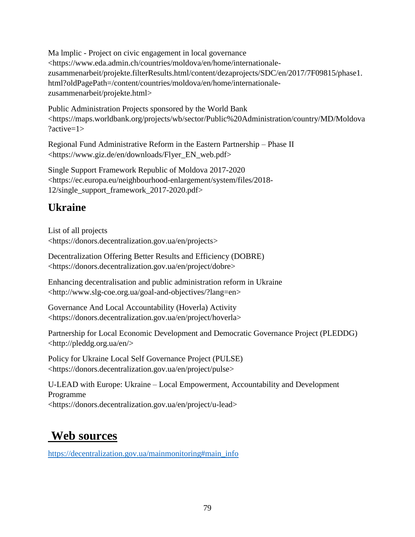Ma lmplic - Project on civic engagement in local governance [<https://www.eda.admin.ch/countries/moldova/en/home/internationale](https://www.eda.admin.ch/countries/moldova/en/home/internationale-zusammenarbeit/projekte.filterResults.html/content/dezaprojects/SDC/en/2017/7F09815/phase1.html?oldPagePath=/content/countries/moldova/en/home/internationale-zusammenarbeit/projekte.html)[zusammenarbeit/projekte.filterResults.html/content/dezaprojects/SDC/en/2017/7F09815/phase1.](https://www.eda.admin.ch/countries/moldova/en/home/internationale-zusammenarbeit/projekte.filterResults.html/content/dezaprojects/SDC/en/2017/7F09815/phase1.html?oldPagePath=/content/countries/moldova/en/home/internationale-zusammenarbeit/projekte.html) [html?oldPagePath=/content/countries/moldova/en/home/internationale](https://www.eda.admin.ch/countries/moldova/en/home/internationale-zusammenarbeit/projekte.filterResults.html/content/dezaprojects/SDC/en/2017/7F09815/phase1.html?oldPagePath=/content/countries/moldova/en/home/internationale-zusammenarbeit/projekte.html)[zusammenarbeit/projekte.html>](https://www.eda.admin.ch/countries/moldova/en/home/internationale-zusammenarbeit/projekte.filterResults.html/content/dezaprojects/SDC/en/2017/7F09815/phase1.html?oldPagePath=/content/countries/moldova/en/home/internationale-zusammenarbeit/projekte.html)

Public Administration Projects sponsored by the World Bank [<https://maps.worldbank.org/projects/wb/sector/Public%20Administration/country/MD/Moldova](https://maps.worldbank.org/projects/wb/sector/Public%20Administration/country/MD/Moldova?active=1) [?active=1>](https://maps.worldbank.org/projects/wb/sector/Public%20Administration/country/MD/Moldova?active=1)

Regional Fund Administrative Reform in the Eastern Partnership – Phase II [<https://www.giz.de/en/downloads/Flyer\\_EN\\_web.pdf>](https://www.giz.de/en/downloads/Flyer_EN_web.pdf)

Single Support Framework Republic of Moldova 2017-2020 [<https://ec.europa.eu/neighbourhood-enlargement/system/files/2018-](https://ec.europa.eu/neighbourhood-enlargement/system/files/2018-12/single_support_framework_2017-2020.pdf) [12/single\\_support\\_framework\\_2017-2020.pdf>](https://ec.europa.eu/neighbourhood-enlargement/system/files/2018-12/single_support_framework_2017-2020.pdf)

### **Ukraine**

List of all projects [<https://donors.decentralization.gov.ua/en/projects>](https://donors.decentralization.gov.ua/en/projects)

Decentralization Offering Better Results and Efficiency (DOBRE) [<https://donors.decentralization.gov.ua/en/project/dobre>](https://donors.decentralization.gov.ua/en/project/dobre)

Enhancing decentralisation and public administration reform in Ukraine [<http://www.slg-coe.org.ua/goal-and-objectives/?lang=en>](http://www.slg-coe.org.ua/goal-and-objectives/?lang=en)

Governance And Local Accountability (Hoverla) Activity [<https://donors.decentralization.gov.ua/en/project/hoverla>](https://donors.decentralization.gov.ua/en/project/hoverla)

Partnership for Local Economic Development and Democratic Governance Project (PLEDDG) [<http://pleddg.org.ua/en/>](http://pleddg.org.ua/en/)

Policy for Ukraine Local Self Governance Project (PULSE) [<https://donors.decentralization.gov.ua/en/project/pulse>](https://donors.decentralization.gov.ua/en/project/pulse)

U-LEAD with Europe: Ukraine – Local Empowerment, Accountability and Development Programme [<https://donors.decentralization.gov.ua/en/project/u-lead>](https://donors.decentralization.gov.ua/en/project/u-lead)

# **Web sources**

[https://decentralization.gov.ua/mainmonitoring#main\\_info](https://decentralization.gov.ua/mainmonitoring#main_info)